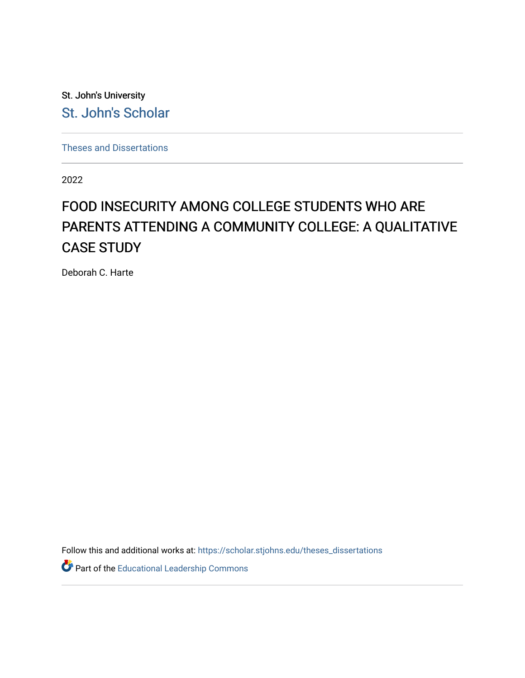St. John's University [St. John's Scholar](https://scholar.stjohns.edu/) 

[Theses and Dissertations](https://scholar.stjohns.edu/theses_dissertations)

2022

# FOOD INSECURITY AMONG COLLEGE STUDENTS WHO ARE PARENTS ATTENDING A COMMUNITY COLLEGE: A QUALITATIVE CASE STUDY

Deborah C. Harte

Follow this and additional works at: [https://scholar.stjohns.edu/theses\\_dissertations](https://scholar.stjohns.edu/theses_dissertations?utm_source=scholar.stjohns.edu%2Ftheses_dissertations%2F393&utm_medium=PDF&utm_campaign=PDFCoverPages)

Part of the [Educational Leadership Commons](https://network.bepress.com/hgg/discipline/1230?utm_source=scholar.stjohns.edu%2Ftheses_dissertations%2F393&utm_medium=PDF&utm_campaign=PDFCoverPages)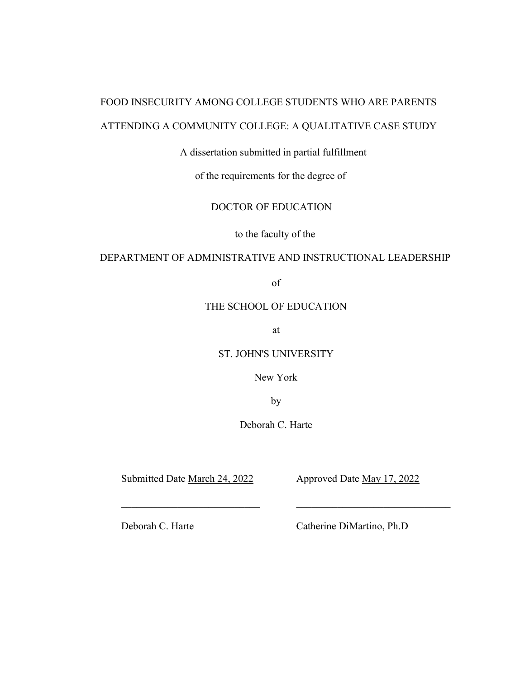# FOOD INSECURITY AMONG COLLEGE STUDENTS WHO ARE PARENTS ATTENDING A COMMUNITY COLLEGE: A QUALITATIVE CASE STUDY

# A dissertation submitted in partial fulfillment

of the requirements for the degree of

# DOCTOR OF EDUCATION

to the faculty of the

# DEPARTMENT OF ADMINISTRATIVE AND INSTRUCTIONAL LEADERSHIP

of

# THE SCHOOL OF EDUCATION

at

ST. JOHN'S UNIVERSITY

New York

by

Deborah C. Harte

Submitted Date March 24, 2022 Approved Date May 17, 2022

Deborah C. Harte Catherine DiMartino, Ph.D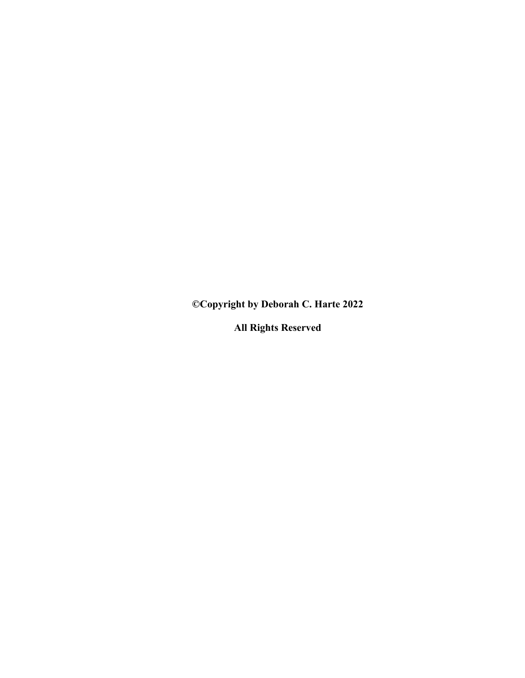**©Copyright by Deborah C. Harte 2022**

**All Rights Reserved**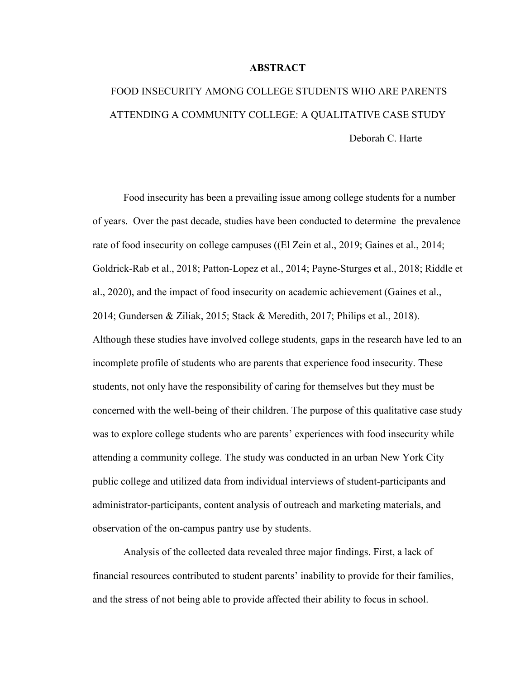#### **ABSTRACT**

# FOOD INSECURITY AMONG COLLEGE STUDENTS WHO ARE PARENTS ATTENDING A COMMUNITY COLLEGE: A QUALITATIVE CASE STUDY Deborah C. Harte

Food insecurity has been a prevailing issue among college students for a number of years. Over the past decade, studies have been conducted to determine the prevalence rate of food insecurity on college campuses ((El Zein et al., 2019; Gaines et al., 2014; Goldrick-Rab et al., 2018; Patton-Lopez et al., 2014; Payne-Sturges et al., 2018; Riddle et al., 2020), and the impact of food insecurity on academic achievement (Gaines et al., 2014; Gundersen & Ziliak, 2015; Stack & Meredith, 2017; Philips et al., 2018). Although these studies have involved college students, gaps in the research have led to an incomplete profile of students who are parents that experience food insecurity. These students, not only have the responsibility of caring for themselves but they must be concerned with the well-being of their children. The purpose of this qualitative case study was to explore college students who are parents' experiences with food insecurity while attending a community college. The study was conducted in an urban New York City public college and utilized data from individual interviews of student-participants and administrator-participants, content analysis of outreach and marketing materials, and observation of the on-campus pantry use by students.

Analysis of the collected data revealed three major findings. First, a lack of financial resources contributed to student parents' inability to provide for their families, and the stress of not being able to provide affected their ability to focus in school.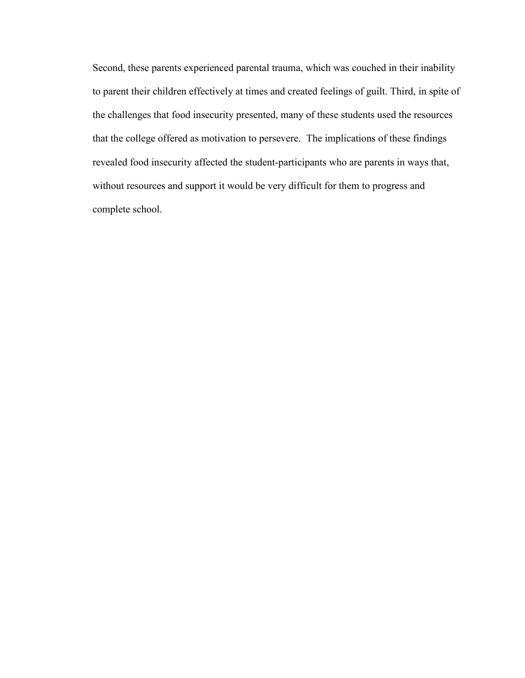Second, these parents experienced parental trauma, which was couched in their inability to parent their children effectively at times and created feelings of guilt. Third, in spite of the challenges that food insecurity presented, many of these students used the resources that the college offered as motivation to persevere. The implications of these findings revealed food insecurity affected the student-participants who are parents in ways that, without resources and support it would be very difficult for them to progress and complete school.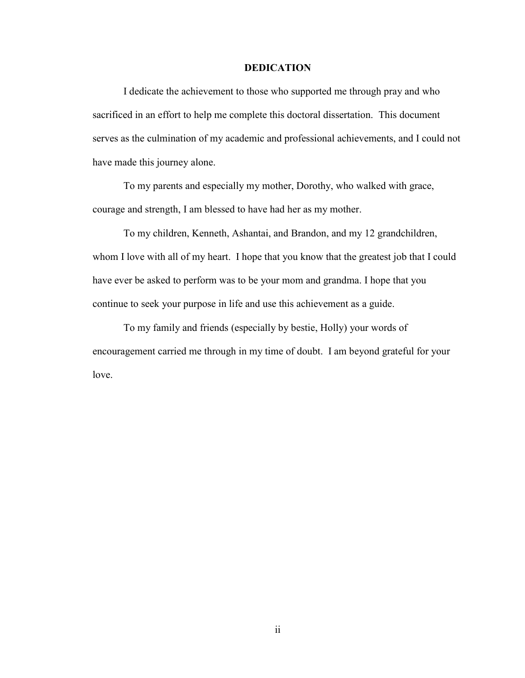## **DEDICATION**

I dedicate the achievement to those who supported me through pray and who sacrificed in an effort to help me complete this doctoral dissertation. This document serves as the culmination of my academic and professional achievements, and I could not have made this journey alone.

To my parents and especially my mother, Dorothy, who walked with grace, courage and strength, I am blessed to have had her as my mother.

To my children, Kenneth, Ashantai, and Brandon, and my 12 grandchildren, whom I love with all of my heart. I hope that you know that the greatest job that I could have ever be asked to perform was to be your mom and grandma. I hope that you continue to seek your purpose in life and use this achievement as a guide.

To my family and friends (especially by bestie, Holly) your words of encouragement carried me through in my time of doubt. I am beyond grateful for your love.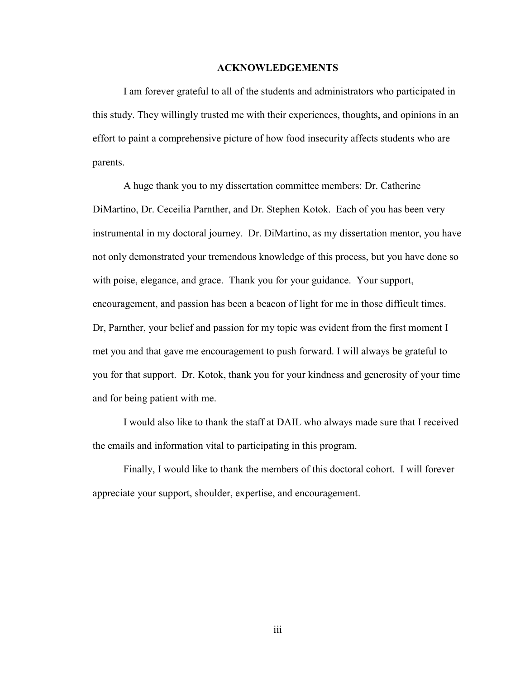#### **ACKNOWLEDGEMENTS**

I am forever grateful to all of the students and administrators who participated in this study. They willingly trusted me with their experiences, thoughts, and opinions in an effort to paint a comprehensive picture of how food insecurity affects students who are parents.

A huge thank you to my dissertation committee members: Dr. Catherine DiMartino, Dr. Ceceilia Parnther, and Dr. Stephen Kotok. Each of you has been very instrumental in my doctoral journey. Dr. DiMartino, as my dissertation mentor, you have not only demonstrated your tremendous knowledge of this process, but you have done so with poise, elegance, and grace. Thank you for your guidance. Your support, encouragement, and passion has been a beacon of light for me in those difficult times. Dr, Parnther, your belief and passion for my topic was evident from the first moment I met you and that gave me encouragement to push forward. I will always be grateful to you for that support. Dr. Kotok, thank you for your kindness and generosity of your time and for being patient with me.

I would also like to thank the staff at DAIL who always made sure that I received the emails and information vital to participating in this program.

Finally, I would like to thank the members of this doctoral cohort. I will forever appreciate your support, shoulder, expertise, and encouragement.

iii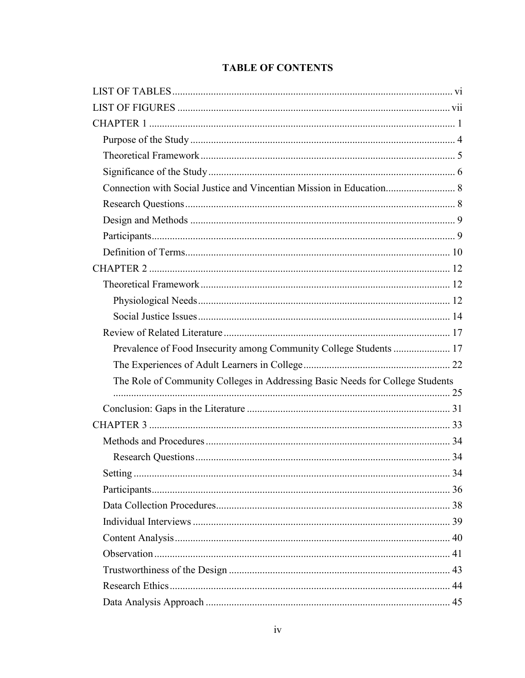# **TABLE OF CONTENTS**

| Prevalence of Food Insecurity among Community College Students  17            |  |
|-------------------------------------------------------------------------------|--|
|                                                                               |  |
| The Role of Community Colleges in Addressing Basic Needs for College Students |  |
|                                                                               |  |
|                                                                               |  |
|                                                                               |  |
|                                                                               |  |
|                                                                               |  |
|                                                                               |  |
|                                                                               |  |
|                                                                               |  |
|                                                                               |  |
|                                                                               |  |
|                                                                               |  |
|                                                                               |  |
|                                                                               |  |
|                                                                               |  |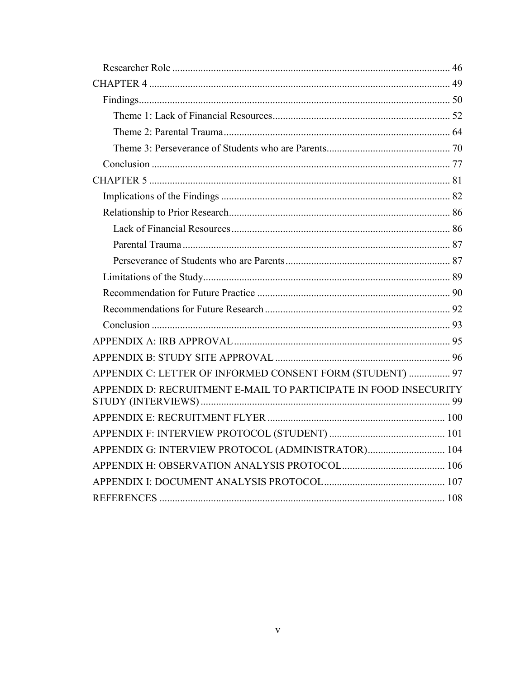| APPENDIX C: LETTER OF INFORMED CONSENT FORM (STUDENT)  97        |  |
|------------------------------------------------------------------|--|
| APPENDIX D: RECRUITMENT E-MAIL TO PARTICIPATE IN FOOD INSECURITY |  |
|                                                                  |  |
|                                                                  |  |
| APPENDIX G: INTERVIEW PROTOCOL (ADMINISTRATOR) 104               |  |
|                                                                  |  |
|                                                                  |  |
|                                                                  |  |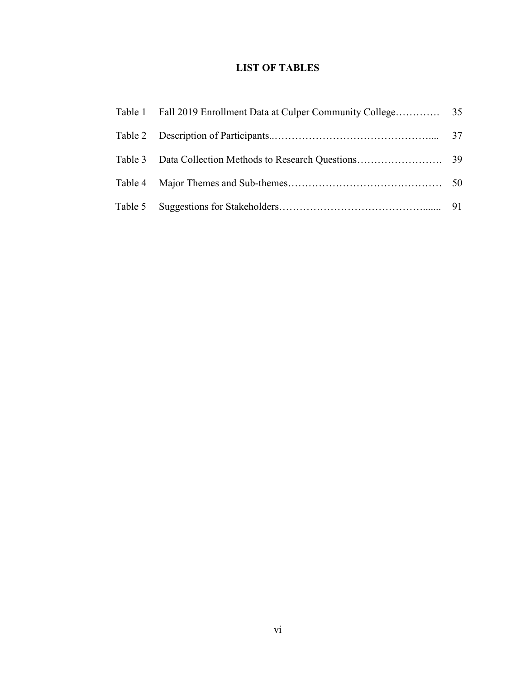# **LIST OF TABLES**

<span id="page-9-0"></span>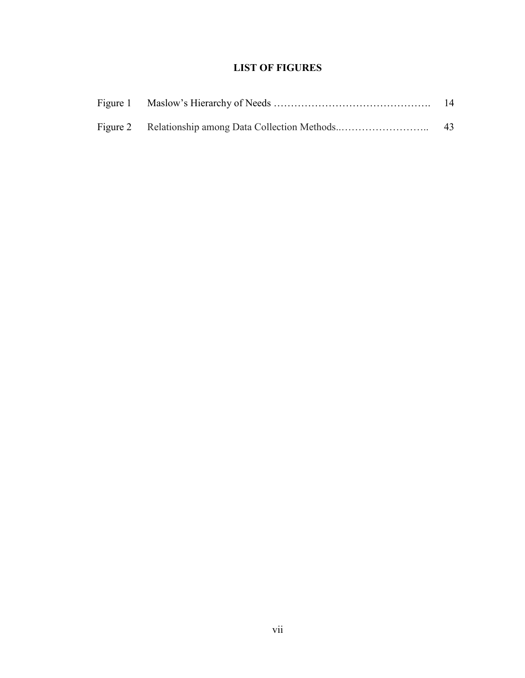# **LIST OF FIGURES**

<span id="page-10-0"></span>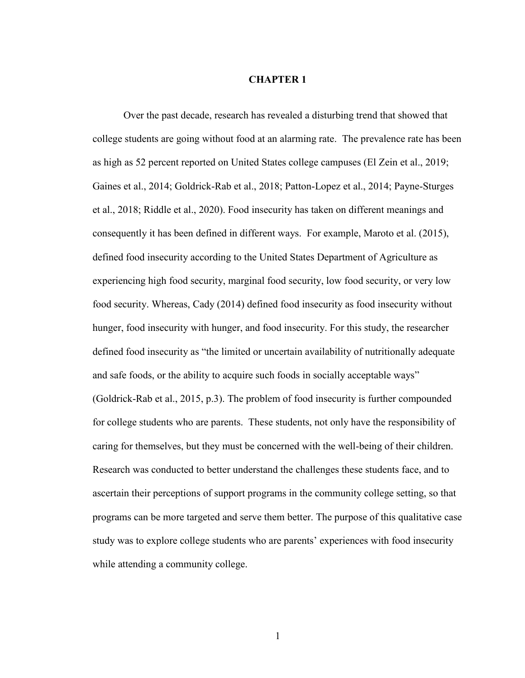#### **CHAPTER 1**

<span id="page-11-0"></span>Over the past decade, research has revealed a disturbing trend that showed that college students are going without food at an alarming rate. The prevalence rate has been as high as 52 percent reported on United States college campuses (El Zein et al., 2019; Gaines et al., 2014; Goldrick-Rab et al., 2018; Patton-Lopez et al., 2014; Payne-Sturges et al., 2018; Riddle et al., 2020). Food insecurity has taken on different meanings and consequently it has been defined in different ways. For example, Maroto et al. (2015), defined food insecurity according to the United States Department of Agriculture as experiencing high food security, marginal food security, low food security, or very low food security. Whereas, Cady (2014) defined food insecurity as food insecurity without hunger, food insecurity with hunger, and food insecurity. For this study, the researcher defined food insecurity as "the limited or uncertain availability of nutritionally adequate and safe foods, or the ability to acquire such foods in socially acceptable ways" (Goldrick-Rab et al., 2015, p.3). The problem of food insecurity is further compounded for college students who are parents. These students, not only have the responsibility of caring for themselves, but they must be concerned with the well-being of their children. Research was conducted to better understand the challenges these students face, and to ascertain their perceptions of support programs in the community college setting, so that programs can be more targeted and serve them better. The purpose of this qualitative case study was to explore college students who are parents' experiences with food insecurity while attending a community college.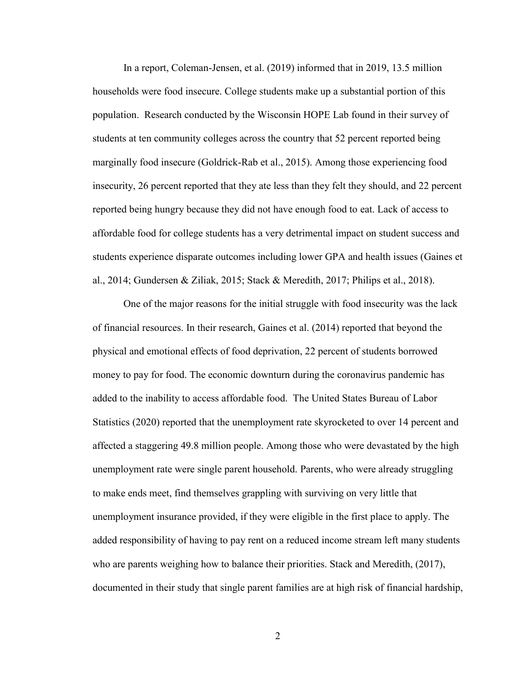In a report, Coleman-Jensen, et al. (2019) informed that in 2019, 13.5 million households were food insecure. College students make up a substantial portion of this population. Research conducted by the Wisconsin HOPE Lab found in their survey of students at ten community colleges across the country that 52 percent reported being marginally food insecure (Goldrick-Rab et al., 2015). Among those experiencing food insecurity, 26 percent reported that they ate less than they felt they should, and 22 percent reported being hungry because they did not have enough food to eat. Lack of access to affordable food for college students has a very detrimental impact on student success and students experience disparate outcomes including lower GPA and health issues (Gaines et al., 2014; Gundersen & Ziliak, 2015; Stack & Meredith, 2017; Philips et al., 2018).

One of the major reasons for the initial struggle with food insecurity was the lack of financial resources. In their research, Gaines et al. (2014) reported that beyond the physical and emotional effects of food deprivation, 22 percent of students borrowed money to pay for food. The economic downturn during the coronavirus pandemic has added to the inability to access affordable food. The United States Bureau of Labor Statistics (2020) reported that the unemployment rate skyrocketed to over 14 percent and affected a staggering 49.8 million people. Among those who were devastated by the high unemployment rate were single parent household. Parents, who were already struggling to make ends meet, find themselves grappling with surviving on very little that unemployment insurance provided, if they were eligible in the first place to apply. The added responsibility of having to pay rent on a reduced income stream left many students who are parents weighing how to balance their priorities. Stack and Meredith, (2017), documented in their study that single parent families are at high risk of financial hardship,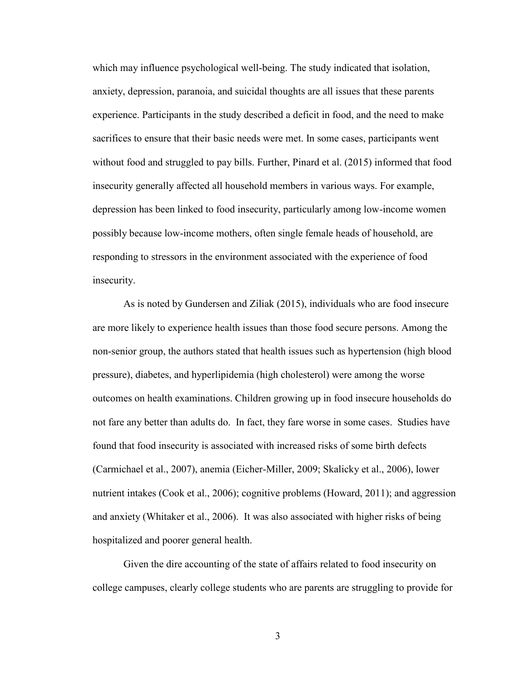which may influence psychological well-being. The study indicated that isolation, anxiety, depression, paranoia, and suicidal thoughts are all issues that these parents experience. Participants in the study described a deficit in food, and the need to make sacrifices to ensure that their basic needs were met. In some cases, participants went without food and struggled to pay bills. Further, Pinard et al. (2015) informed that food insecurity generally affected all household members in various ways. For example, depression has been linked to food insecurity, particularly among low-income women possibly because low-income mothers, often single female heads of household, are responding to stressors in the environment associated with the experience of food insecurity.

As is noted by Gundersen and Ziliak (2015), individuals who are food insecure are more likely to experience health issues than those food secure persons. Among the non-senior group, the authors stated that health issues such as hypertension (high blood pressure), diabetes, and hyperlipidemia (high cholesterol) were among the worse outcomes on health examinations. Children growing up in food insecure households do not fare any better than adults do. In fact, they fare worse in some cases. Studies have found that food insecurity is associated with increased risks of some birth defects (Carmichael et al., 2007), anemia (Eicher-Miller, 2009; Skalicky et al., 2006), lower nutrient intakes (Cook et al., 2006); cognitive problems (Howard, 2011); and aggression and anxiety (Whitaker et al., 2006). It was also associated with higher risks of being hospitalized and poorer general health.

Given the dire accounting of the state of affairs related to food insecurity on college campuses, clearly college students who are parents are struggling to provide for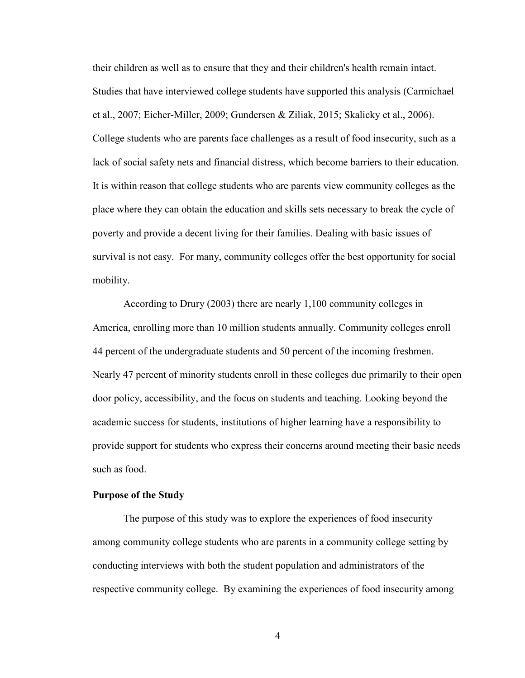their children as well as to ensure that they and their children's health remain intact. Studies that have interviewed college students have supported this analysis (Carmichael et al., 2007; Eicher-Miller, 2009; Gundersen & Ziliak, 2015; Skalicky et al., 2006). College students who are parents face challenges as a result of food insecurity, such as a lack of social safety nets and financial distress, which become barriers to their education. It is within reason that college students who are parents view community colleges as the place where they can obtain the education and skills sets necessary to break the cycle of poverty and provide a decent living for their families. Dealing with basic issues of survival is not easy. For many, community colleges offer the best opportunity for social mobility.

According to Drury (2003) there are nearly 1,100 community colleges in America, enrolling more than 10 million students annually. Community colleges enroll 44 percent of the undergraduate students and 50 percent of the incoming freshmen. Nearly 47 percent of minority students enroll in these colleges due primarily to their open door policy, accessibility, and the focus on students and teaching. Looking beyond the academic success for students, institutions of higher learning have a responsibility to provide support for students who express their concerns around meeting their basic needs such as food.

## <span id="page-14-0"></span>**Purpose of the Study**

The purpose of this study was to explore the experiences of food insecurity among community college students who are parents in a community college setting by conducting interviews with both the student population and administrators of the respective community college. By examining the experiences of food insecurity among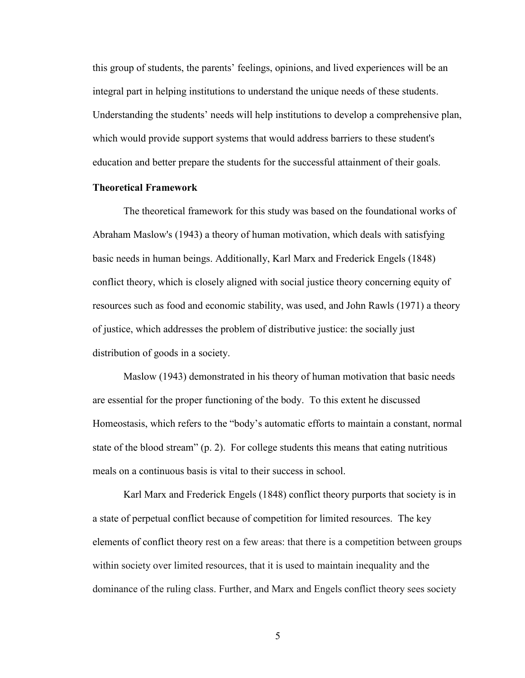this group of students, the parents' feelings, opinions, and lived experiences will be an integral part in helping institutions to understand the unique needs of these students. Understanding the students' needs will help institutions to develop a comprehensive plan, which would provide support systems that would address barriers to these student's education and better prepare the students for the successful attainment of their goals.

# <span id="page-15-0"></span>**Theoretical Framework**

The theoretical framework for this study was based on the foundational works of Abraham Maslow's (1943) a theory of human motivation, which deals with satisfying basic needs in human beings. Additionally, Karl Marx and Frederick Engels (1848) conflict theory, which is closely aligned with social justice theory concerning equity of resources such as food and economic stability, was used, and John Rawls (1971) a theory of justice, which addresses the problem of distributive justice: the socially just distribution of goods in a society.

Maslow (1943) demonstrated in his theory of human motivation that basic needs are essential for the proper functioning of the body. To this extent he discussed Homeostasis, which refers to the "body's automatic efforts to maintain a constant, normal state of the blood stream" (p. 2). For college students this means that eating nutritious meals on a continuous basis is vital to their success in school.

Karl Marx and Frederick Engels (1848) conflict theory purports that society is in a state of perpetual conflict because of competition for limited resources. The key elements of conflict theory rest on a few areas: that there is a competition between groups within society over limited resources, that it is used to maintain inequality and the dominance of the ruling class. Further, and Marx and Engels conflict theory sees society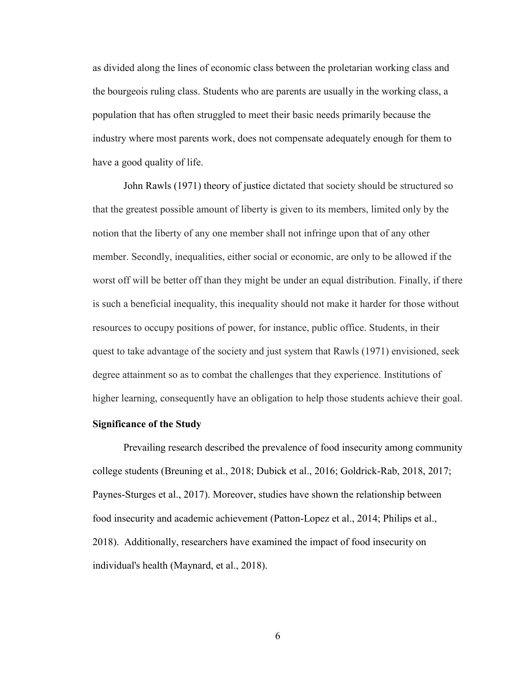as divided along the lines of economic class between the proletarian working class and the bourgeois ruling class. Students who are parents are usually in the working class, a population that has often struggled to meet their basic needs primarily because the industry where most parents work, does not compensate adequately enough for them to have a good quality of life.

John Rawls (1971) theory of justice dictated that society should be structured so that the greatest possible amount of liberty is given to its members, limited only by the notion that the liberty of any one member shall not infringe upon that of any other member. Secondly, inequalities, either social or economic, are only to be allowed if the worst off will be better off than they might be under an equal distribution. Finally, if there is such a beneficial inequality, this inequality should not make it harder for those without resources to occupy positions of power, for instance, public office. Students, in their quest to take advantage of the society and just system that Rawls (1971) envisioned, seek degree attainment so as to combat the challenges that they experience. Institutions of higher learning, consequently have an obligation to help those students achieve their goal.

## <span id="page-16-0"></span>**Significance of the Study**

Prevailing research described the prevalence of food insecurity among community college students (Breuning et al., 2018; Dubick et al., 2016; Goldrick-Rab, 2018, 2017; Paynes-Sturges et al., 2017). Moreover, studies have shown the relationship between food insecurity and academic achievement (Patton-Lopez et al., 2014; Philips et al., 2018). Additionally, researchers have examined the impact of food insecurity on individual's health (Maynard, et al., 2018).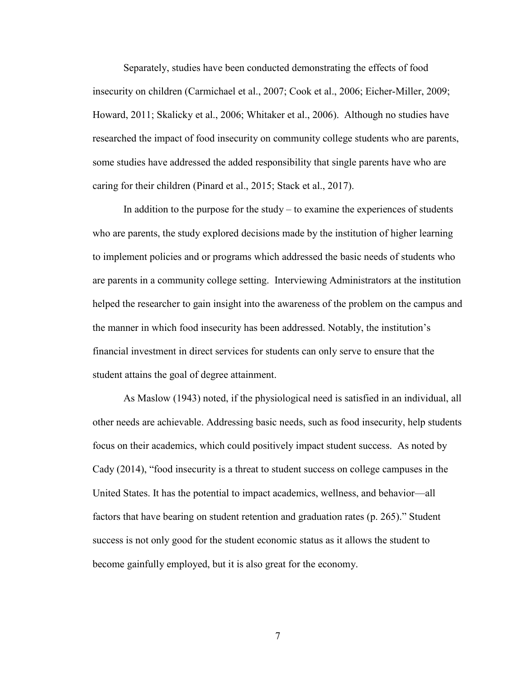Separately, studies have been conducted demonstrating the effects of food insecurity on children (Carmichael et al., 2007; Cook et al., 2006; Eicher-Miller, 2009; Howard, 2011; Skalicky et al., 2006; Whitaker et al., 2006). Although no studies have researched the impact of food insecurity on community college students who are parents, some studies have addressed the added responsibility that single parents have who are caring for their children (Pinard et al., 2015; Stack et al., 2017).

In addition to the purpose for the study  $-$  to examine the experiences of students who are parents, the study explored decisions made by the institution of higher learning to implement policies and or programs which addressed the basic needs of students who are parents in a community college setting. Interviewing Administrators at the institution helped the researcher to gain insight into the awareness of the problem on the campus and the manner in which food insecurity has been addressed. Notably, the institution's financial investment in direct services for students can only serve to ensure that the student attains the goal of degree attainment.

As Maslow (1943) noted, if the physiological need is satisfied in an individual, all other needs are achievable. Addressing basic needs, such as food insecurity, help students focus on their academics, which could positively impact student success. As noted by Cady (2014), "food insecurity is a threat to student success on college campuses in the United States. It has the potential to impact academics, wellness, and behavior—all factors that have bearing on student retention and graduation rates (p. 265)." Student success is not only good for the student economic status as it allows the student to become gainfully employed, but it is also great for the economy.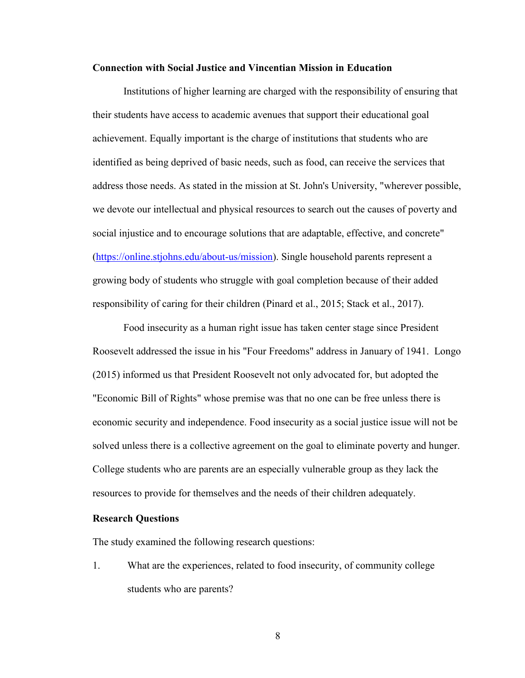#### <span id="page-18-0"></span>**Connection with Social Justice and Vincentian Mission in Education**

Institutions of higher learning are charged with the responsibility of ensuring that their students have access to academic avenues that support their educational goal achievement. Equally important is the charge of institutions that students who are identified as being deprived of basic needs, such as food, can receive the services that address those needs. As stated in the mission at St. John's University, "wherever possible, we devote our intellectual and physical resources to search out the causes of poverty and social injustice and to encourage solutions that are adaptable, effective, and concrete" [\(https://online.stjohns.edu/about-us/mission\)](https://online.stjohns.edu/about-us/mission). Single household parents represent a growing body of students who struggle with goal completion because of their added responsibility of caring for their children (Pinard et al., 2015; Stack et al., 2017).

Food insecurity as a human right issue has taken center stage since President Roosevelt addressed the issue in his "Four Freedoms" address in January of 1941. Longo (2015) informed us that President Roosevelt not only advocated for, but adopted the "Economic Bill of Rights" whose premise was that no one can be free unless there is economic security and independence. Food insecurity as a social justice issue will not be solved unless there is a collective agreement on the goal to eliminate poverty and hunger. College students who are parents are an especially vulnerable group as they lack the resources to provide for themselves and the needs of their children adequately.

#### <span id="page-18-1"></span>**Research Questions**

The study examined the following research questions:

1. What are the experiences, related to food insecurity, of community college students who are parents?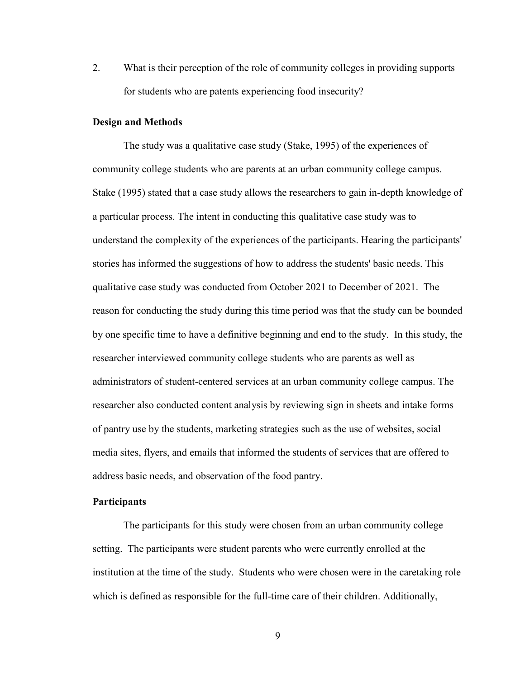2. What is their perception of the role of community colleges in providing supports for students who are patents experiencing food insecurity?

#### <span id="page-19-0"></span>**Design and Methods**

The study was a qualitative case study (Stake, 1995) of the experiences of community college students who are parents at an urban community college campus. Stake (1995) stated that a case study allows the researchers to gain in-depth knowledge of a particular process. The intent in conducting this qualitative case study was to understand the complexity of the experiences of the participants. Hearing the participants' stories has informed the suggestions of how to address the students' basic needs. This qualitative case study was conducted from October 2021 to December of 2021. The reason for conducting the study during this time period was that the study can be bounded by one specific time to have a definitive beginning and end to the study. In this study, the researcher interviewed community college students who are parents as well as administrators of student-centered services at an urban community college campus. The researcher also conducted content analysis by reviewing sign in sheets and intake forms of pantry use by the students, marketing strategies such as the use of websites, social media sites, flyers, and emails that informed the students of services that are offered to address basic needs, and observation of the food pantry.

#### <span id="page-19-1"></span>**Participants**

The participants for this study were chosen from an urban community college setting. The participants were student parents who were currently enrolled at the institution at the time of the study. Students who were chosen were in the caretaking role which is defined as responsible for the full-time care of their children. Additionally,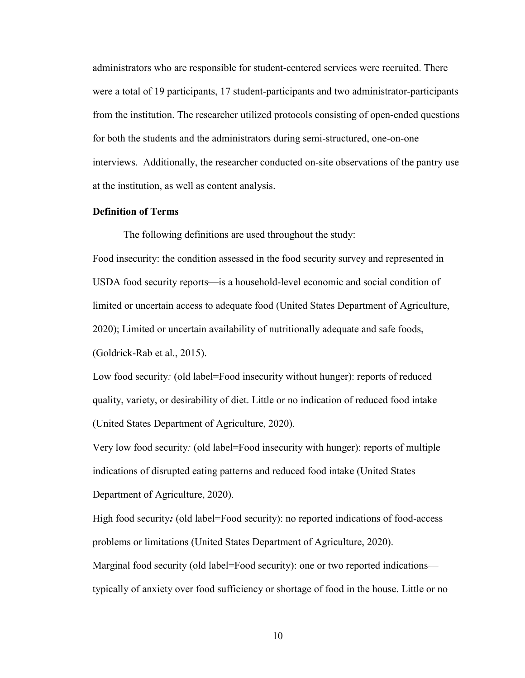administrators who are responsible for student-centered services were recruited. There were a total of 19 participants, 17 student-participants and two administrator-participants from the institution. The researcher utilized protocols consisting of open-ended questions for both the students and the administrators during semi-structured, one-on-one interviews. Additionally, the researcher conducted on-site observations of the pantry use at the institution, as well as content analysis.

#### <span id="page-20-0"></span>**Definition of Terms**

The following definitions are used throughout the study:

Food insecurity: the condition assessed in the food security survey and represented in USDA food security reports—is a household-level economic and social condition of limited or uncertain access to adequate food (United States Department of Agriculture, 2020); Limited or uncertain availability of nutritionally adequate and safe foods, (Goldrick-Rab et al., 2015).

Low food security: (old label=Food insecurity without hunger): reports of reduced quality, variety, or desirability of diet. Little or no indication of reduced food intake (United States Department of Agriculture, 2020).

Very low food security*:* (old label=Food insecurity with hunger): reports of multiple indications of disrupted eating patterns and reduced food intake (United States Department of Agriculture, 2020).

High food security: (old label=Food security): no reported indications of food-access problems or limitations (United States Department of Agriculture, 2020). Marginal food security (old label=Food security): one or two reported indications typically of anxiety over food sufficiency or shortage of food in the house. Little or no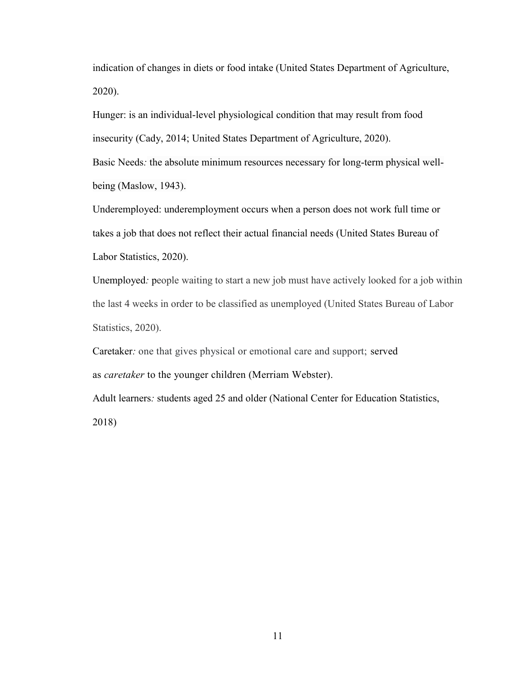indication of changes in diets or food intake (United States Department of Agriculture, 2020).

Hunger: is an individual-level physiological condition that may result from food insecurity (Cady, 2014; United States Department of Agriculture, 2020).

Basic Needs*:* the absolute minimum resources necessary for long-term physical wellbeing (Maslow, 1943).

Underemployed: underemployment occurs when a person does not work full time or takes a job that does not reflect their actual financial needs (United States Bureau of Labor Statistics, 2020).

Unemployed*:* people waiting to start a new job must have actively looked for a job within the last 4 weeks in order to be classified as unemployed (United States Bureau of Labor Statistics, 2020).

Caretaker*:* one that gives physical or emotional care and support; served as *caretaker* to the younger children (Merriam Webster).

Adult learners*:* students aged 25 and older (National Center for Education Statistics, 2018)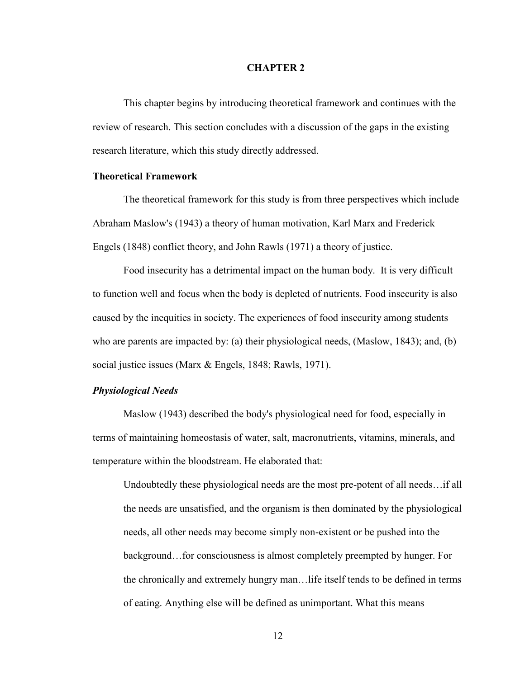#### **CHAPTER 2**

<span id="page-22-0"></span>This chapter begins by introducing theoretical framework and continues with the review of research. This section concludes with a discussion of the gaps in the existing research literature, which this study directly addressed.

#### <span id="page-22-1"></span>**Theoretical Framework**

The theoretical framework for this study is from three perspectives which include Abraham Maslow's (1943) a theory of human motivation, Karl Marx and Frederick Engels (1848) conflict theory, and John Rawls (1971) a theory of justice.

Food insecurity has a detrimental impact on the human body. It is very difficult to function well and focus when the body is depleted of nutrients. Food insecurity is also caused by the inequities in society. The experiences of food insecurity among students who are parents are impacted by: (a) their physiological needs, (Maslow, 1843); and, (b) social justice issues (Marx & Engels, 1848; Rawls, 1971).

## <span id="page-22-2"></span>*Physiological Needs*

Maslow (1943) described the body's physiological need for food, especially in terms of maintaining homeostasis of water, salt, macronutrients, vitamins, minerals, and temperature within the bloodstream. He elaborated that:

Undoubtedly these physiological needs are the most pre-potent of all needs…if all the needs are unsatisfied, and the organism is then dominated by the physiological needs, all other needs may become simply non-existent or be pushed into the background…for consciousness is almost completely preempted by hunger. For the chronically and extremely hungry man…life itself tends to be defined in terms of eating. Anything else will be defined as unimportant. What this means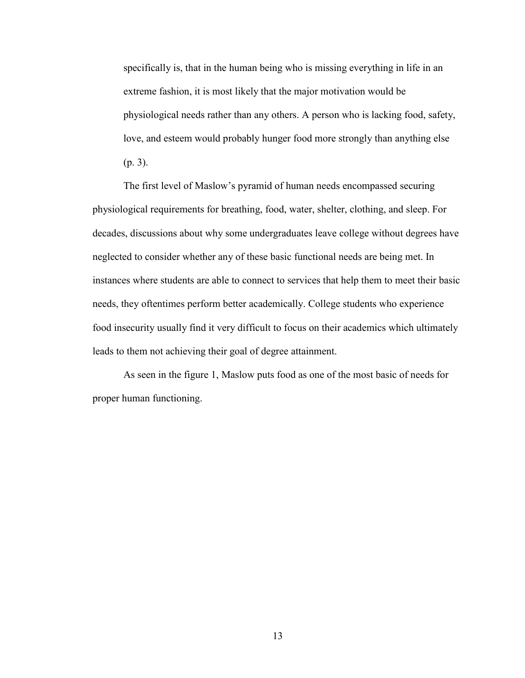specifically is, that in the human being who is missing everything in life in an extreme fashion, it is most likely that the major motivation would be physiological needs rather than any others. A person who is lacking food, safety, love, and esteem would probably hunger food more strongly than anything else (p. 3).

The first level of Maslow's pyramid of human needs encompassed securing physiological requirements for breathing, food, water, shelter, clothing, and sleep. For decades, discussions about why some undergraduates leave college without degrees have neglected to consider whether any of these basic functional needs are being met. In instances where students are able to connect to services that help them to meet their basic needs, they oftentimes perform better academically. College students who experience food insecurity usually find it very difficult to focus on their academics which ultimately leads to them not achieving their goal of degree attainment.

As seen in the figure 1, Maslow puts food as one of the most basic of needs for proper human functioning.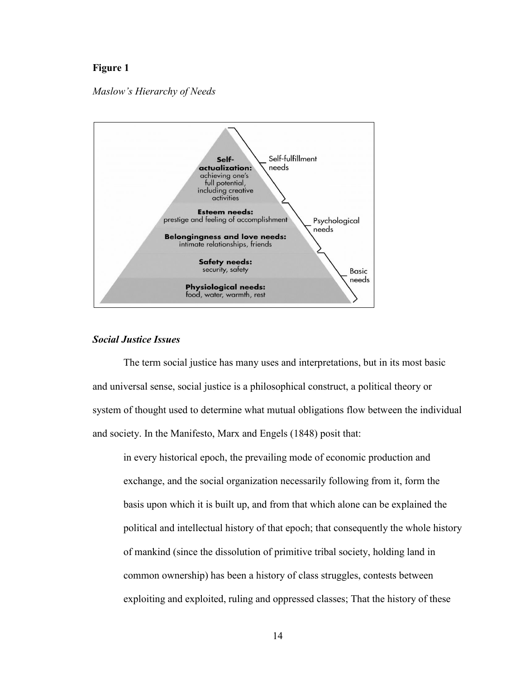# **Figure 1**

*Maslow's Hierarchy of Needs* 



## <span id="page-24-0"></span>*Social Justice Issues*

The term social justice has many uses and interpretations, but in its most basic and universal sense, social justice is a philosophical construct, a political theory or system of thought used to determine what mutual obligations flow between the individual and society. In the Manifesto, Marx and Engels (1848) posit that:

in every historical epoch, the prevailing mode of economic production and exchange, and the social organization necessarily following from it, form the basis upon which it is built up, and from that which alone can be explained the political and intellectual history of that epoch; that consequently the whole history of mankind (since the dissolution of primitive tribal society, holding land in common ownership) has been a history of class struggles, contests between exploiting and exploited, ruling and oppressed classes; That the history of these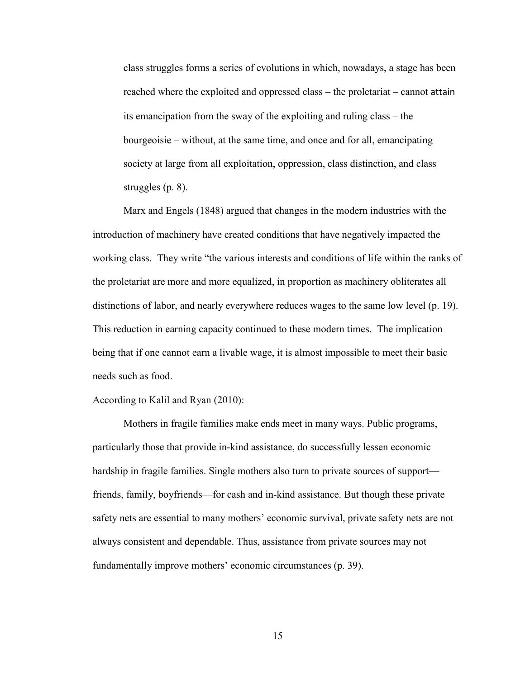class struggles forms a series of evolutions in which, nowadays, a stage has been reached where the exploited and oppressed class – the proletariat – cannot attain its emancipation from the sway of the exploiting and ruling class – the bourgeoisie – without, at the same time, and once and for all, emancipating society at large from all exploitation, oppression, class distinction, and class struggles (p. 8).

Marx and Engels (1848) argued that changes in the modern industries with the introduction of machinery have created conditions that have negatively impacted the working class. They write "the various interests and conditions of life within the ranks of the proletariat are more and more equalized, in proportion as machinery obliterates all distinctions of labor, and nearly everywhere reduces wages to the same low level (p. 19). This reduction in earning capacity continued to these modern times. The implication being that if one cannot earn a livable wage, it is almost impossible to meet their basic needs such as food.

According to Kalil and Ryan (2010):

Mothers in fragile families make ends meet in many ways. Public programs, particularly those that provide in-kind assistance, do successfully lessen economic hardship in fragile families. Single mothers also turn to private sources of support friends, family, boyfriends—for cash and in-kind assistance. But though these private safety nets are essential to many mothers' economic survival, private safety nets are not always consistent and dependable. Thus, assistance from private sources may not fundamentally improve mothers' economic circumstances (p. 39).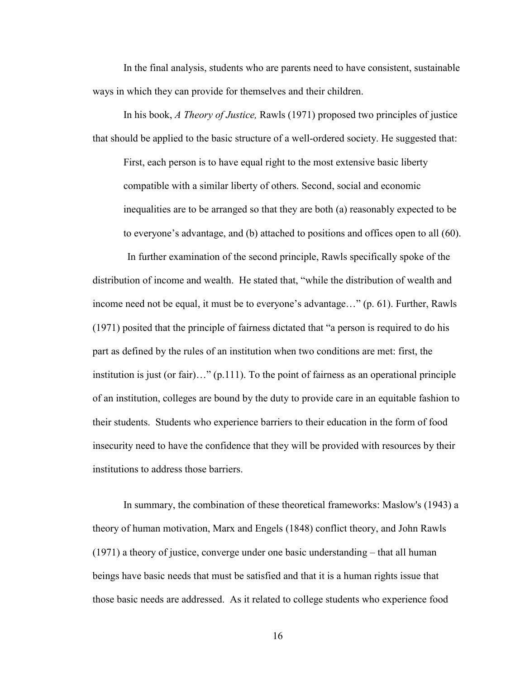In the final analysis, students who are parents need to have consistent, sustainable ways in which they can provide for themselves and their children.

In his book, *A Theory of Justice,* Rawls (1971) proposed two principles of justice that should be applied to the basic structure of a well-ordered society. He suggested that:

First, each person is to have equal right to the most extensive basic liberty compatible with a similar liberty of others. Second, social and economic inequalities are to be arranged so that they are both (a) reasonably expected to be to everyone's advantage, and (b) attached to positions and offices open to all (60).

In further examination of the second principle, Rawls specifically spoke of the distribution of income and wealth. He stated that, "while the distribution of wealth and income need not be equal, it must be to everyone's advantage…" (p. 61). Further, Rawls (1971) posited that the principle of fairness dictated that "a person is required to do his part as defined by the rules of an institution when two conditions are met: first, the institution is just (or fair)…" (p.111). To the point of fairness as an operational principle of an institution, colleges are bound by the duty to provide care in an equitable fashion to their students. Students who experience barriers to their education in the form of food insecurity need to have the confidence that they will be provided with resources by their institutions to address those barriers.

In summary, the combination of these theoretical frameworks: Maslow's (1943) a theory of human motivation, Marx and Engels (1848) conflict theory, and John Rawls (1971) a theory of justice, converge under one basic understanding – that all human beings have basic needs that must be satisfied and that it is a human rights issue that those basic needs are addressed. As it related to college students who experience food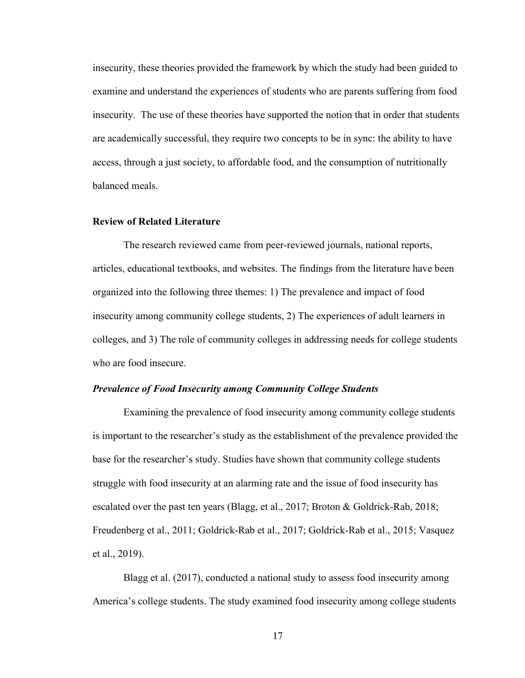insecurity, these theories provided the framework by which the study had been guided to examine and understand the experiences of students who are parents suffering from food insecurity. The use of these theories have supported the notion that in order that students are academically successful, they require two concepts to be in sync: the ability to have access, through a just society, to affordable food, and the consumption of nutritionally balanced meals.

# <span id="page-27-0"></span>**Review of Related Literature**

The research reviewed came from peer-reviewed journals, national reports, articles, educational textbooks, and websites. The findings from the literature have been organized into the following three themes: 1) The prevalence and impact of food insecurity among community college students, 2) The experiences of adult learners in colleges, and 3) The role of community colleges in addressing needs for college students who are food insecure.

#### <span id="page-27-1"></span>*Prevalence of Food Insecurity among Community College Students*

Examining the prevalence of food insecurity among community college students is important to the researcher's study as the establishment of the prevalence provided the base for the researcher's study. Studies have shown that community college students struggle with food insecurity at an alarming rate and the issue of food insecurity has escalated over the past ten years (Blagg, et al., 2017; Broton & Goldrick-Rab, 2018; Freudenberg et al., 2011; Goldrick-Rab et al., 2017; Goldrick-Rab et al., 2015; Vasquez et al., 2019).

Blagg et al. (2017), conducted a national study to assess food insecurity among America's college students. The study examined food insecurity among college students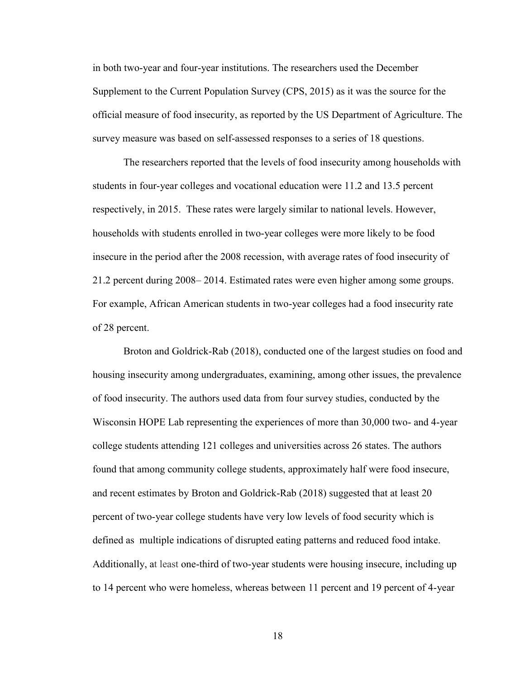in both two-year and four-year institutions. The researchers used the December Supplement to the Current Population Survey (CPS, 2015) as it was the source for the official measure of food insecurity, as reported by the US Department of Agriculture. The survey measure was based on self-assessed responses to a series of 18 questions.

The researchers reported that the levels of food insecurity among households with students in four-year colleges and vocational education were 11.2 and 13.5 percent respectively, in 2015. These rates were largely similar to national levels. However, households with students enrolled in two-year colleges were more likely to be food insecure in the period after the 2008 recession, with average rates of food insecurity of 21.2 percent during 2008– 2014. Estimated rates were even higher among some groups. For example, African American students in two-year colleges had a food insecurity rate of 28 percent.

Broton and Goldrick-Rab (2018), conducted one of the largest studies on food and housing insecurity among undergraduates, examining, among other issues, the prevalence of food insecurity. The authors used data from four survey studies, conducted by the Wisconsin HOPE Lab representing the experiences of more than 30,000 two- and 4-year college students attending 121 colleges and universities across 26 states. The authors found that among community college students, approximately half were food insecure, and recent estimates by Broton and Goldrick-Rab (2018) suggested that at least 20 percent of two-year college students have very low levels of food security which is defined as multiple indications of disrupted eating patterns and reduced food intake. Additionally, at least one-third of two-year students were housing insecure, including up to 14 percent who were homeless, whereas between 11 percent and 19 percent of 4-year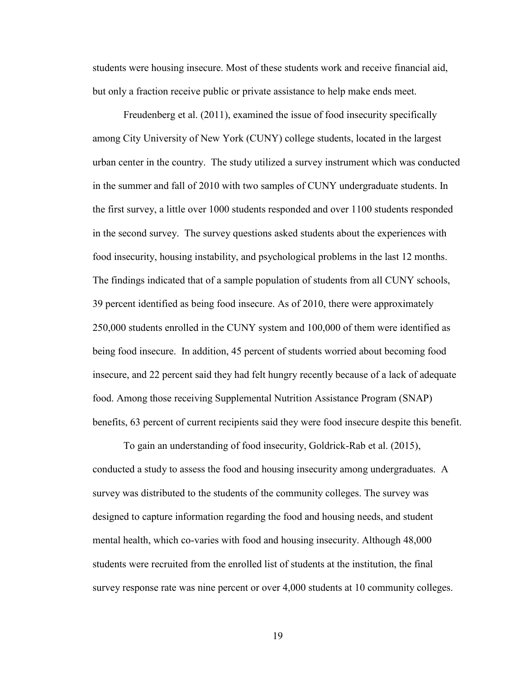students were housing insecure. Most of these students work and receive financial aid, but only a fraction receive public or private assistance to help make ends meet.

Freudenberg et al. (2011), examined the issue of food insecurity specifically among City University of New York (CUNY) college students, located in the largest urban center in the country. The study utilized a survey instrument which was conducted in the summer and fall of 2010 with two samples of CUNY undergraduate students. In the first survey, a little over 1000 students responded and over 1100 students responded in the second survey. The survey questions asked students about the experiences with food insecurity, housing instability, and psychological problems in the last 12 months. The findings indicated that of a sample population of students from all CUNY schools, 39 percent identified as being food insecure. As of 2010, there were approximately 250,000 students enrolled in the CUNY system and 100,000 of them were identified as being food insecure. In addition, 45 percent of students worried about becoming food insecure, and 22 percent said they had felt hungry recently because of a lack of adequate food. Among those receiving Supplemental Nutrition Assistance Program (SNAP) benefits, 63 percent of current recipients said they were food insecure despite this benefit.

To gain an understanding of food insecurity, Goldrick-Rab et al. (2015), conducted a study to assess the food and housing insecurity among undergraduates. A survey was distributed to the students of the community colleges. The survey was designed to capture information regarding the food and housing needs, and student mental health, which co-varies with food and housing insecurity. Although 48,000 students were recruited from the enrolled list of students at the institution, the final survey response rate was nine percent or over 4,000 students at 10 community colleges.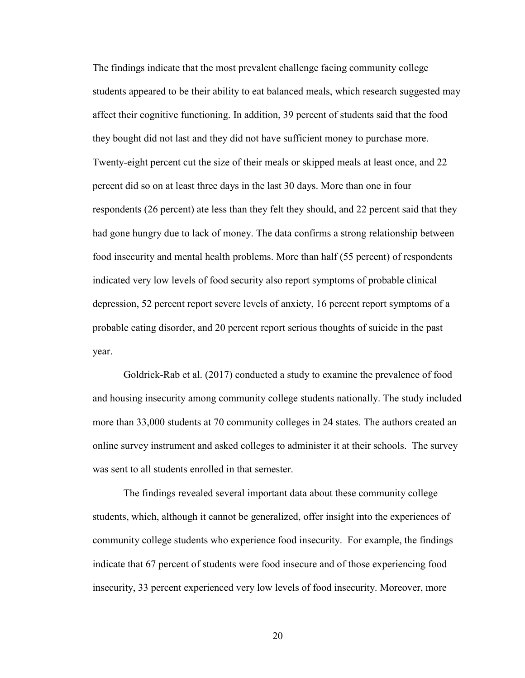The findings indicate that the most prevalent challenge facing community college students appeared to be their ability to eat balanced meals, which research suggested may affect their cognitive functioning. In addition, 39 percent of students said that the food they bought did not last and they did not have sufficient money to purchase more. Twenty-eight percent cut the size of their meals or skipped meals at least once, and 22 percent did so on at least three days in the last 30 days. More than one in four respondents (26 percent) ate less than they felt they should, and 22 percent said that they had gone hungry due to lack of money. The data confirms a strong relationship between food insecurity and mental health problems. More than half (55 percent) of respondents indicated very low levels of food security also report symptoms of probable clinical depression, 52 percent report severe levels of anxiety, 16 percent report symptoms of a probable eating disorder, and 20 percent report serious thoughts of suicide in the past year.

Goldrick-Rab et al. (2017) conducted a study to examine the prevalence of food and housing insecurity among community college students nationally. The study included more than 33,000 students at 70 community colleges in 24 states. The authors created an online survey instrument and asked colleges to administer it at their schools. The survey was sent to all students enrolled in that semester.

The findings revealed several important data about these community college students, which, although it cannot be generalized, offer insight into the experiences of community college students who experience food insecurity. For example, the findings indicate that 67 percent of students were food insecure and of those experiencing food insecurity, 33 percent experienced very low levels of food insecurity. Moreover, more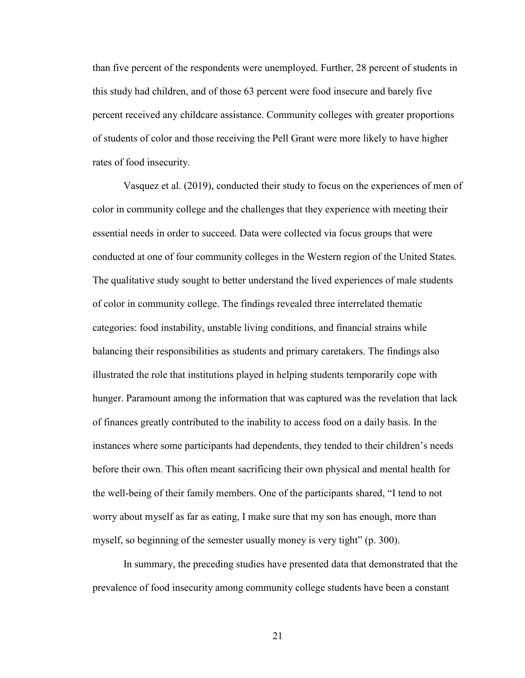than five percent of the respondents were unemployed. Further, 28 percent of students in this study had children, and of those 63 percent were food insecure and barely five percent received any childcare assistance. Community colleges with greater proportions of students of color and those receiving the Pell Grant were more likely to have higher rates of food insecurity.

Vasquez et al. (2019), conducted their study to focus on the experiences of men of color in community college and the challenges that they experience with meeting their essential needs in order to succeed. Data were collected via focus groups that were conducted at one of four community colleges in the Western region of the United States. The qualitative study sought to better understand the lived experiences of male students of color in community college. The findings revealed three interrelated thematic categories: food instability, unstable living conditions, and financial strains while balancing their responsibilities as students and primary caretakers. The findings also illustrated the role that institutions played in helping students temporarily cope with hunger. Paramount among the information that was captured was the revelation that lack of finances greatly contributed to the inability to access food on a daily basis. In the instances where some participants had dependents, they tended to their children's needs before their own. This often meant sacrificing their own physical and mental health for the well-being of their family members. One of the participants shared, "I tend to not worry about myself as far as eating, I make sure that my son has enough, more than myself, so beginning of the semester usually money is very tight" (p. 300).

In summary, the preceding studies have presented data that demonstrated that the prevalence of food insecurity among community college students have been a constant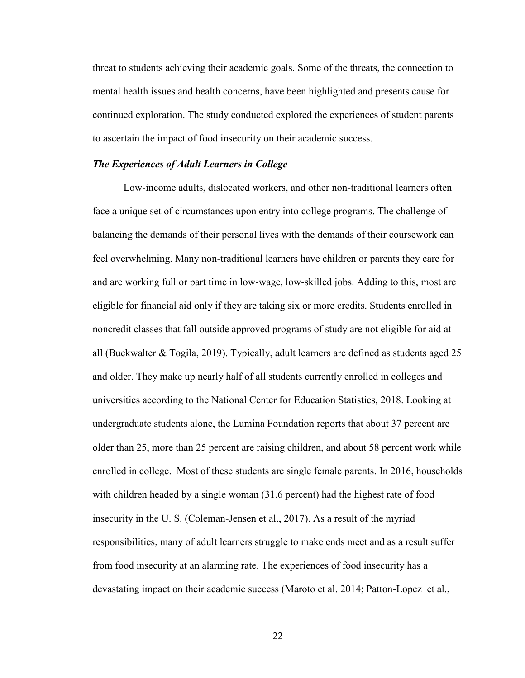threat to students achieving their academic goals. Some of the threats, the connection to mental health issues and health concerns, have been highlighted and presents cause for continued exploration. The study conducted explored the experiences of student parents to ascertain the impact of food insecurity on their academic success.

#### <span id="page-32-0"></span>*The Experiences of Adult Learners in College*

Low-income adults, dislocated workers, and other non-traditional learners often face a unique set of circumstances upon entry into college programs. The challenge of balancing the demands of their personal lives with the demands of their coursework can feel overwhelming. Many non-traditional learners have children or parents they care for and are working full or part time in low-wage, low-skilled jobs. Adding to this, most are eligible for financial aid only if they are taking six or more credits. Students enrolled in noncredit classes that fall outside approved programs of study are not eligible for aid at all (Buckwalter & Togila, 2019). Typically, adult learners are defined as students aged 25 and older. They make up nearly half of all students currently enrolled in colleges and universities according to the National Center for Education Statistics, 2018. Looking at undergraduate students alone, the Lumina Foundation reports that about 37 percent are older than 25, more than 25 percent are raising children, and about 58 percent work while enrolled in college. Most of these students are single female parents. In 2016, households with children headed by a single woman (31.6 percent) had the highest rate of food insecurity in the U. S. (Coleman-Jensen et al., 2017). As a result of the myriad responsibilities, many of adult learners struggle to make ends meet and as a result suffer from food insecurity at an alarming rate. The experiences of food insecurity has a devastating impact on their academic success (Maroto et al. 2014; Patton-Lopez et al.,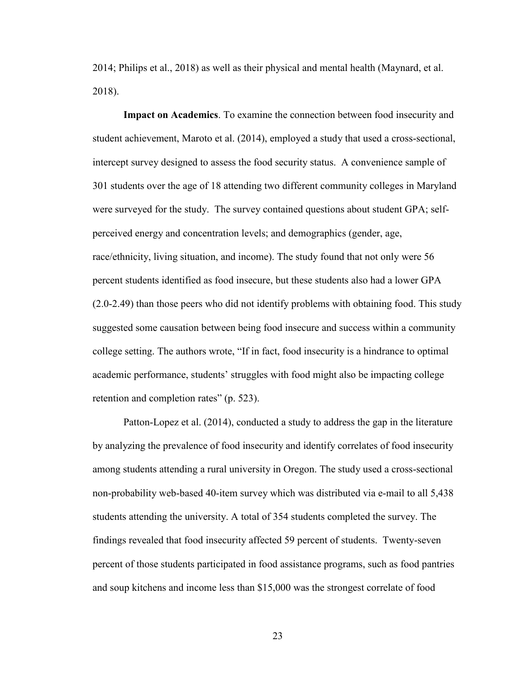2014; Philips et al., 2018) as well as their physical and mental health (Maynard, et al. 2018).

**Impact on Academics**. To examine the connection between food insecurity and student achievement, Maroto et al. (2014), employed a study that used a cross-sectional, intercept survey designed to assess the food security status. A convenience sample of 301 students over the age of 18 attending two different community colleges in Maryland were surveyed for the study. The survey contained questions about student GPA; selfperceived energy and concentration levels; and demographics (gender, age, race/ethnicity, living situation, and income). The study found that not only were 56 percent students identified as food insecure, but these students also had a lower GPA (2.0-2.49) than those peers who did not identify problems with obtaining food. This study suggested some causation between being food insecure and success within a community college setting. The authors wrote, "If in fact, food insecurity is a hindrance to optimal academic performance, students' struggles with food might also be impacting college retention and completion rates" (p. 523).

Patton-Lopez et al. (2014), conducted a study to address the gap in the literature by analyzing the prevalence of food insecurity and identify correlates of food insecurity among students attending a rural university in Oregon. The study used a cross-sectional non-probability web-based 40-item survey which was distributed via e-mail to all 5,438 students attending the university. A total of 354 students completed the survey. The findings revealed that food insecurity affected 59 percent of students. Twenty-seven percent of those students participated in food assistance programs, such as food pantries and soup kitchens and income less than \$15,000 was the strongest correlate of food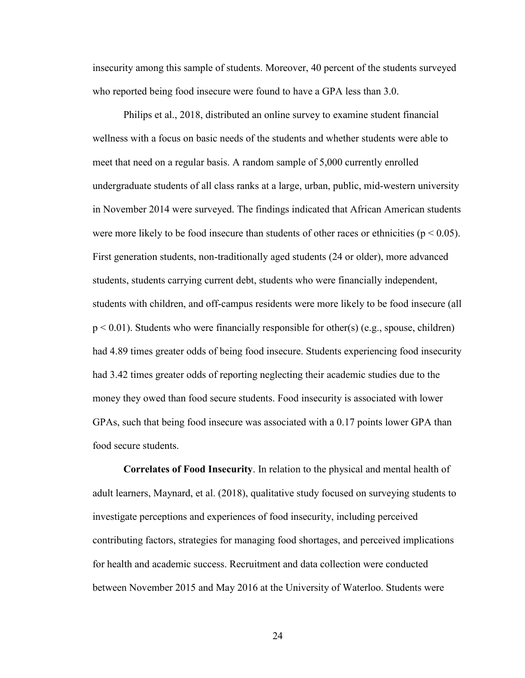insecurity among this sample of students. Moreover, 40 percent of the students surveyed who reported being food insecure were found to have a GPA less than 3.0.

Philips et al., 2018, distributed an online survey to examine student financial wellness with a focus on basic needs of the students and whether students were able to meet that need on a regular basis. A random sample of 5,000 currently enrolled undergraduate students of all class ranks at a large, urban, public, mid-western university in November 2014 were surveyed. The findings indicated that African American students were more likely to be food insecure than students of other races or ethnicities ( $p < 0.05$ ). First generation students, non-traditionally aged students (24 or older), more advanced students, students carrying current debt, students who were financially independent, students with children, and off-campus residents were more likely to be food insecure (all  $p < 0.01$ ). Students who were financially responsible for other(s) (e.g., spouse, children) had 4.89 times greater odds of being food insecure. Students experiencing food insecurity had 3.42 times greater odds of reporting neglecting their academic studies due to the money they owed than food secure students. Food insecurity is associated with lower GPAs, such that being food insecure was associated with a 0.17 points lower GPA than food secure students.

**Correlates of Food Insecurity**. In relation to the physical and mental health of adult learners, Maynard, et al. (2018), qualitative study focused on surveying students to investigate perceptions and experiences of food insecurity, including perceived contributing factors, strategies for managing food shortages, and perceived implications for health and academic success. Recruitment and data collection were conducted between November 2015 and May 2016 at the University of Waterloo. Students were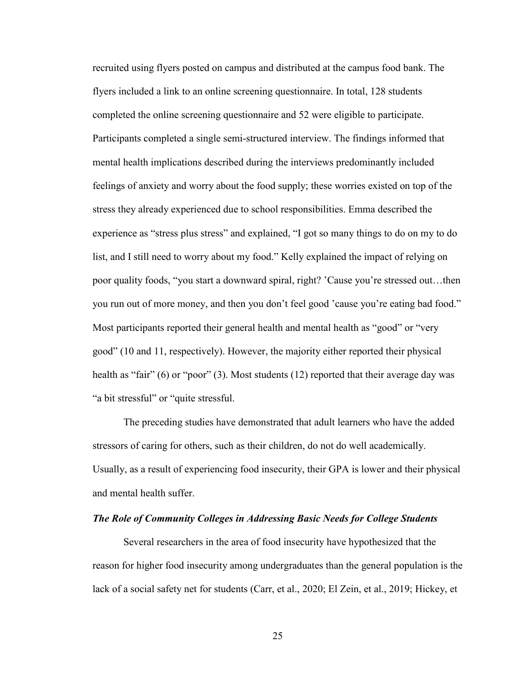recruited using flyers posted on campus and distributed at the campus food bank. The flyers included a link to an online screening questionnaire. In total, 128 students completed the online screening questionnaire and 52 were eligible to participate. Participants completed a single semi-structured interview. The findings informed that mental health implications described during the interviews predominantly included feelings of anxiety and worry about the food supply; these worries existed on top of the stress they already experienced due to school responsibilities. Emma described the experience as "stress plus stress" and explained, "I got so many things to do on my to do list, and I still need to worry about my food." Kelly explained the impact of relying on poor quality foods, "you start a downward spiral, right? 'Cause you're stressed out…then you run out of more money, and then you don't feel good 'cause you're eating bad food." Most participants reported their general health and mental health as "good" or "very good" (10 and 11, respectively). However, the majority either reported their physical health as "fair" (6) or "poor" (3). Most students (12) reported that their average day was "a bit stressful" or "quite stressful.

The preceding studies have demonstrated that adult learners who have the added stressors of caring for others, such as their children, do not do well academically. Usually, as a result of experiencing food insecurity, their GPA is lower and their physical and mental health suffer.

## <span id="page-35-0"></span>*The Role of Community Colleges in Addressing Basic Needs for College Students*

Several researchers in the area of food insecurity have hypothesized that the reason for higher food insecurity among undergraduates than the general population is the lack of a social safety net for students (Carr, et al., 2020; El Zein, et al., 2019; Hickey, et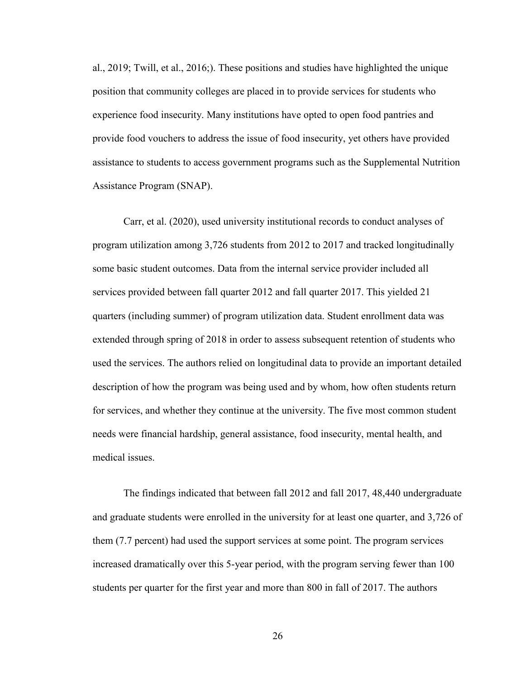al., 2019; Twill, et al., 2016;). These positions and studies have highlighted the unique position that community colleges are placed in to provide services for students who experience food insecurity. Many institutions have opted to open food pantries and provide food vouchers to address the issue of food insecurity, yet others have provided assistance to students to access government programs such as the Supplemental Nutrition Assistance Program (SNAP).

Carr, et al. (2020), used university institutional records to conduct analyses of program utilization among 3,726 students from 2012 to 2017 and tracked longitudinally some basic student outcomes. Data from the internal service provider included all services provided between fall quarter 2012 and fall quarter 2017. This yielded 21 quarters (including summer) of program utilization data. Student enrollment data was extended through spring of 2018 in order to assess subsequent retention of students who used the services. The authors relied on longitudinal data to provide an important detailed description of how the program was being used and by whom, how often students return for services, and whether they continue at the university. The five most common student needs were financial hardship, general assistance, food insecurity, mental health, and medical issues.

The findings indicated that between fall 2012 and fall 2017, 48,440 undergraduate and graduate students were enrolled in the university for at least one quarter, and 3,726 of them (7.7 percent) had used the support services at some point. The program services increased dramatically over this 5-year period, with the program serving fewer than 100 students per quarter for the first year and more than 800 in fall of 2017. The authors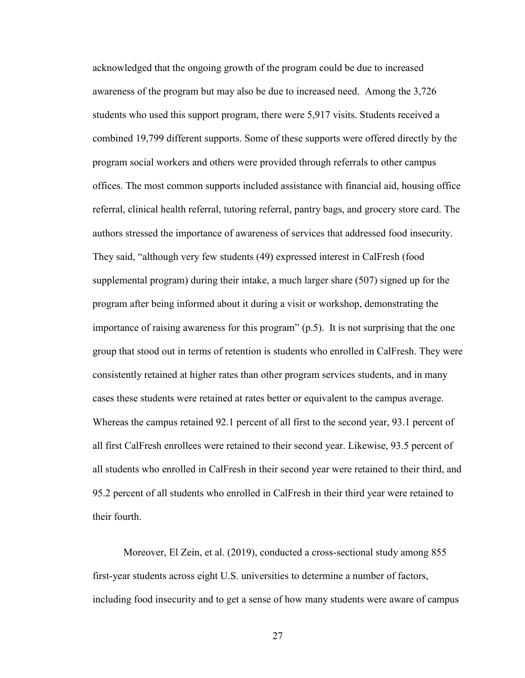acknowledged that the ongoing growth of the program could be due to increased awareness of the program but may also be due to increased need. Among the 3,726 students who used this support program, there were 5,917 visits. Students received a combined 19,799 different supports. Some of these supports were offered directly by the program social workers and others were provided through referrals to other campus offices. The most common supports included assistance with financial aid, housing office referral, clinical health referral, tutoring referral, pantry bags, and grocery store card. The authors stressed the importance of awareness of services that addressed food insecurity. They said, "although very few students (49) expressed interest in CalFresh (food supplemental program) during their intake, a much larger share (507) signed up for the program after being informed about it during a visit or workshop, demonstrating the importance of raising awareness for this program" (p.5). It is not surprising that the one group that stood out in terms of retention is students who enrolled in CalFresh. They were consistently retained at higher rates than other program services students, and in many cases these students were retained at rates better or equivalent to the campus average. Whereas the campus retained 92.1 percent of all first to the second year, 93.1 percent of all first CalFresh enrollees were retained to their second year. Likewise, 93.5 percent of all students who enrolled in CalFresh in their second year were retained to their third, and 95.2 percent of all students who enrolled in CalFresh in their third year were retained to their fourth.

Moreover, El Zein, et al. (2019), conducted a cross-sectional study among 855 first-year students across eight U.S. universities to determine a number of factors, including food insecurity and to get a sense of how many students were aware of campus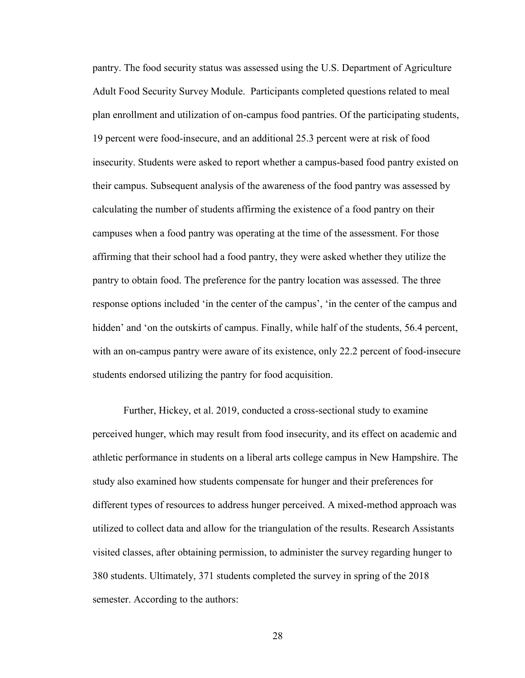pantry. The food security status was assessed using the U.S. Department of Agriculture Adult Food Security Survey Module. Participants completed questions related to meal plan enrollment and utilization of on-campus food pantries. Of the participating students, 19 percent were food-insecure, and an additional 25.3 percent were at risk of food insecurity. Students were asked to report whether a campus-based food pantry existed on their campus. Subsequent analysis of the awareness of the food pantry was assessed by calculating the number of students affirming the existence of a food pantry on their campuses when a food pantry was operating at the time of the assessment. For those affirming that their school had a food pantry, they were asked whether they utilize the pantry to obtain food. The preference for the pantry location was assessed. The three response options included 'in the center of the campus', 'in the center of the campus and hidden' and 'on the outskirts of campus. Finally, while half of the students, 56.4 percent, with an on-campus pantry were aware of its existence, only 22.2 percent of food-insecure students endorsed utilizing the pantry for food acquisition.

Further, Hickey, et al. 2019, conducted a cross-sectional study to examine perceived hunger, which may result from food insecurity, and its effect on academic and athletic performance in students on a liberal arts college campus in New Hampshire. The study also examined how students compensate for hunger and their preferences for different types of resources to address hunger perceived. A mixed-method approach was utilized to collect data and allow for the triangulation of the results. Research Assistants visited classes, after obtaining permission, to administer the survey regarding hunger to 380 students. Ultimately, 371 students completed the survey in spring of the 2018 semester. According to the authors: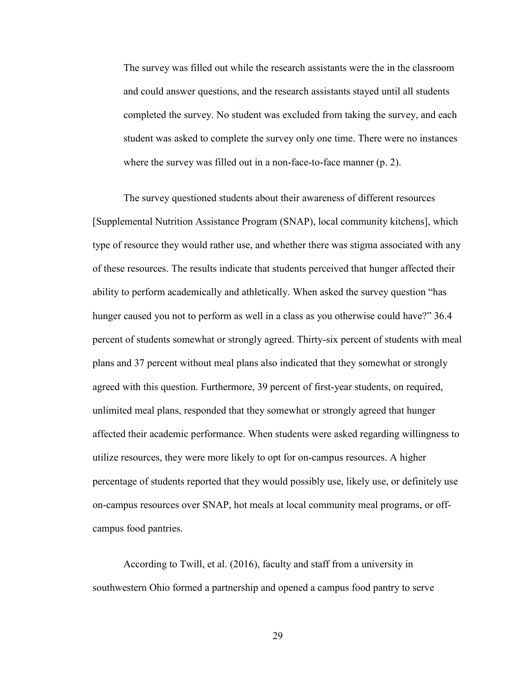The survey was filled out while the research assistants were the in the classroom and could answer questions, and the research assistants stayed until all students completed the survey. No student was excluded from taking the survey, and each student was asked to complete the survey only one time. There were no instances where the survey was filled out in a non-face-to-face manner (p. 2).

The survey questioned students about their awareness of different resources [Supplemental Nutrition Assistance Program (SNAP), local community kitchens], which type of resource they would rather use, and whether there was stigma associated with any of these resources. The results indicate that students perceived that hunger affected their ability to perform academically and athletically. When asked the survey question "has hunger caused you not to perform as well in a class as you otherwise could have?" 36.4 percent of students somewhat or strongly agreed. Thirty-six percent of students with meal plans and 37 percent without meal plans also indicated that they somewhat or strongly agreed with this question. Furthermore, 39 percent of first-year students, on required, unlimited meal plans, responded that they somewhat or strongly agreed that hunger affected their academic performance. When students were asked regarding willingness to utilize resources, they were more likely to opt for on-campus resources. A higher percentage of students reported that they would possibly use, likely use, or definitely use on-campus resources over SNAP, hot meals at local community meal programs, or offcampus food pantries.

According to Twill, et al. (2016), faculty and staff from a university in southwestern Ohio formed a partnership and opened a campus food pantry to serve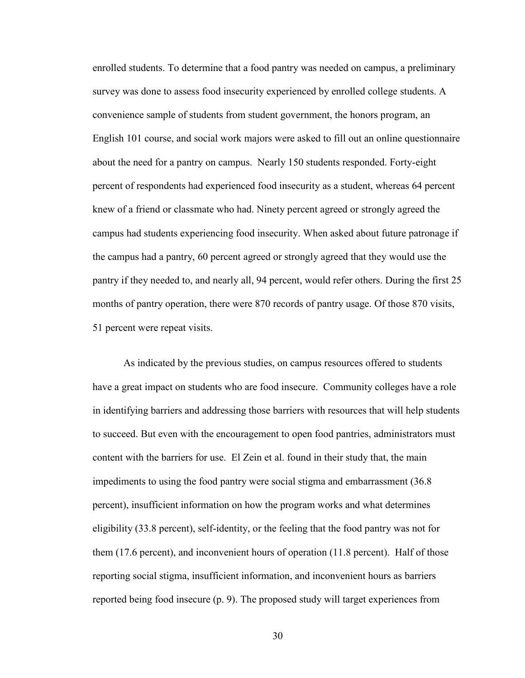enrolled students. To determine that a food pantry was needed on campus, a preliminary survey was done to assess food insecurity experienced by enrolled college students. A convenience sample of students from student government, the honors program, an English 101 course, and social work majors were asked to fill out an online questionnaire about the need for a pantry on campus. Nearly 150 students responded. Forty-eight percent of respondents had experienced food insecurity as a student, whereas 64 percent knew of a friend or classmate who had. Ninety percent agreed or strongly agreed the campus had students experiencing food insecurity. When asked about future patronage if the campus had a pantry, 60 percent agreed or strongly agreed that they would use the pantry if they needed to, and nearly all, 94 percent, would refer others. During the first 25 months of pantry operation, there were 870 records of pantry usage. Of those 870 visits, 51 percent were repeat visits.

As indicated by the previous studies, on campus resources offered to students have a great impact on students who are food insecure. Community colleges have a role in identifying barriers and addressing those barriers with resources that will help students to succeed. But even with the encouragement to open food pantries, administrators must content with the barriers for use. El Zein et al. found in their study that, the main impediments to using the food pantry were social stigma and embarrassment (36.8 percent), insufficient information on how the program works and what determines eligibility (33.8 percent), self-identity, or the feeling that the food pantry was not for them (17.6 percent), and inconvenient hours of operation (11.8 percent). Half of those reporting social stigma, insufficient information, and inconvenient hours as barriers reported being food insecure (p. 9). The proposed study will target experiences from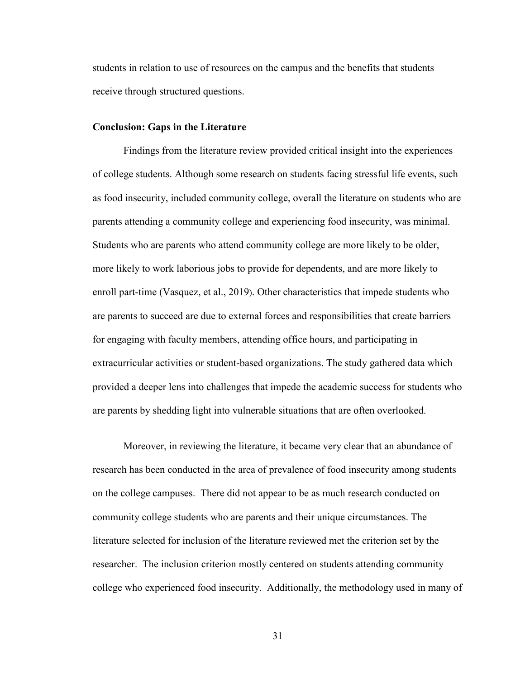students in relation to use of resources on the campus and the benefits that students receive through structured questions.

### **Conclusion: Gaps in the Literature**

Findings from the literature review provided critical insight into the experiences of college students. Although some research on students facing stressful life events, such as food insecurity, included community college, overall the literature on students who are parents attending a community college and experiencing food insecurity, was minimal. Students who are parents who attend community college are more likely to be older, more likely to work laborious jobs to provide for dependents, and are more likely to enroll part-time (Vasquez, et al., 2019). Other characteristics that impede students who are parents to succeed are due to external forces and responsibilities that create barriers for engaging with faculty members, attending office hours, and participating in extracurricular activities or student-based organizations. The study gathered data which provided a deeper lens into challenges that impede the academic success for students who are parents by shedding light into vulnerable situations that are often overlooked.

Moreover, in reviewing the literature, it became very clear that an abundance of research has been conducted in the area of prevalence of food insecurity among students on the college campuses. There did not appear to be as much research conducted on community college students who are parents and their unique circumstances. The literature selected for inclusion of the literature reviewed met the criterion set by the researcher. The inclusion criterion mostly centered on students attending community college who experienced food insecurity. Additionally, the methodology used in many of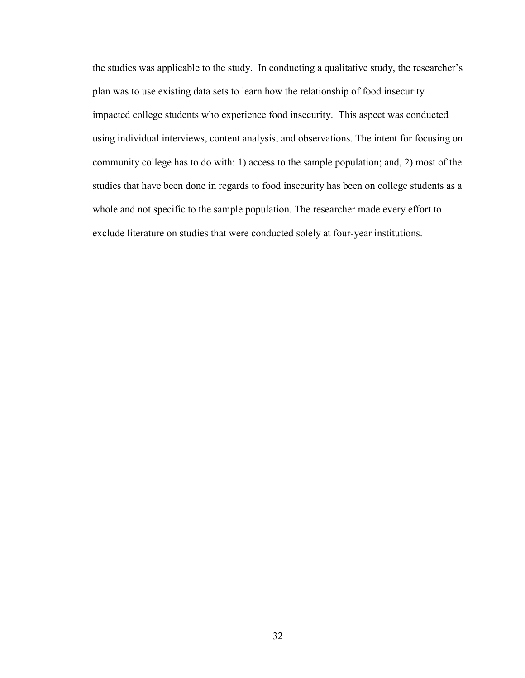the studies was applicable to the study. In conducting a qualitative study, the researcher's plan was to use existing data sets to learn how the relationship of food insecurity impacted college students who experience food insecurity. This aspect was conducted using individual interviews, content analysis, and observations. The intent for focusing on community college has to do with: 1) access to the sample population; and, 2) most of the studies that have been done in regards to food insecurity has been on college students as a whole and not specific to the sample population. The researcher made every effort to exclude literature on studies that were conducted solely at four-year institutions.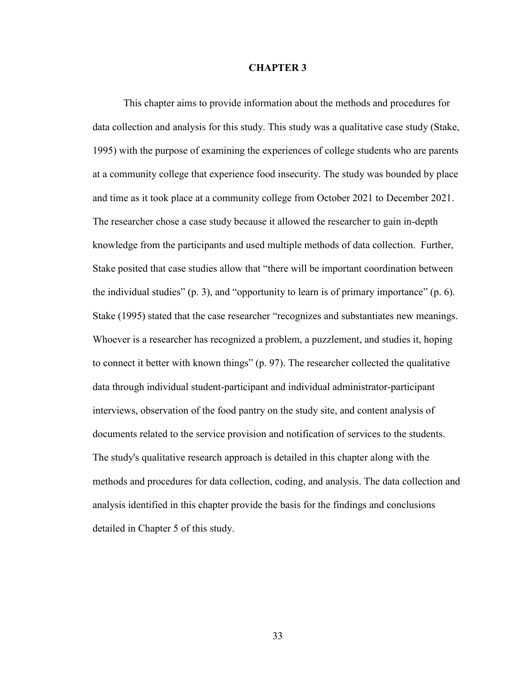### **CHAPTER 3**

This chapter aims to provide information about the methods and procedures for data collection and analysis for this study. This study was a qualitative case study (Stake, 1995) with the purpose of examining the experiences of college students who are parents at a community college that experience food insecurity. The study was bounded by place and time as it took place at a community college from October 2021 to December 2021. The researcher chose a case study because it allowed the researcher to gain in-depth knowledge from the participants and used multiple methods of data collection. Further, Stake posited that case studies allow that "there will be important coordination between the individual studies" (p. 3), and "opportunity to learn is of primary importance" (p. 6). Stake (1995) stated that the case researcher "recognizes and substantiates new meanings. Whoever is a researcher has recognized a problem, a puzzlement, and studies it, hoping to connect it better with known things" (p. 97). The researcher collected the qualitative data through individual student-participant and individual administrator-participant interviews, observation of the food pantry on the study site, and content analysis of documents related to the service provision and notification of services to the students. The study's qualitative research approach is detailed in this chapter along with the methods and procedures for data collection, coding, and analysis. The data collection and analysis identified in this chapter provide the basis for the findings and conclusions detailed in Chapter 5 of this study.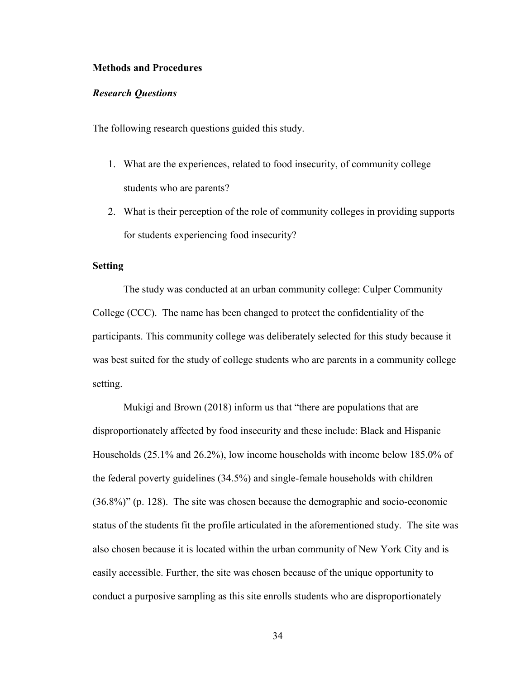#### **Methods and Procedures**

#### *Research Questions*

The following research questions guided this study.

- 1. What are the experiences, related to food insecurity, of community college students who are parents?
- 2. What is their perception of the role of community colleges in providing supports for students experiencing food insecurity?

## **Setting**

The study was conducted at an urban community college: Culper Community College (CCC). The name has been changed to protect the confidentiality of the participants. This community college was deliberately selected for this study because it was best suited for the study of college students who are parents in a community college setting.

Mukigi and Brown (2018) inform us that "there are populations that are disproportionately affected by food insecurity and these include: Black and Hispanic Households (25.1% and 26.2%), low income households with income below 185.0% of the federal poverty guidelines (34.5%) and single-female households with children (36.8%)" (p. 128). The site was chosen because the demographic and socio-economic status of the students fit the profile articulated in the aforementioned study. The site was also chosen because it is located within the urban community of New York City and is easily accessible. Further, the site was chosen because of the unique opportunity to conduct a purposive sampling as this site enrolls students who are disproportionately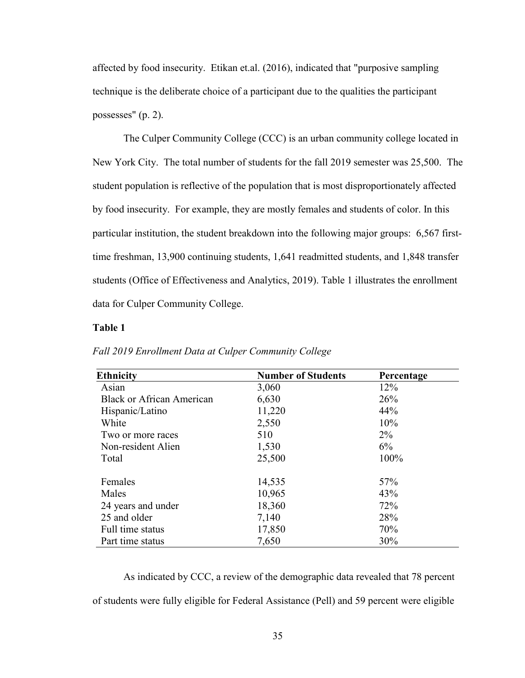affected by food insecurity. Etikan et.al. (2016), indicated that "purposive sampling technique is the deliberate choice of a participant due to the qualities the participant possesses" (p. 2).

The Culper Community College (CCC) is an urban community college located in New York City. The total number of students for the fall 2019 semester was 25,500. The student population is reflective of the population that is most disproportionately affected by food insecurity. For example, they are mostly females and students of color. In this particular institution, the student breakdown into the following major groups: 6,567 firsttime freshman, 13,900 continuing students, 1,641 readmitted students, and 1,848 transfer students (Office of Effectiveness and Analytics, 2019). Table 1 illustrates the enrollment data for Culper Community College.

## **Table 1**

| <b>Ethnicity</b>                 | <b>Number of Students</b> | Percentage |
|----------------------------------|---------------------------|------------|
| Asian                            | 3,060                     | 12%        |
| <b>Black or African American</b> | 6,630                     | 26%        |
| Hispanic/Latino                  | 11,220                    | 44%        |
| White                            | 2,550                     | 10%        |
| Two or more races                | 510                       | $2\%$      |
| Non-resident Alien               | 1,530                     | 6%         |
| Total                            | 25,500                    | 100%       |
| Females                          | 14,535                    | 57%        |
| Males                            | 10,965                    | 43%        |
| 24 years and under               | 18,360                    | 72%        |
| 25 and older                     | 7,140                     | 28%        |
| Full time status                 | 17,850                    | 70%        |
| Part time status                 | 7,650                     | 30%        |

*Fall 2019 Enrollment Data at Culper Community College* 

As indicated by CCC, a review of the demographic data revealed that 78 percent of students were fully eligible for Federal Assistance (Pell) and 59 percent were eligible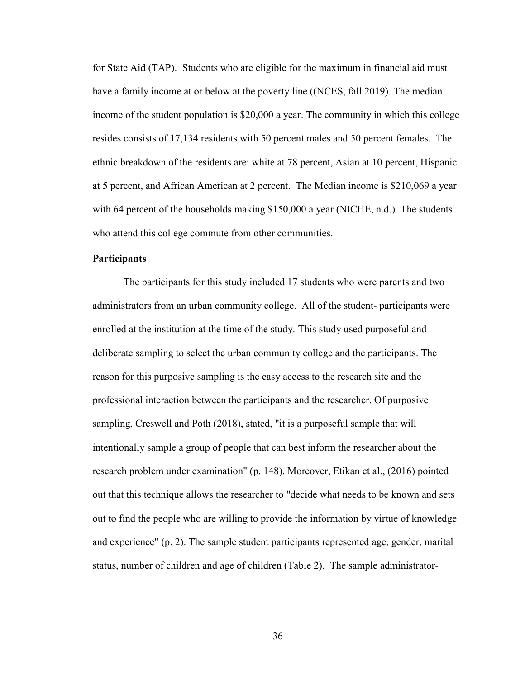for State Aid (TAP). Students who are eligible for the maximum in financial aid must have a family income at or below at the poverty line ((NCES, fall 2019). The median income of the student population is \$20,000 a year. The community in which this college resides consists of 17,134 residents with 50 percent males and 50 percent females. The ethnic breakdown of the residents are: white at 78 percent, Asian at 10 percent, Hispanic at 5 percent, and African American at 2 percent. The Median income is \$210,069 a year with 64 percent of the households making \$150,000 a year (NICHE, n.d.). The students who attend this college commute from other communities.

## **Participants**

The participants for this study included 17 students who were parents and two administrators from an urban community college. All of the student- participants were enrolled at the institution at the time of the study. This study used purposeful and deliberate sampling to select the urban community college and the participants. The reason for this purposive sampling is the easy access to the research site and the professional interaction between the participants and the researcher. Of purposive sampling, Creswell and Poth (2018), stated, "it is a purposeful sample that will intentionally sample a group of people that can best inform the researcher about the research problem under examination" (p. 148). Moreover, Etikan et al., (2016) pointed out that this technique allows the researcher to "decide what needs to be known and sets out to find the people who are willing to provide the information by virtue of knowledge and experience" (p. 2). The sample student participants represented age, gender, marital status, number of children and age of children (Table 2). The sample administrator-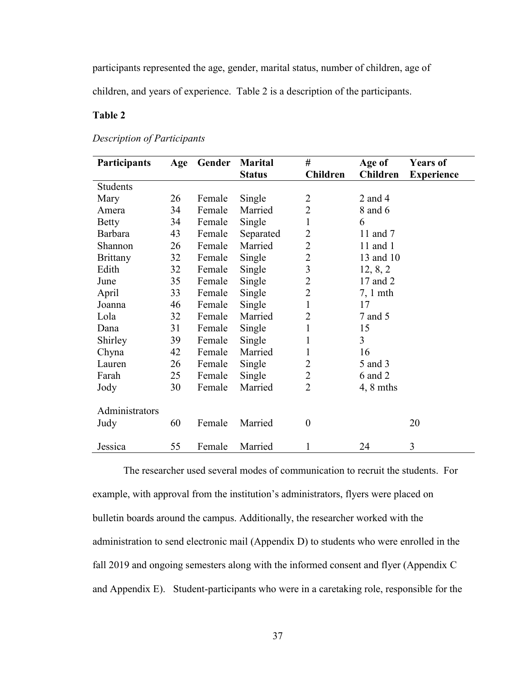participants represented the age, gender, marital status, number of children, age of

children, and years of experience. Table 2 is a description of the participants.

# **Table 2**

# *Description of Participants*

| <b>Participants</b> | Age | Gender | <b>Marital</b> | #                | Age of              | <b>Years of</b>   |
|---------------------|-----|--------|----------------|------------------|---------------------|-------------------|
|                     |     |        | <b>Status</b>  | Children         | Children            | <b>Experience</b> |
| <b>Students</b>     |     |        |                |                  |                     |                   |
| Mary                | 26  | Female | Single         | $\overline{2}$   | $2$ and $4$         |                   |
| Amera               | 34  | Female | Married        | $\overline{2}$   | 8 and 6             |                   |
| Betty               | 34  | Female | Single         | $\mathbf{1}$     | 6                   |                   |
| Barbara             | 43  | Female | Separated      | $\overline{2}$   | 11 and 7            |                   |
| Shannon             | 26  | Female | Married        | $\overline{2}$   | 11 and $1$          |                   |
| Brittany            | 32  | Female | Single         | $\overline{2}$   | 13 and 10           |                   |
| Edith               | 32  | Female | Single         | 3                | 12, 8, 2            |                   |
| June                | 35  | Female | Single         | $\overline{2}$   | 17 and 2            |                   |
| April               | 33  | Female | Single         | $\overline{2}$   | $7, 1$ mth          |                   |
| Joanna              | 46  | Female | Single         | $\mathbf{1}$     | 17                  |                   |
| Lola                | 32  | Female | Married        | $\overline{2}$   | 7 and 5             |                   |
| Dana                | 31  | Female | Single         | 1                | 15                  |                   |
| Shirley             | 39  | Female | Single         | 1                | $\overline{3}$      |                   |
| Chyna               | 42  | Female | Married        | 1                | 16                  |                   |
| Lauren              | 26  | Female | Single         | $\overline{2}$   | 5 and 3             |                   |
| Farah               | 25  | Female | Single         | $\overline{2}$   | 6 and 2             |                   |
| Jody                | 30  | Female | Married        | $\overline{2}$   | $4, 8 \text{ mths}$ |                   |
|                     |     |        |                |                  |                     |                   |
| Administrators      |     |        |                |                  |                     |                   |
| Judy                | 60  | Female | Married        | $\boldsymbol{0}$ |                     | 20                |
|                     |     |        |                |                  |                     |                   |
| Jessica             | 55  | Female | Married        | 1                | 24                  | 3                 |

The researcher used several modes of communication to recruit the students. For example, with approval from the institution's administrators, flyers were placed on bulletin boards around the campus. Additionally, the researcher worked with the administration to send electronic mail (Appendix D) to students who were enrolled in the fall 2019 and ongoing semesters along with the informed consent and flyer (Appendix C and Appendix E). Student-participants who were in a caretaking role, responsible for the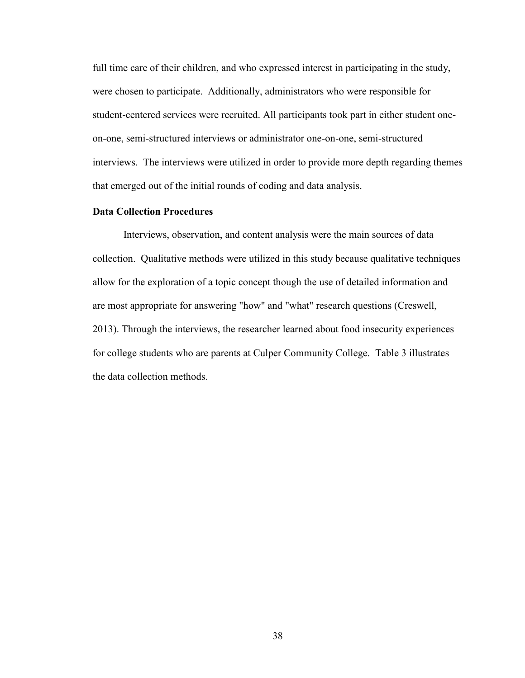full time care of their children, and who expressed interest in participating in the study, were chosen to participate. Additionally, administrators who were responsible for student-centered services were recruited. All participants took part in either student oneon-one, semi-structured interviews or administrator one-on-one, semi-structured interviews. The interviews were utilized in order to provide more depth regarding themes that emerged out of the initial rounds of coding and data analysis.

### **Data Collection Procedures**

Interviews, observation, and content analysis were the main sources of data collection. Qualitative methods were utilized in this study because qualitative techniques allow for the exploration of a topic concept though the use of detailed information and are most appropriate for answering "how" and "what" research questions (Creswell, 2013). Through the interviews, the researcher learned about food insecurity experiences for college students who are parents at Culper Community College. Table 3 illustrates the data collection methods.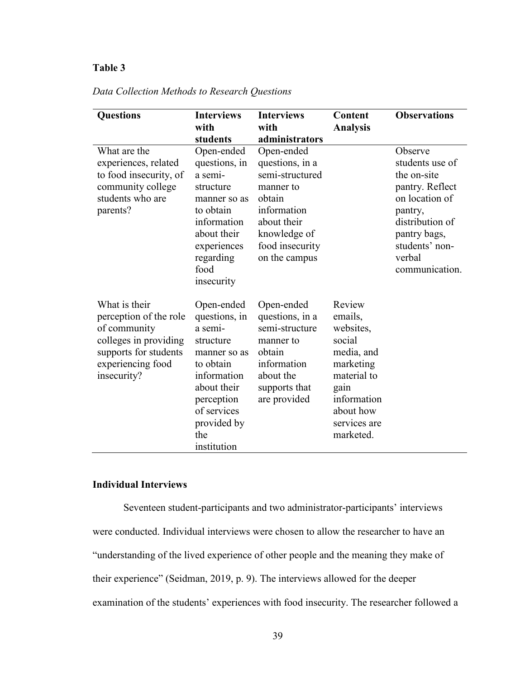# **Table 3**

| <b>Questions</b>                                                                                                                              | <b>Interviews</b><br>with                                                                                                                                                        | <b>Interviews</b><br>with                                                                                                                                 | Content<br><b>Analysis</b>                                                                                                                          | <b>Observations</b>                                                                                                                                                        |
|-----------------------------------------------------------------------------------------------------------------------------------------------|----------------------------------------------------------------------------------------------------------------------------------------------------------------------------------|-----------------------------------------------------------------------------------------------------------------------------------------------------------|-----------------------------------------------------------------------------------------------------------------------------------------------------|----------------------------------------------------------------------------------------------------------------------------------------------------------------------------|
|                                                                                                                                               | students                                                                                                                                                                         | administrators                                                                                                                                            |                                                                                                                                                     |                                                                                                                                                                            |
| What are the<br>experiences, related<br>to food insecurity, of<br>community college<br>students who are<br>parents?                           | Open-ended<br>questions, in<br>a semi-<br>structure<br>manner so as<br>to obtain<br>information<br>about their<br>experiences<br>regarding<br>food<br>insecurity                 | Open-ended<br>questions, in a<br>semi-structured<br>manner to<br>obtain<br>information<br>about their<br>knowledge of<br>food insecurity<br>on the campus |                                                                                                                                                     | Observe<br>students use of<br>the on-site<br>pantry. Reflect<br>on location of<br>pantry,<br>distribution of<br>pantry bags,<br>students' non-<br>verbal<br>communication. |
| What is their<br>perception of the role<br>of community<br>colleges in providing<br>supports for students<br>experiencing food<br>insecurity? | Open-ended<br>questions, in<br>a semi-<br>structure<br>manner so as<br>to obtain<br>information<br>about their<br>perception<br>of services<br>provided by<br>the<br>institution | Open-ended<br>questions, in a<br>semi-structure<br>manner to<br>obtain<br>information<br>about the<br>supports that<br>are provided                       | Review<br>emails,<br>websites,<br>social<br>media, and<br>marketing<br>material to<br>gain<br>information<br>about how<br>services are<br>marketed. |                                                                                                                                                                            |

*Data Collection Methods to Research Questions*

# **Individual Interviews**

Seventeen student-participants and two administrator-participants' interviews were conducted. Individual interviews were chosen to allow the researcher to have an "understanding of the lived experience of other people and the meaning they make of their experience" (Seidman, 2019, p. 9). The interviews allowed for the deeper examination of the students' experiences with food insecurity. The researcher followed a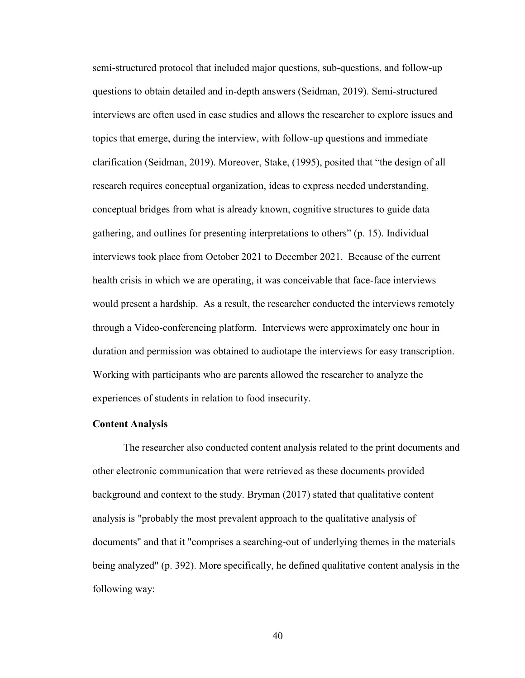semi-structured protocol that included major questions, sub-questions, and follow-up questions to obtain detailed and in-depth answers (Seidman, 2019). Semi-structured interviews are often used in case studies and allows the researcher to explore issues and topics that emerge, during the interview, with follow-up questions and immediate clarification (Seidman, 2019). Moreover, Stake, (1995), posited that "the design of all research requires conceptual organization, ideas to express needed understanding, conceptual bridges from what is already known, cognitive structures to guide data gathering, and outlines for presenting interpretations to others" (p. 15). Individual interviews took place from October 2021 to December 2021. Because of the current health crisis in which we are operating, it was conceivable that face-face interviews would present a hardship. As a result, the researcher conducted the interviews remotely through a Video-conferencing platform. Interviews were approximately one hour in duration and permission was obtained to audiotape the interviews for easy transcription. Working with participants who are parents allowed the researcher to analyze the experiences of students in relation to food insecurity.

#### **Content Analysis**

The researcher also conducted content analysis related to the print documents and other electronic communication that were retrieved as these documents provided background and context to the study. Bryman (2017) stated that qualitative content analysis is "probably the most prevalent approach to the qualitative analysis of documents" and that it "comprises a searching-out of underlying themes in the materials being analyzed" (p. 392). More specifically, he defined qualitative content analysis in the following way: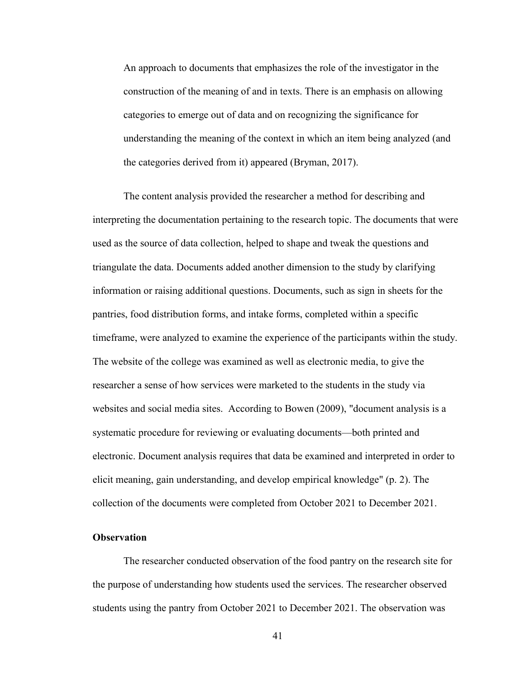An approach to documents that emphasizes the role of the investigator in the construction of the meaning of and in texts. There is an emphasis on allowing categories to emerge out of data and on recognizing the significance for understanding the meaning of the context in which an item being analyzed (and the categories derived from it) appeared (Bryman, 2017).

The content analysis provided the researcher a method for describing and interpreting the documentation pertaining to the research topic. The documents that were used as the source of data collection, helped to shape and tweak the questions and triangulate the data. Documents added another dimension to the study by clarifying information or raising additional questions. Documents, such as sign in sheets for the pantries, food distribution forms, and intake forms, completed within a specific timeframe, were analyzed to examine the experience of the participants within the study. The website of the college was examined as well as electronic media, to give the researcher a sense of how services were marketed to the students in the study via websites and social media sites. According to Bowen (2009), "document analysis is a systematic procedure for reviewing or evaluating documents—both printed and electronic. Document analysis requires that data be examined and interpreted in order to elicit meaning, gain understanding, and develop empirical knowledge" (p. 2). The collection of the documents were completed from October 2021 to December 2021.

## **Observation**

The researcher conducted observation of the food pantry on the research site for the purpose of understanding how students used the services. The researcher observed students using the pantry from October 2021 to December 2021. The observation was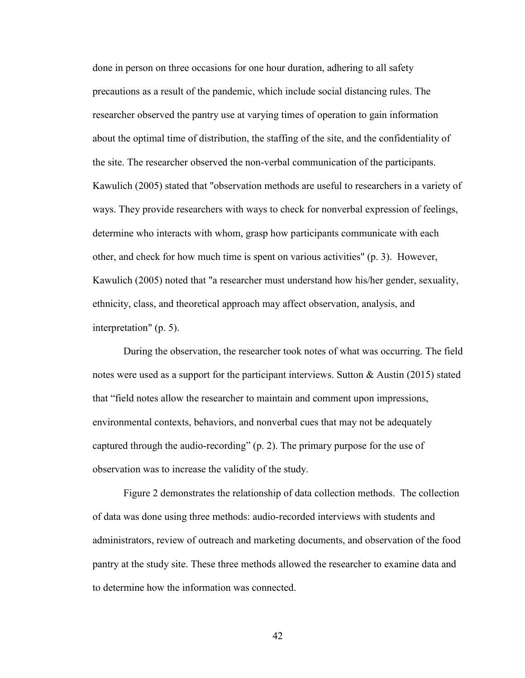done in person on three occasions for one hour duration, adhering to all safety precautions as a result of the pandemic, which include social distancing rules. The researcher observed the pantry use at varying times of operation to gain information about the optimal time of distribution, the staffing of the site, and the confidentiality of the site. The researcher observed the non-verbal communication of the participants. Kawulich (2005) stated that "observation methods are useful to researchers in a variety of ways. They provide researchers with ways to check for nonverbal expression of feelings, determine who interacts with whom, grasp how participants communicate with each other, and check for how much time is spent on various activities" (p. 3). However, Kawulich (2005) noted that "a researcher must understand how his/her gender, sexuality, ethnicity, class, and theoretical approach may affect observation, analysis, and interpretation" (p. 5).

During the observation, the researcher took notes of what was occurring. The field notes were used as a support for the participant interviews. Sutton & Austin (2015) stated that "field notes allow the researcher to maintain and comment upon impressions, environmental contexts, behaviors, and nonverbal cues that may not be adequately captured through the audio-recording" (p. 2). The primary purpose for the use of observation was to increase the validity of the study.

Figure 2 demonstrates the relationship of data collection methods. The collection of data was done using three methods: audio-recorded interviews with students and administrators, review of outreach and marketing documents, and observation of the food pantry at the study site. These three methods allowed the researcher to examine data and to determine how the information was connected.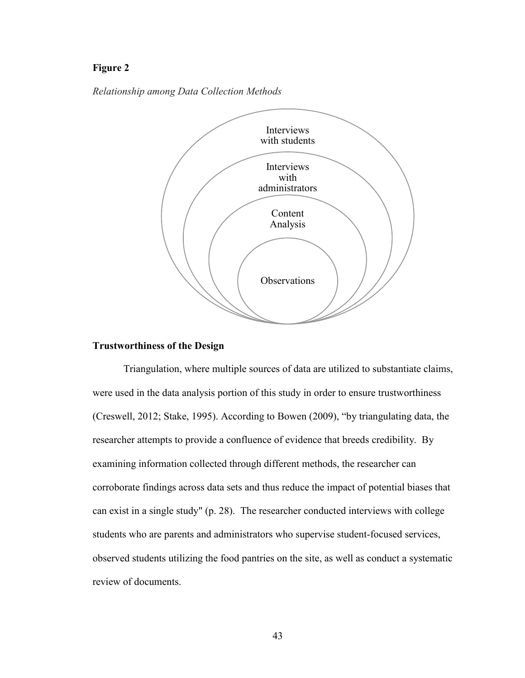## **Figure 2**





### **Trustworthiness of the Design**

Triangulation, where multiple sources of data are utilized to substantiate claims, were used in the data analysis portion of this study in order to ensure trustworthiness (Creswell, 2012; Stake, 1995). According to Bowen (2009), "by triangulating data, the researcher attempts to provide a confluence of evidence that breeds credibility. By examining information collected through different methods, the researcher can corroborate findings across data sets and thus reduce the impact of potential biases that can exist in a single study" (p. 28). The researcher conducted interviews with college students who are parents and administrators who supervise student-focused services, observed students utilizing the food pantries on the site, as well as conduct a systematic review of documents.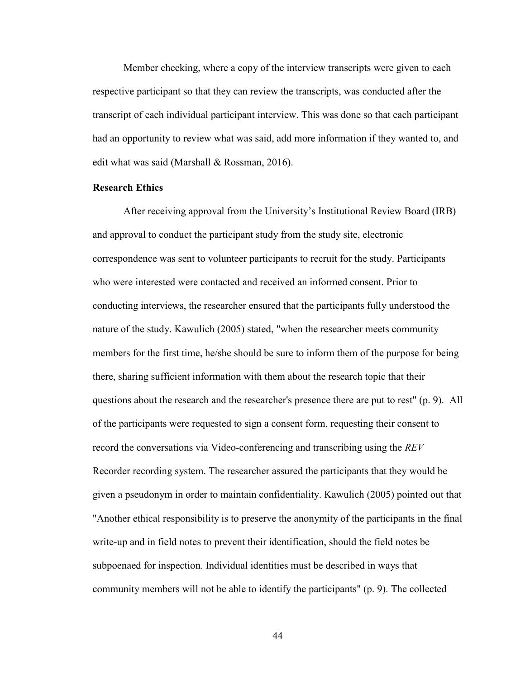Member checking, where a copy of the interview transcripts were given to each respective participant so that they can review the transcripts, was conducted after the transcript of each individual participant interview. This was done so that each participant had an opportunity to review what was said, add more information if they wanted to, and edit what was said (Marshall & Rossman, 2016).

## **Research Ethics**

After receiving approval from the University's Institutional Review Board (IRB) and approval to conduct the participant study from the study site, electronic correspondence was sent to volunteer participants to recruit for the study. Participants who were interested were contacted and received an informed consent. Prior to conducting interviews, the researcher ensured that the participants fully understood the nature of the study. Kawulich (2005) stated, "when the researcher meets community members for the first time, he/she should be sure to inform them of the purpose for being there, sharing sufficient information with them about the research topic that their questions about the research and the researcher's presence there are put to rest" (p. 9). All of the participants were requested to sign a consent form, requesting their consent to record the conversations via Video-conferencing and transcribing using the *REV* Recorder recording system. The researcher assured the participants that they would be given a pseudonym in order to maintain confidentiality. Kawulich (2005) pointed out that "Another ethical responsibility is to preserve the anonymity of the participants in the final write-up and in field notes to prevent their identification, should the field notes be subpoenaed for inspection. Individual identities must be described in ways that community members will not be able to identify the participants" (p. 9). The collected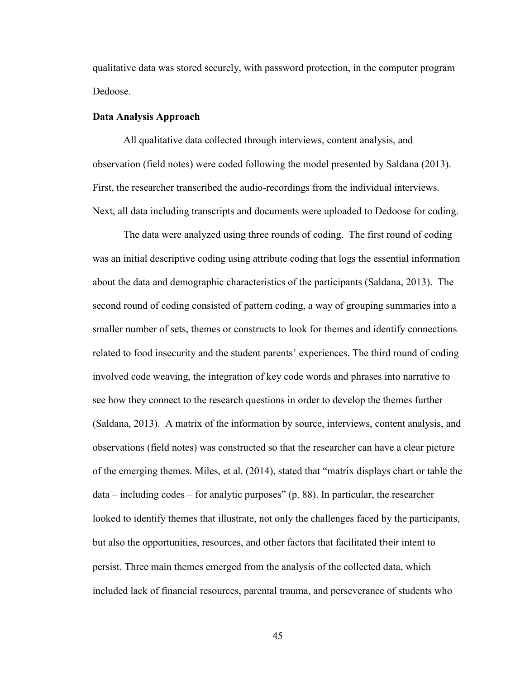qualitative data was stored securely, with password protection, in the computer program Dedoose.

#### **Data Analysis Approach**

All qualitative data collected through interviews, content analysis, and observation (field notes) were coded following the model presented by Saldana (2013). First, the researcher transcribed the audio-recordings from the individual interviews. Next, all data including transcripts and documents were uploaded to Dedoose for coding.

The data were analyzed using three rounds of coding. The first round of coding was an initial descriptive coding using attribute coding that logs the essential information about the data and demographic characteristics of the participants (Saldana, 2013). The second round of coding consisted of pattern coding, a way of grouping summaries into a smaller number of sets, themes or constructs to look for themes and identify connections related to food insecurity and the student parents' experiences. The third round of coding involved code weaving, the integration of key code words and phrases into narrative to see how they connect to the research questions in order to develop the themes further (Saldana, 2013). A matrix of the information by source, interviews, content analysis, and observations (field notes) was constructed so that the researcher can have a clear picture of the emerging themes. Miles, et al. (2014), stated that "matrix displays chart or table the data – including codes – for analytic purposes" (p. 88). In particular, the researcher looked to identify themes that illustrate, not only the challenges faced by the participants, but also the opportunities, resources, and other factors that facilitated their intent to persist. Three main themes emerged from the analysis of the collected data, which included lack of financial resources, parental trauma, and perseverance of students who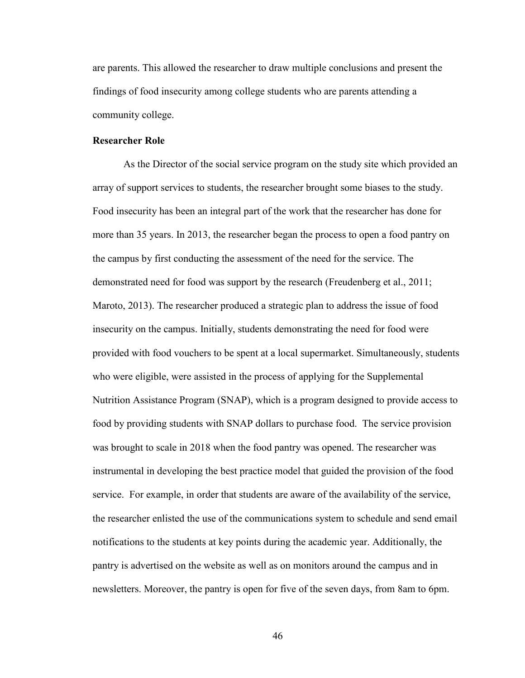are parents. This allowed the researcher to draw multiple conclusions and present the findings of food insecurity among college students who are parents attending a community college.

### **Researcher Role**

As the Director of the social service program on the study site which provided an array of support services to students, the researcher brought some biases to the study. Food insecurity has been an integral part of the work that the researcher has done for more than 35 years. In 2013, the researcher began the process to open a food pantry on the campus by first conducting the assessment of the need for the service. The demonstrated need for food was support by the research (Freudenberg et al., 2011; Maroto, 2013). The researcher produced a strategic plan to address the issue of food insecurity on the campus. Initially, students demonstrating the need for food were provided with food vouchers to be spent at a local supermarket. Simultaneously, students who were eligible, were assisted in the process of applying for the Supplemental Nutrition Assistance Program (SNAP), which is a program designed to provide access to food by providing students with SNAP dollars to purchase food. The service provision was brought to scale in 2018 when the food pantry was opened. The researcher was instrumental in developing the best practice model that guided the provision of the food service. For example, in order that students are aware of the availability of the service, the researcher enlisted the use of the communications system to schedule and send email notifications to the students at key points during the academic year. Additionally, the pantry is advertised on the website as well as on monitors around the campus and in newsletters. Moreover, the pantry is open for five of the seven days, from 8am to 6pm.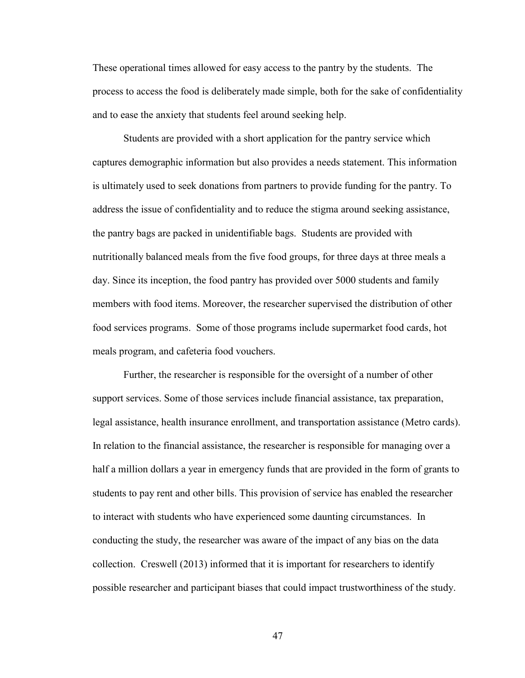These operational times allowed for easy access to the pantry by the students. The process to access the food is deliberately made simple, both for the sake of confidentiality and to ease the anxiety that students feel around seeking help.

Students are provided with a short application for the pantry service which captures demographic information but also provides a needs statement. This information is ultimately used to seek donations from partners to provide funding for the pantry. To address the issue of confidentiality and to reduce the stigma around seeking assistance, the pantry bags are packed in unidentifiable bags. Students are provided with nutritionally balanced meals from the five food groups, for three days at three meals a day. Since its inception, the food pantry has provided over 5000 students and family members with food items. Moreover, the researcher supervised the distribution of other food services programs. Some of those programs include supermarket food cards, hot meals program, and cafeteria food vouchers.

Further, the researcher is responsible for the oversight of a number of other support services. Some of those services include financial assistance, tax preparation, legal assistance, health insurance enrollment, and transportation assistance (Metro cards). In relation to the financial assistance, the researcher is responsible for managing over a half a million dollars a year in emergency funds that are provided in the form of grants to students to pay rent and other bills. This provision of service has enabled the researcher to interact with students who have experienced some daunting circumstances. In conducting the study, the researcher was aware of the impact of any bias on the data collection. Creswell (2013) informed that it is important for researchers to identify possible researcher and participant biases that could impact trustworthiness of the study.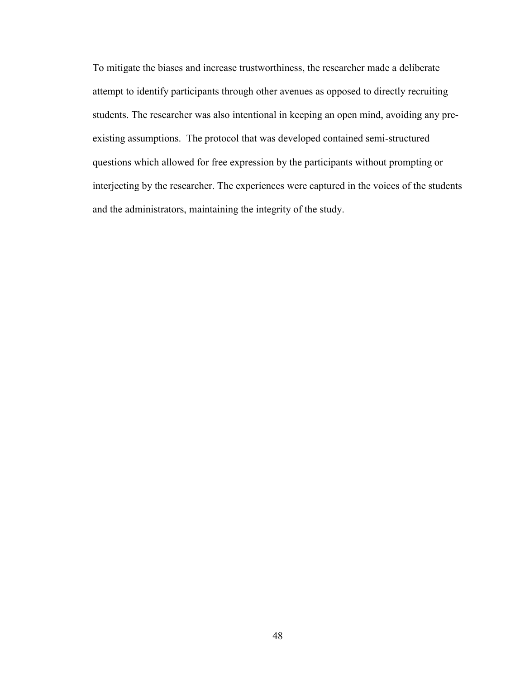To mitigate the biases and increase trustworthiness, the researcher made a deliberate attempt to identify participants through other avenues as opposed to directly recruiting students. The researcher was also intentional in keeping an open mind, avoiding any preexisting assumptions. The protocol that was developed contained semi-structured questions which allowed for free expression by the participants without prompting or interjecting by the researcher. The experiences were captured in the voices of the students and the administrators, maintaining the integrity of the study.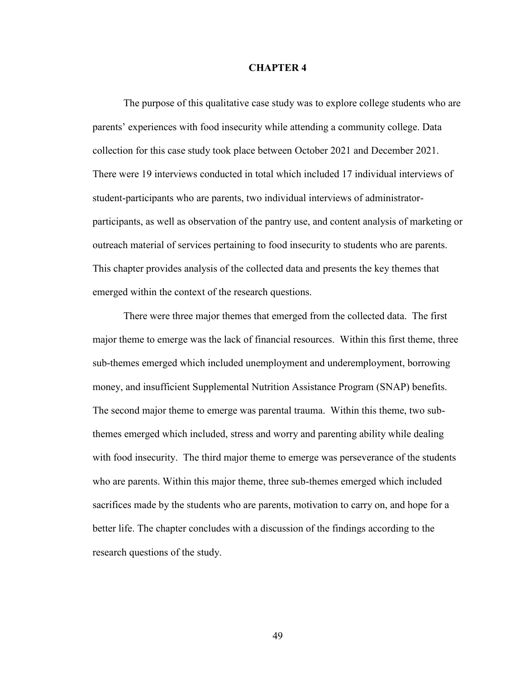#### **CHAPTER 4**

The purpose of this qualitative case study was to explore college students who are parents' experiences with food insecurity while attending a community college. Data collection for this case study took place between October 2021 and December 2021. There were 19 interviews conducted in total which included 17 individual interviews of student-participants who are parents, two individual interviews of administratorparticipants, as well as observation of the pantry use, and content analysis of marketing or outreach material of services pertaining to food insecurity to students who are parents. This chapter provides analysis of the collected data and presents the key themes that emerged within the context of the research questions.

There were three major themes that emerged from the collected data. The first major theme to emerge was the lack of financial resources. Within this first theme, three sub-themes emerged which included unemployment and underemployment, borrowing money, and insufficient Supplemental Nutrition Assistance Program (SNAP) benefits. The second major theme to emerge was parental trauma. Within this theme, two subthemes emerged which included, stress and worry and parenting ability while dealing with food insecurity. The third major theme to emerge was perseverance of the students who are parents. Within this major theme, three sub-themes emerged which included sacrifices made by the students who are parents, motivation to carry on, and hope for a better life. The chapter concludes with a discussion of the findings according to the research questions of the study.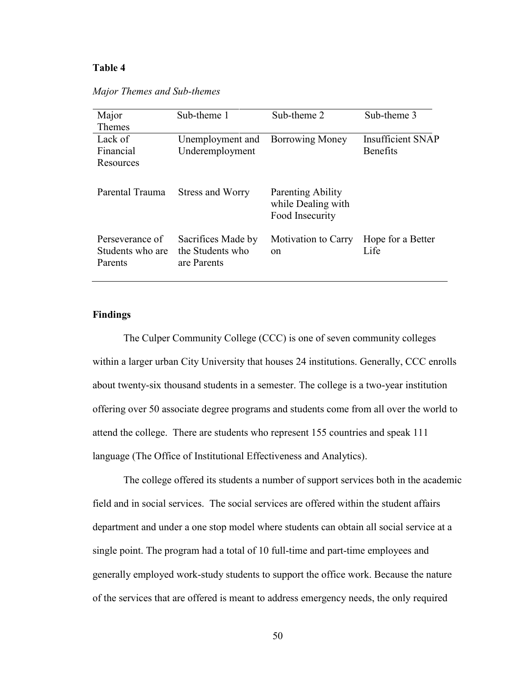#### **Table 4**

| Major                                          | Sub-theme 1                                           | Sub-theme 2                                                | Sub-theme 3               |
|------------------------------------------------|-------------------------------------------------------|------------------------------------------------------------|---------------------------|
| <b>Themes</b>                                  |                                                       |                                                            |                           |
| Lack of                                        | Unemployment and                                      | <b>Borrowing Money</b>                                     | <b>Insufficient SNAP</b>  |
| Financial                                      | Underemployment                                       |                                                            | Benefits                  |
| Resources                                      |                                                       |                                                            |                           |
| Parental Trauma                                | Stress and Worry                                      | Parenting Ability<br>while Dealing with<br>Food Insecurity |                           |
| Perseverance of<br>Students who are<br>Parents | Sacrifices Made by<br>the Students who<br>are Parents | Motivation to Carry<br><sub>on</sub>                       | Hope for a Better<br>Life |

*Major Themes and Sub-themes*

## **Findings**

The Culper Community College (CCC) is one of seven community colleges within a larger urban City University that houses 24 institutions. Generally, CCC enrolls about twenty-six thousand students in a semester. The college is a two-year institution offering over 50 associate degree programs and students come from all over the world to attend the college. There are students who represent 155 countries and speak 111 language (The Office of Institutional Effectiveness and Analytics).

The college offered its students a number of support services both in the academic field and in social services. The social services are offered within the student affairs department and under a one stop model where students can obtain all social service at a single point. The program had a total of 10 full-time and part-time employees and generally employed work-study students to support the office work. Because the nature of the services that are offered is meant to address emergency needs, the only required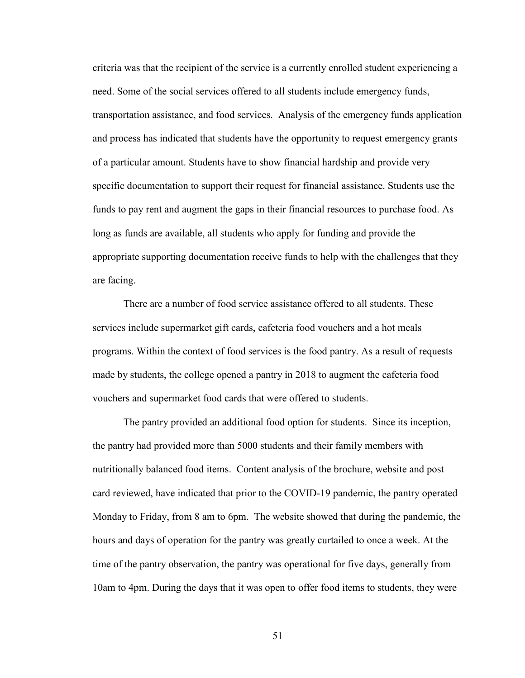criteria was that the recipient of the service is a currently enrolled student experiencing a need. Some of the social services offered to all students include emergency funds, transportation assistance, and food services. Analysis of the emergency funds application and process has indicated that students have the opportunity to request emergency grants of a particular amount. Students have to show financial hardship and provide very specific documentation to support their request for financial assistance. Students use the funds to pay rent and augment the gaps in their financial resources to purchase food. As long as funds are available, all students who apply for funding and provide the appropriate supporting documentation receive funds to help with the challenges that they are facing.

There are a number of food service assistance offered to all students. These services include supermarket gift cards, cafeteria food vouchers and a hot meals programs. Within the context of food services is the food pantry. As a result of requests made by students, the college opened a pantry in 2018 to augment the cafeteria food vouchers and supermarket food cards that were offered to students.

The pantry provided an additional food option for students. Since its inception, the pantry had provided more than 5000 students and their family members with nutritionally balanced food items. Content analysis of the brochure, website and post card reviewed, have indicated that prior to the COVID-19 pandemic, the pantry operated Monday to Friday, from 8 am to 6pm. The website showed that during the pandemic, the hours and days of operation for the pantry was greatly curtailed to once a week. At the time of the pantry observation, the pantry was operational for five days, generally from 10am to 4pm. During the days that it was open to offer food items to students, they were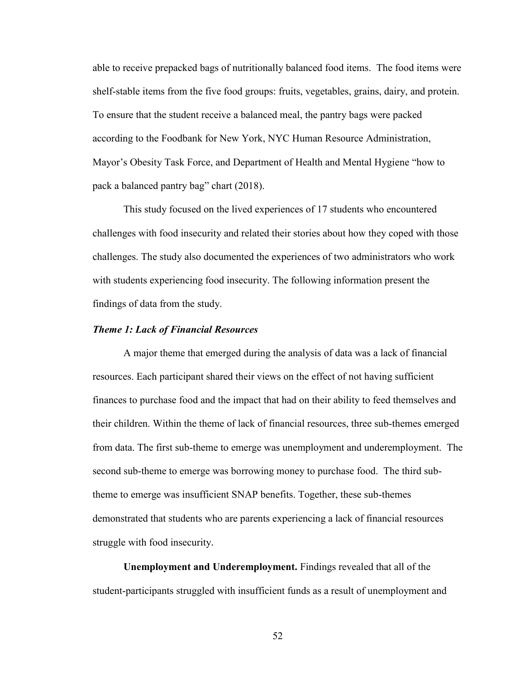able to receive prepacked bags of nutritionally balanced food items. The food items were shelf-stable items from the five food groups: fruits, vegetables, grains, dairy, and protein. To ensure that the student receive a balanced meal, the pantry bags were packed according to the Foodbank for New York, NYC Human Resource Administration, Mayor's Obesity Task Force, and Department of Health and Mental Hygiene "how to pack a balanced pantry bag" chart (2018).

This study focused on the lived experiences of 17 students who encountered challenges with food insecurity and related their stories about how they coped with those challenges. The study also documented the experiences of two administrators who work with students experiencing food insecurity. The following information present the findings of data from the study.

## *Theme 1: Lack of Financial Resources*

A major theme that emerged during the analysis of data was a lack of financial resources. Each participant shared their views on the effect of not having sufficient finances to purchase food and the impact that had on their ability to feed themselves and their children. Within the theme of lack of financial resources, three sub-themes emerged from data. The first sub-theme to emerge was unemployment and underemployment. The second sub-theme to emerge was borrowing money to purchase food. The third subtheme to emerge was insufficient SNAP benefits. Together, these sub-themes demonstrated that students who are parents experiencing a lack of financial resources struggle with food insecurity.

**Unemployment and Underemployment.** Findings revealed that all of the student-participants struggled with insufficient funds as a result of unemployment and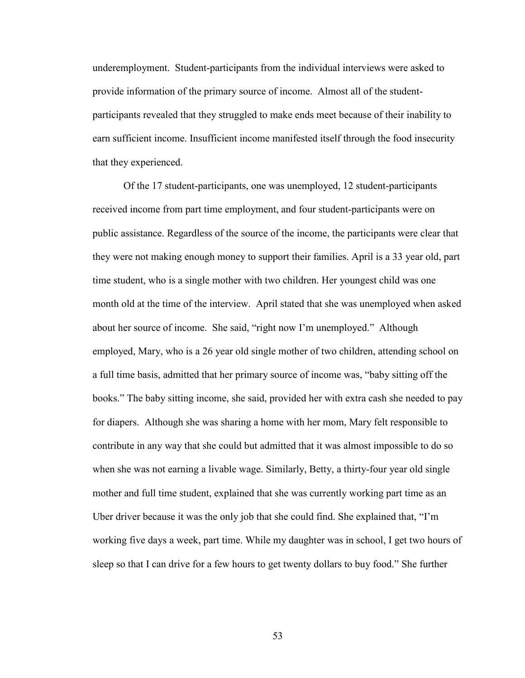underemployment. Student-participants from the individual interviews were asked to provide information of the primary source of income. Almost all of the studentparticipants revealed that they struggled to make ends meet because of their inability to earn sufficient income. Insufficient income manifested itself through the food insecurity that they experienced.

Of the 17 student-participants, one was unemployed, 12 student-participants received income from part time employment, and four student-participants were on public assistance. Regardless of the source of the income, the participants were clear that they were not making enough money to support their families. April is a 33 year old, part time student, who is a single mother with two children. Her youngest child was one month old at the time of the interview. April stated that she was unemployed when asked about her source of income. She said, "right now I'm unemployed." Although employed, Mary, who is a 26 year old single mother of two children, attending school on a full time basis, admitted that her primary source of income was, "baby sitting off the books." The baby sitting income, she said, provided her with extra cash she needed to pay for diapers. Although she was sharing a home with her mom, Mary felt responsible to contribute in any way that she could but admitted that it was almost impossible to do so when she was not earning a livable wage. Similarly, Betty, a thirty-four year old single mother and full time student, explained that she was currently working part time as an Uber driver because it was the only job that she could find. She explained that, "I'm working five days a week, part time. While my daughter was in school, I get two hours of sleep so that I can drive for a few hours to get twenty dollars to buy food." She further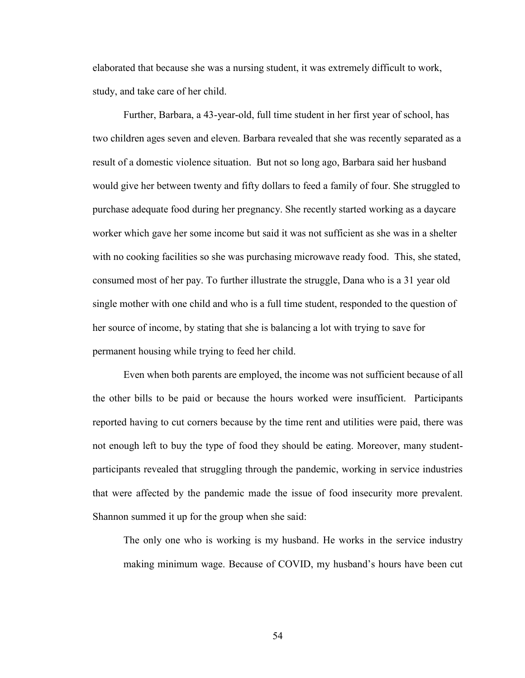elaborated that because she was a nursing student, it was extremely difficult to work, study, and take care of her child.

Further, Barbara, a 43-year-old, full time student in her first year of school, has two children ages seven and eleven. Barbara revealed that she was recently separated as a result of a domestic violence situation. But not so long ago, Barbara said her husband would give her between twenty and fifty dollars to feed a family of four. She struggled to purchase adequate food during her pregnancy. She recently started working as a daycare worker which gave her some income but said it was not sufficient as she was in a shelter with no cooking facilities so she was purchasing microwave ready food. This, she stated, consumed most of her pay. To further illustrate the struggle, Dana who is a 31 year old single mother with one child and who is a full time student, responded to the question of her source of income, by stating that she is balancing a lot with trying to save for permanent housing while trying to feed her child.

Even when both parents are employed, the income was not sufficient because of all the other bills to be paid or because the hours worked were insufficient. Participants reported having to cut corners because by the time rent and utilities were paid, there was not enough left to buy the type of food they should be eating. Moreover, many studentparticipants revealed that struggling through the pandemic, working in service industries that were affected by the pandemic made the issue of food insecurity more prevalent. Shannon summed it up for the group when she said:

The only one who is working is my husband. He works in the service industry making minimum wage. Because of COVID, my husband's hours have been cut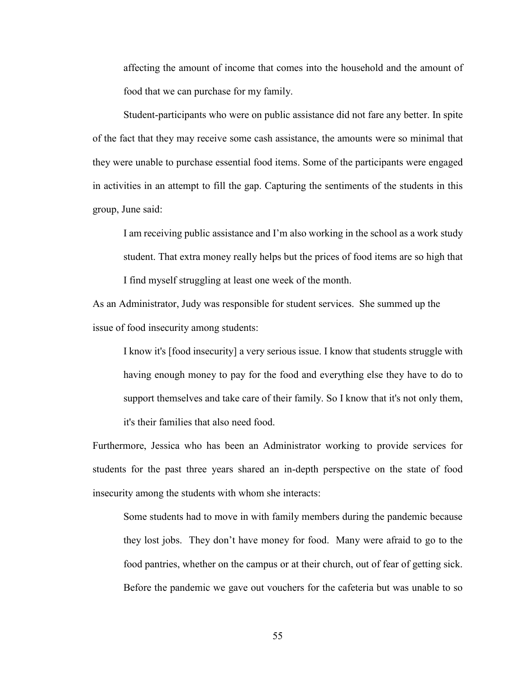affecting the amount of income that comes into the household and the amount of food that we can purchase for my family.

Student-participants who were on public assistance did not fare any better. In spite of the fact that they may receive some cash assistance, the amounts were so minimal that they were unable to purchase essential food items. Some of the participants were engaged in activities in an attempt to fill the gap. Capturing the sentiments of the students in this group, June said:

I am receiving public assistance and I'm also working in the school as a work study student. That extra money really helps but the prices of food items are so high that I find myself struggling at least one week of the month.

As an Administrator, Judy was responsible for student services. She summed up the issue of food insecurity among students:

I know it's [food insecurity] a very serious issue. I know that students struggle with having enough money to pay for the food and everything else they have to do to support themselves and take care of their family. So I know that it's not only them, it's their families that also need food.

Furthermore, Jessica who has been an Administrator working to provide services for students for the past three years shared an in-depth perspective on the state of food insecurity among the students with whom she interacts:

Some students had to move in with family members during the pandemic because they lost jobs. They don't have money for food. Many were afraid to go to the food pantries, whether on the campus or at their church, out of fear of getting sick. Before the pandemic we gave out vouchers for the cafeteria but was unable to so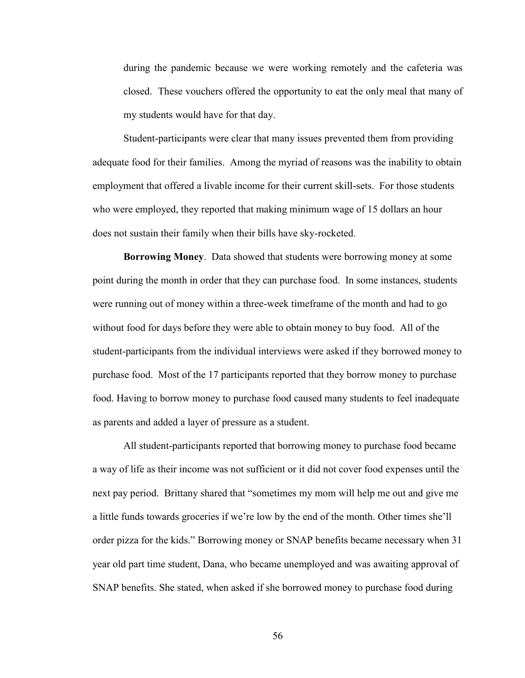during the pandemic because we were working remotely and the cafeteria was closed. These vouchers offered the opportunity to eat the only meal that many of my students would have for that day.

Student-participants were clear that many issues prevented them from providing adequate food for their families. Among the myriad of reasons was the inability to obtain employment that offered a livable income for their current skill-sets. For those students who were employed, they reported that making minimum wage of 15 dollars an hour does not sustain their family when their bills have sky-rocketed.

**Borrowing Money**. Data showed that students were borrowing money at some point during the month in order that they can purchase food. In some instances, students were running out of money within a three-week timeframe of the month and had to go without food for days before they were able to obtain money to buy food. All of the student-participants from the individual interviews were asked if they borrowed money to purchase food. Most of the 17 participants reported that they borrow money to purchase food. Having to borrow money to purchase food caused many students to feel inadequate as parents and added a layer of pressure as a student.

All student-participants reported that borrowing money to purchase food became a way of life as their income was not sufficient or it did not cover food expenses until the next pay period. Brittany shared that "sometimes my mom will help me out and give me a little funds towards groceries if we're low by the end of the month. Other times she'll order pizza for the kids." Borrowing money or SNAP benefits became necessary when 31 year old part time student, Dana, who became unemployed and was awaiting approval of SNAP benefits. She stated, when asked if she borrowed money to purchase food during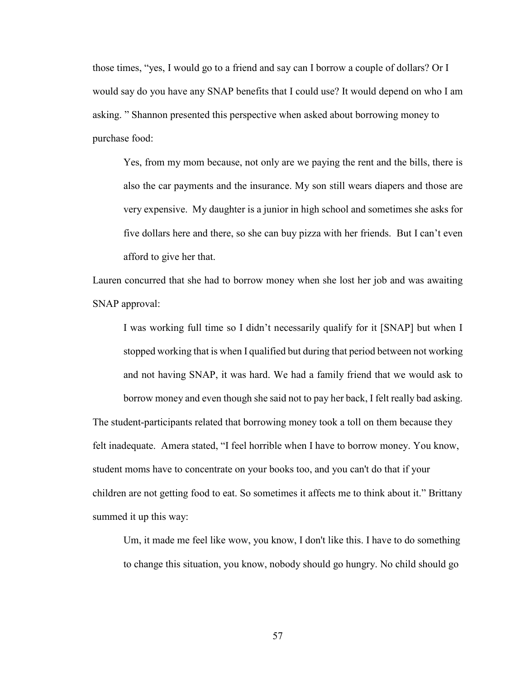those times, "yes, I would go to a friend and say can I borrow a couple of dollars? Or I would say do you have any SNAP benefits that I could use? It would depend on who I am asking. " Shannon presented this perspective when asked about borrowing money to purchase food:

Yes, from my mom because, not only are we paying the rent and the bills, there is also the car payments and the insurance. My son still wears diapers and those are very expensive. My daughter is a junior in high school and sometimes she asks for five dollars here and there, so she can buy pizza with her friends. But I can't even afford to give her that.

Lauren concurred that she had to borrow money when she lost her job and was awaiting SNAP approval:

I was working full time so I didn't necessarily qualify for it [SNAP] but when I stopped working that is when I qualified but during that period between not working and not having SNAP, it was hard. We had a family friend that we would ask to borrow money and even though she said not to pay her back, I felt really bad asking.

The student-participants related that borrowing money took a toll on them because they felt inadequate. Amera stated, "I feel horrible when I have to borrow money. You know, student moms have to concentrate on your books too, and you can't do that if your children are not getting food to eat. So sometimes it affects me to think about it." Brittany summed it up this way:

Um, it made me feel like wow, you know, I don't like this. I have to do something to change this situation, you know, nobody should go hungry. No child should go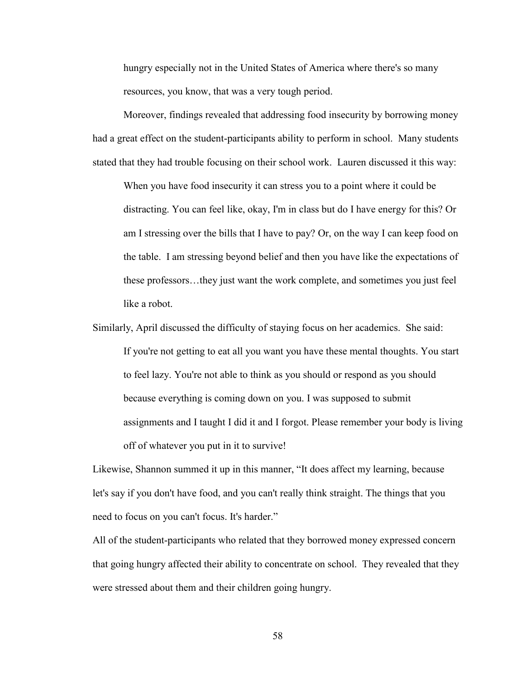hungry especially not in the United States of America where there's so many resources, you know, that was a very tough period.

Moreover, findings revealed that addressing food insecurity by borrowing money had a great effect on the student-participants ability to perform in school. Many students stated that they had trouble focusing on their school work. Lauren discussed it this way:

When you have food insecurity it can stress you to a point where it could be distracting. You can feel like, okay, I'm in class but do I have energy for this? Or am I stressing over the bills that I have to pay? Or, on the way I can keep food on the table. I am stressing beyond belief and then you have like the expectations of these professors…they just want the work complete, and sometimes you just feel like a robot.

Similarly, April discussed the difficulty of staying focus on her academics. She said: If you're not getting to eat all you want you have these mental thoughts. You start to feel lazy. You're not able to think as you should or respond as you should because everything is coming down on you. I was supposed to submit assignments and I taught I did it and I forgot. Please remember your body is living off of whatever you put in it to survive!

Likewise, Shannon summed it up in this manner, "It does affect my learning, because let's say if you don't have food, and you can't really think straight. The things that you need to focus on you can't focus. It's harder."

All of the student-participants who related that they borrowed money expressed concern that going hungry affected their ability to concentrate on school. They revealed that they were stressed about them and their children going hungry.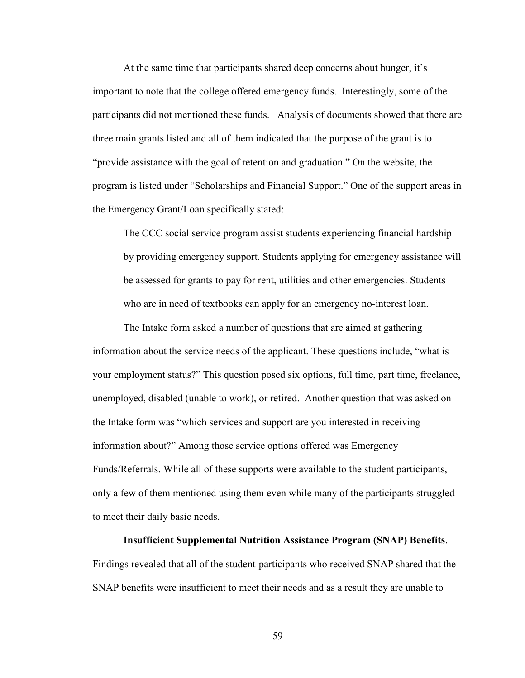At the same time that participants shared deep concerns about hunger, it's important to note that the college offered emergency funds. Interestingly, some of the participants did not mentioned these funds. Analysis of documents showed that there are three main grants listed and all of them indicated that the purpose of the grant is to "provide assistance with the goal of retention and graduation." On the website, the program is listed under "Scholarships and Financial Support." One of the support areas in the Emergency Grant/Loan specifically stated:

The CCC social service program assist students experiencing financial hardship by providing emergency support. Students applying for emergency assistance will be assessed for grants to pay for rent, utilities and other emergencies. Students who are in need of textbooks can apply for an emergency no-interest loan.

The Intake form asked a number of questions that are aimed at gathering information about the service needs of the applicant. These questions include, "what is your employment status?" This question posed six options, full time, part time, freelance, unemployed, disabled (unable to work), or retired. Another question that was asked on the Intake form was "which services and support are you interested in receiving information about?" Among those service options offered was Emergency Funds/Referrals. While all of these supports were available to the student participants, only a few of them mentioned using them even while many of the participants struggled to meet their daily basic needs.

### **Insufficient Supplemental Nutrition Assistance Program (SNAP) Benefits**.

Findings revealed that all of the student-participants who received SNAP shared that the SNAP benefits were insufficient to meet their needs and as a result they are unable to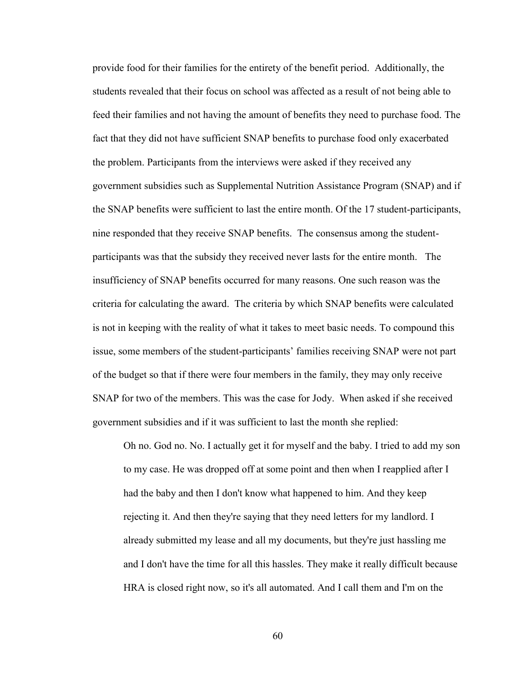provide food for their families for the entirety of the benefit period. Additionally, the students revealed that their focus on school was affected as a result of not being able to feed their families and not having the amount of benefits they need to purchase food. The fact that they did not have sufficient SNAP benefits to purchase food only exacerbated the problem. Participants from the interviews were asked if they received any government subsidies such as Supplemental Nutrition Assistance Program (SNAP) and if the SNAP benefits were sufficient to last the entire month. Of the 17 student-participants, nine responded that they receive SNAP benefits. The consensus among the studentparticipants was that the subsidy they received never lasts for the entire month. The insufficiency of SNAP benefits occurred for many reasons. One such reason was the criteria for calculating the award. The criteria by which SNAP benefits were calculated is not in keeping with the reality of what it takes to meet basic needs. To compound this issue, some members of the student-participants' families receiving SNAP were not part of the budget so that if there were four members in the family, they may only receive SNAP for two of the members. This was the case for Jody. When asked if she received government subsidies and if it was sufficient to last the month she replied:

Oh no. God no. No. I actually get it for myself and the baby. I tried to add my son to my case. He was dropped off at some point and then when I reapplied after I had the baby and then I don't know what happened to him. And they keep rejecting it. And then they're saying that they need letters for my landlord. I already submitted my lease and all my documents, but they're just hassling me and I don't have the time for all this hassles. They make it really difficult because HRA is closed right now, so it's all automated. And I call them and I'm on the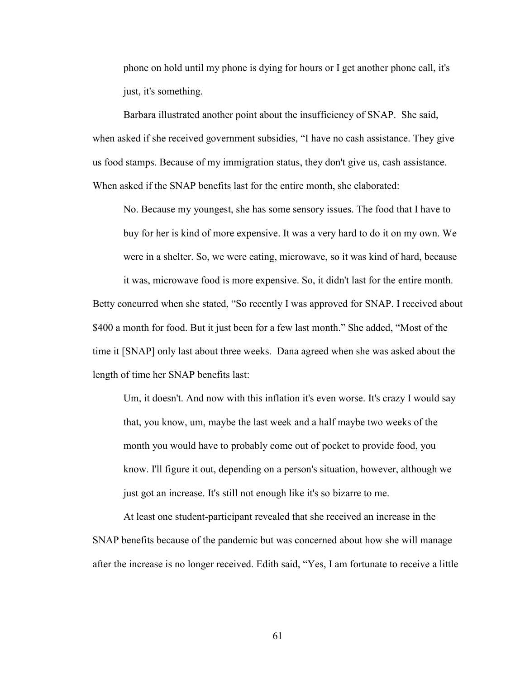phone on hold until my phone is dying for hours or I get another phone call, it's just, it's something.

Barbara illustrated another point about the insufficiency of SNAP. She said, when asked if she received government subsidies, "I have no cash assistance. They give us food stamps. Because of my immigration status, they don't give us, cash assistance. When asked if the SNAP benefits last for the entire month, she elaborated:

No. Because my youngest, she has some sensory issues. The food that I have to buy for her is kind of more expensive. It was a very hard to do it on my own. We were in a shelter. So, we were eating, microwave, so it was kind of hard, because it was, microwave food is more expensive. So, it didn't last for the entire month.

Betty concurred when she stated, "So recently I was approved for SNAP. I received about \$400 a month for food. But it just been for a few last month." She added, "Most of the time it [SNAP] only last about three weeks. Dana agreed when she was asked about the length of time her SNAP benefits last:

Um, it doesn't. And now with this inflation it's even worse. It's crazy I would say that, you know, um, maybe the last week and a half maybe two weeks of the month you would have to probably come out of pocket to provide food, you know. I'll figure it out, depending on a person's situation, however, although we just got an increase. It's still not enough like it's so bizarre to me.

At least one student-participant revealed that she received an increase in the SNAP benefits because of the pandemic but was concerned about how she will manage after the increase is no longer received. Edith said, "Yes, I am fortunate to receive a little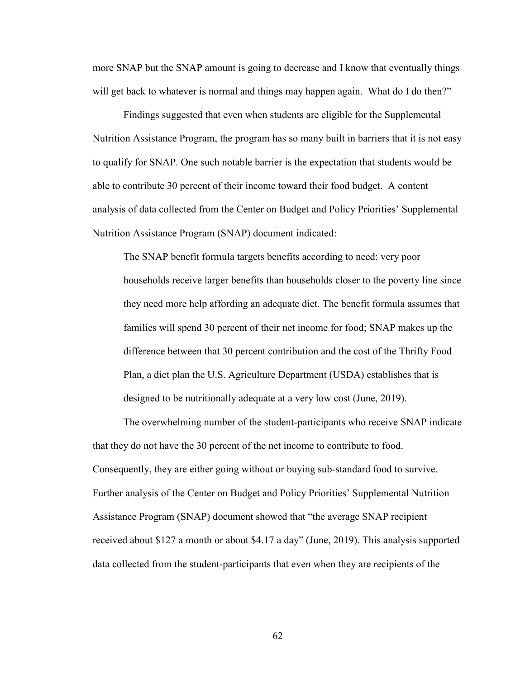more SNAP but the SNAP amount is going to decrease and I know that eventually things will get back to whatever is normal and things may happen again. What do I do then?"

Findings suggested that even when students are eligible for the Supplemental Nutrition Assistance Program, the program has so many built in barriers that it is not easy to qualify for SNAP. One such notable barrier is the expectation that students would be able to contribute 30 percent of their income toward their food budget. A content analysis of data collected from the Center on Budget and Policy Priorities' Supplemental Nutrition Assistance Program (SNAP) document indicated:

The SNAP benefit formula targets benefits according to need: very poor households receive larger benefits than households closer to the poverty line since they need more help affording an adequate diet. The benefit formula assumes that families will spend 30 percent of their net income for food; SNAP makes up the difference between that 30 percent contribution and the cost of the Thrifty Food Plan, a diet plan the U.S. Agriculture Department (USDA) establishes that is designed to be nutritionally adequate at a very low cost (June, 2019).

The overwhelming number of the student-participants who receive SNAP indicate that they do not have the 30 percent of the net income to contribute to food. Consequently, they are either going without or buying sub-standard food to survive. Further analysis of the Center on Budget and Policy Priorities' Supplemental Nutrition Assistance Program (SNAP) document showed that "the average SNAP recipient received about \$127 a month or about \$4.17 a day" (June, 2019). This analysis supported data collected from the student-participants that even when they are recipients of the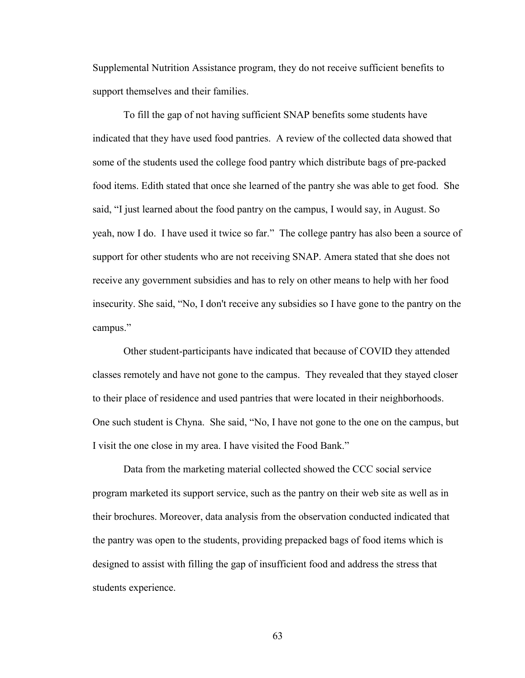Supplemental Nutrition Assistance program, they do not receive sufficient benefits to support themselves and their families.

To fill the gap of not having sufficient SNAP benefits some students have indicated that they have used food pantries. A review of the collected data showed that some of the students used the college food pantry which distribute bags of pre-packed food items. Edith stated that once she learned of the pantry she was able to get food. She said, "I just learned about the food pantry on the campus, I would say, in August. So yeah, now I do. I have used it twice so far." The college pantry has also been a source of support for other students who are not receiving SNAP. Amera stated that she does not receive any government subsidies and has to rely on other means to help with her food insecurity. She said, "No, I don't receive any subsidies so I have gone to the pantry on the campus."

Other student-participants have indicated that because of COVID they attended classes remotely and have not gone to the campus. They revealed that they stayed closer to their place of residence and used pantries that were located in their neighborhoods. One such student is Chyna. She said, "No, I have not gone to the one on the campus, but I visit the one close in my area. I have visited the Food Bank."

Data from the marketing material collected showed the CCC social service program marketed its support service, such as the pantry on their web site as well as in their brochures. Moreover, data analysis from the observation conducted indicated that the pantry was open to the students, providing prepacked bags of food items which is designed to assist with filling the gap of insufficient food and address the stress that students experience.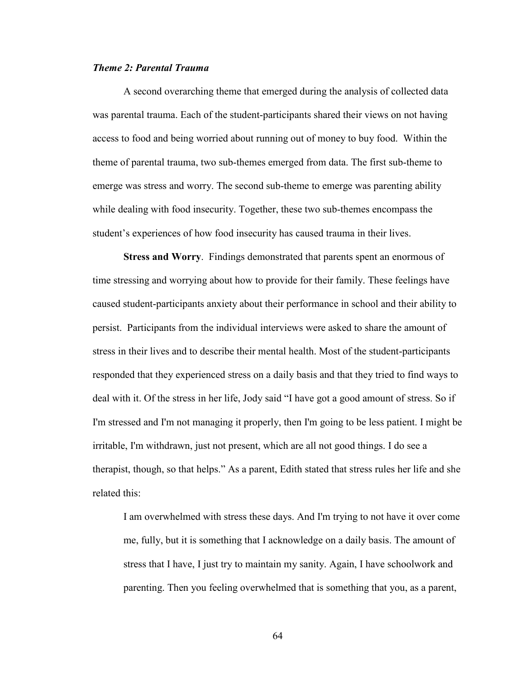## *Theme 2: Parental Trauma*

A second overarching theme that emerged during the analysis of collected data was parental trauma. Each of the student-participants shared their views on not having access to food and being worried about running out of money to buy food. Within the theme of parental trauma, two sub-themes emerged from data. The first sub-theme to emerge was stress and worry. The second sub-theme to emerge was parenting ability while dealing with food insecurity. Together, these two sub-themes encompass the student's experiences of how food insecurity has caused trauma in their lives.

**Stress and Worry**. Findings demonstrated that parents spent an enormous of time stressing and worrying about how to provide for their family. These feelings have caused student-participants anxiety about their performance in school and their ability to persist. Participants from the individual interviews were asked to share the amount of stress in their lives and to describe their mental health. Most of the student-participants responded that they experienced stress on a daily basis and that they tried to find ways to deal with it. Of the stress in her life, Jody said "I have got a good amount of stress. So if I'm stressed and I'm not managing it properly, then I'm going to be less patient. I might be irritable, I'm withdrawn, just not present, which are all not good things. I do see a therapist, though, so that helps." As a parent, Edith stated that stress rules her life and she related this:

I am overwhelmed with stress these days. And I'm trying to not have it over come me, fully, but it is something that I acknowledge on a daily basis. The amount of stress that I have, I just try to maintain my sanity. Again, I have schoolwork and parenting. Then you feeling overwhelmed that is something that you, as a parent,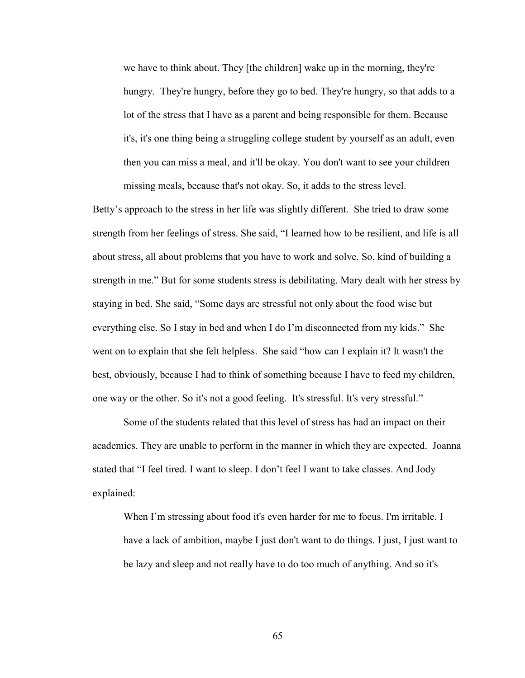we have to think about. They [the children] wake up in the morning, they're hungry. They're hungry, before they go to bed. They're hungry, so that adds to a lot of the stress that I have as a parent and being responsible for them. Because it's, it's one thing being a struggling college student by yourself as an adult, even then you can miss a meal, and it'll be okay. You don't want to see your children missing meals, because that's not okay. So, it adds to the stress level.

Betty's approach to the stress in her life was slightly different. She tried to draw some strength from her feelings of stress. She said, "I learned how to be resilient, and life is all about stress, all about problems that you have to work and solve. So, kind of building a strength in me." But for some students stress is debilitating. Mary dealt with her stress by staying in bed. She said, "Some days are stressful not only about the food wise but everything else. So I stay in bed and when I do I'm disconnected from my kids." She went on to explain that she felt helpless. She said "how can I explain it? It wasn't the best, obviously, because I had to think of something because I have to feed my children, one way or the other. So it's not a good feeling. It's stressful. It's very stressful."

Some of the students related that this level of stress has had an impact on their academics. They are unable to perform in the manner in which they are expected. Joanna stated that "I feel tired. I want to sleep. I don't feel I want to take classes. And Jody explained:

When I'm stressing about food it's even harder for me to focus. I'm irritable. I have a lack of ambition, maybe I just don't want to do things. I just, I just want to be lazy and sleep and not really have to do too much of anything. And so it's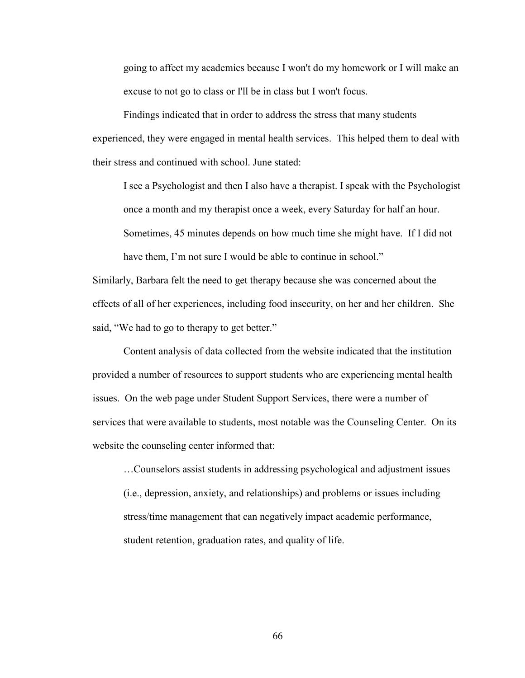going to affect my academics because I won't do my homework or I will make an excuse to not go to class or I'll be in class but I won't focus.

Findings indicated that in order to address the stress that many students experienced, they were engaged in mental health services. This helped them to deal with their stress and continued with school. June stated:

I see a Psychologist and then I also have a therapist. I speak with the Psychologist once a month and my therapist once a week, every Saturday for half an hour. Sometimes, 45 minutes depends on how much time she might have. If I did not have them, I'm not sure I would be able to continue in school."

Similarly, Barbara felt the need to get therapy because she was concerned about the effects of all of her experiences, including food insecurity, on her and her children. She said, "We had to go to therapy to get better."

Content analysis of data collected from the website indicated that the institution provided a number of resources to support students who are experiencing mental health issues. On the web page under Student Support Services, there were a number of services that were available to students, most notable was the Counseling Center. On its website the counseling center informed that:

…Counselors assist students in addressing psychological and adjustment issues (i.e., depression, anxiety, and relationships) and problems or issues including stress/time management that can negatively impact academic performance, student retention, graduation rates, and quality of life.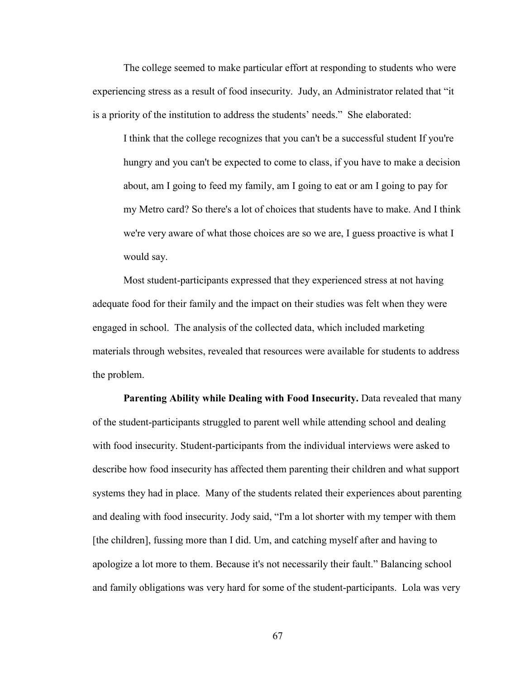The college seemed to make particular effort at responding to students who were experiencing stress as a result of food insecurity. Judy, an Administrator related that "it is a priority of the institution to address the students' needs." She elaborated:

I think that the college recognizes that you can't be a successful student If you're hungry and you can't be expected to come to class, if you have to make a decision about, am I going to feed my family, am I going to eat or am I going to pay for my Metro card? So there's a lot of choices that students have to make. And I think we're very aware of what those choices are so we are, I guess proactive is what I would say.

Most student-participants expressed that they experienced stress at not having adequate food for their family and the impact on their studies was felt when they were engaged in school. The analysis of the collected data, which included marketing materials through websites, revealed that resources were available for students to address the problem.

**Parenting Ability while Dealing with Food Insecurity.** Data revealed that many of the student-participants struggled to parent well while attending school and dealing with food insecurity. Student-participants from the individual interviews were asked to describe how food insecurity has affected them parenting their children and what support systems they had in place. Many of the students related their experiences about parenting and dealing with food insecurity. Jody said, "I'm a lot shorter with my temper with them [the children], fussing more than I did. Um, and catching myself after and having to apologize a lot more to them. Because it's not necessarily their fault." Balancing school and family obligations was very hard for some of the student-participants. Lola was very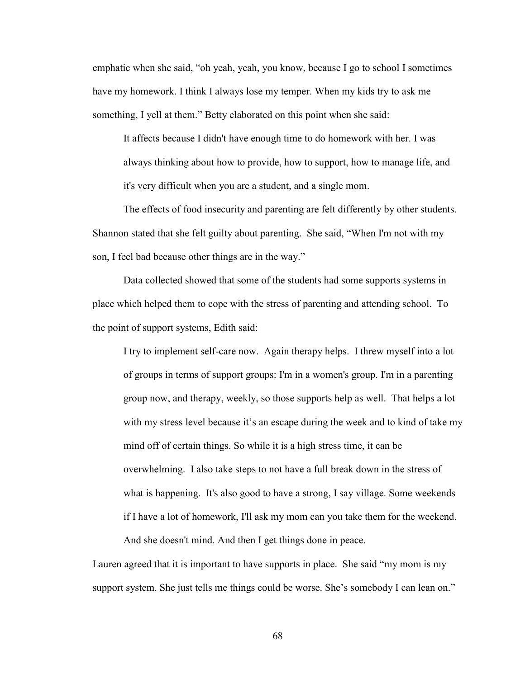emphatic when she said, "oh yeah, yeah, you know, because I go to school I sometimes have my homework. I think I always lose my temper. When my kids try to ask me something, I yell at them." Betty elaborated on this point when she said:

It affects because I didn't have enough time to do homework with her. I was always thinking about how to provide, how to support, how to manage life, and it's very difficult when you are a student, and a single mom.

The effects of food insecurity and parenting are felt differently by other students. Shannon stated that she felt guilty about parenting. She said, "When I'm not with my son, I feel bad because other things are in the way."

Data collected showed that some of the students had some supports systems in place which helped them to cope with the stress of parenting and attending school. To the point of support systems, Edith said:

I try to implement self-care now. Again therapy helps. I threw myself into a lot of groups in terms of support groups: I'm in a women's group. I'm in a parenting group now, and therapy, weekly, so those supports help as well. That helps a lot with my stress level because it's an escape during the week and to kind of take my mind off of certain things. So while it is a high stress time, it can be overwhelming. I also take steps to not have a full break down in the stress of what is happening. It's also good to have a strong, I say village. Some weekends if I have a lot of homework, I'll ask my mom can you take them for the weekend. And she doesn't mind. And then I get things done in peace.

Lauren agreed that it is important to have supports in place. She said "my mom is my support system. She just tells me things could be worse. She's somebody I can lean on."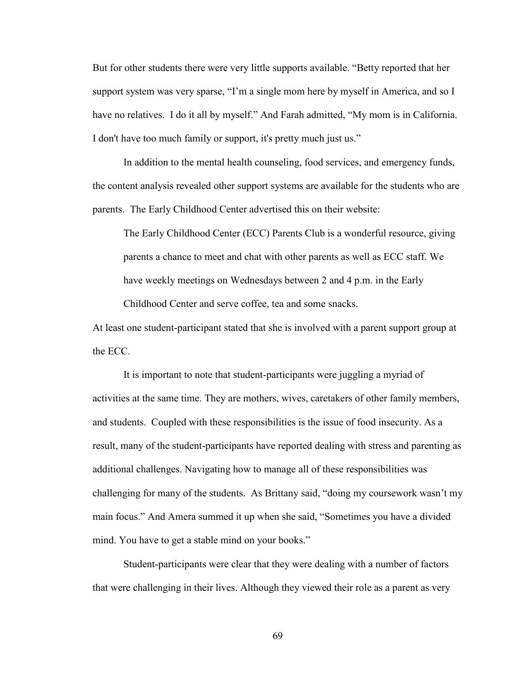But for other students there were very little supports available. "Betty reported that her support system was very sparse, "I'm a single mom here by myself in America, and so I have no relatives. I do it all by myself." And Farah admitted, "My mom is in California. I don't have too much family or support, it's pretty much just us."

In addition to the mental health counseling, food services, and emergency funds, the content analysis revealed other support systems are available for the students who are parents. The Early Childhood Center advertised this on their website:

The Early Childhood Center (ECC) Parents Club is a wonderful resource, giving parents a chance to meet and chat with other parents as well as ECC staff. We have weekly meetings on Wednesdays between 2 and 4 p.m. in the Early Childhood Center and serve coffee, tea and some snacks.

At least one student-participant stated that she is involved with a parent support group at the ECC.

It is important to note that student-participants were juggling a myriad of activities at the same time. They are mothers, wives, caretakers of other family members, and students. Coupled with these responsibilities is the issue of food insecurity. As a result, many of the student-participants have reported dealing with stress and parenting as additional challenges. Navigating how to manage all of these responsibilities was challenging for many of the students. As Brittany said, "doing my coursework wasn't my main focus." And Amera summed it up when she said, "Sometimes you have a divided mind. You have to get a stable mind on your books."

Student-participants were clear that they were dealing with a number of factors that were challenging in their lives. Although they viewed their role as a parent as very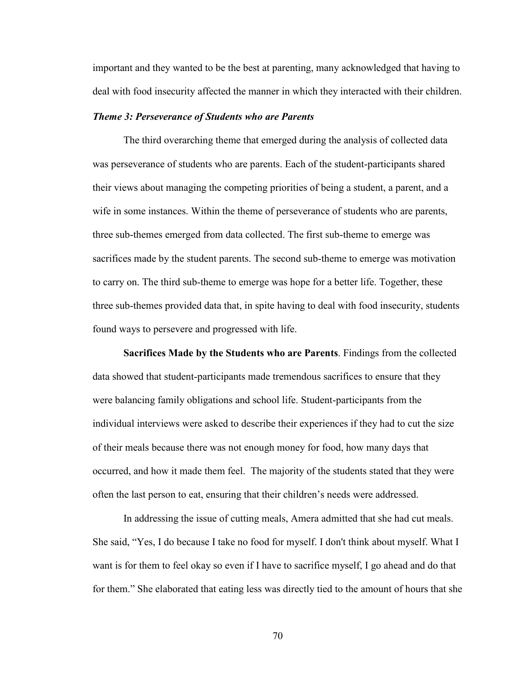important and they wanted to be the best at parenting, many acknowledged that having to deal with food insecurity affected the manner in which they interacted with their children.

#### *Theme 3: Perseverance of Students who are Parents*

The third overarching theme that emerged during the analysis of collected data was perseverance of students who are parents. Each of the student-participants shared their views about managing the competing priorities of being a student, a parent, and a wife in some instances. Within the theme of perseverance of students who are parents, three sub-themes emerged from data collected. The first sub-theme to emerge was sacrifices made by the student parents. The second sub-theme to emerge was motivation to carry on. The third sub-theme to emerge was hope for a better life. Together, these three sub-themes provided data that, in spite having to deal with food insecurity, students found ways to persevere and progressed with life.

**Sacrifices Made by the Students who are Parents**. Findings from the collected data showed that student-participants made tremendous sacrifices to ensure that they were balancing family obligations and school life. Student-participants from the individual interviews were asked to describe their experiences if they had to cut the size of their meals because there was not enough money for food, how many days that occurred, and how it made them feel. The majority of the students stated that they were often the last person to eat, ensuring that their children's needs were addressed.

In addressing the issue of cutting meals, Amera admitted that she had cut meals. She said, "Yes, I do because I take no food for myself. I don't think about myself. What I want is for them to feel okay so even if I have to sacrifice myself, I go ahead and do that for them." She elaborated that eating less was directly tied to the amount of hours that she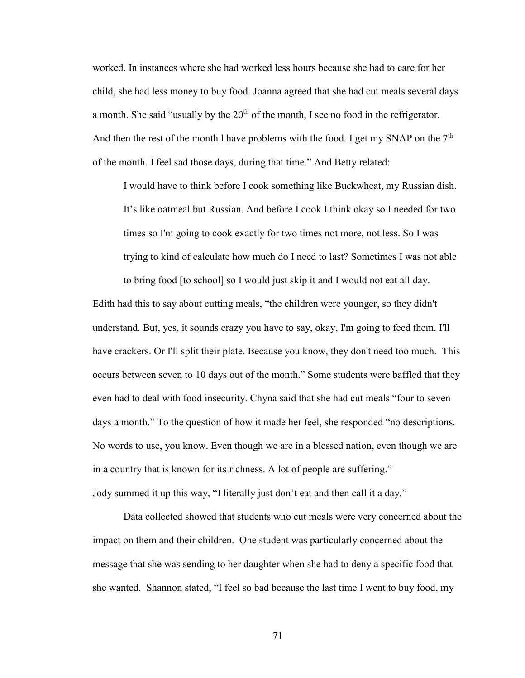worked. In instances where she had worked less hours because she had to care for her child, she had less money to buy food. Joanna agreed that she had cut meals several days a month. She said "usually by the  $20<sup>th</sup>$  of the month, I see no food in the refrigerator. And then the rest of the month l have problems with the food. I get my SNAP on the  $7<sup>th</sup>$ of the month. I feel sad those days, during that time." And Betty related:

I would have to think before I cook something like Buckwheat, my Russian dish. It's like oatmeal but Russian. And before I cook I think okay so I needed for two times so I'm going to cook exactly for two times not more, not less. So I was trying to kind of calculate how much do I need to last? Sometimes I was not able to bring food [to school] so I would just skip it and I would not eat all day.

Edith had this to say about cutting meals, "the children were younger, so they didn't understand. But, yes, it sounds crazy you have to say, okay, I'm going to feed them. I'll have crackers. Or I'll split their plate. Because you know, they don't need too much. This occurs between seven to 10 days out of the month." Some students were baffled that they even had to deal with food insecurity. Chyna said that she had cut meals "four to seven days a month." To the question of how it made her feel, she responded "no descriptions. No words to use, you know. Even though we are in a blessed nation, even though we are in a country that is known for its richness. A lot of people are suffering." Jody summed it up this way, "I literally just don't eat and then call it a day."

Data collected showed that students who cut meals were very concerned about the impact on them and their children. One student was particularly concerned about the message that she was sending to her daughter when she had to deny a specific food that she wanted. Shannon stated, "I feel so bad because the last time I went to buy food, my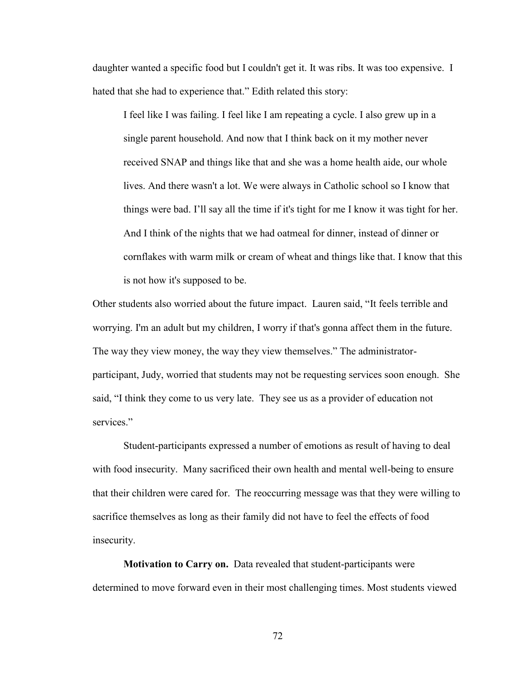daughter wanted a specific food but I couldn't get it. It was ribs. It was too expensive. I hated that she had to experience that." Edith related this story:

I feel like I was failing. I feel like I am repeating a cycle. I also grew up in a single parent household. And now that I think back on it my mother never received SNAP and things like that and she was a home health aide, our whole lives. And there wasn't a lot. We were always in Catholic school so I know that things were bad. I'll say all the time if it's tight for me I know it was tight for her. And I think of the nights that we had oatmeal for dinner, instead of dinner or cornflakes with warm milk or cream of wheat and things like that. I know that this is not how it's supposed to be.

Other students also worried about the future impact. Lauren said, "It feels terrible and worrying. I'm an adult but my children, I worry if that's gonna affect them in the future. The way they view money, the way they view themselves." The administratorparticipant, Judy, worried that students may not be requesting services soon enough. She said, "I think they come to us very late. They see us as a provider of education not services."

Student-participants expressed a number of emotions as result of having to deal with food insecurity. Many sacrificed their own health and mental well-being to ensure that their children were cared for. The reoccurring message was that they were willing to sacrifice themselves as long as their family did not have to feel the effects of food insecurity.

**Motivation to Carry on.** Data revealed that student-participants were determined to move forward even in their most challenging times. Most students viewed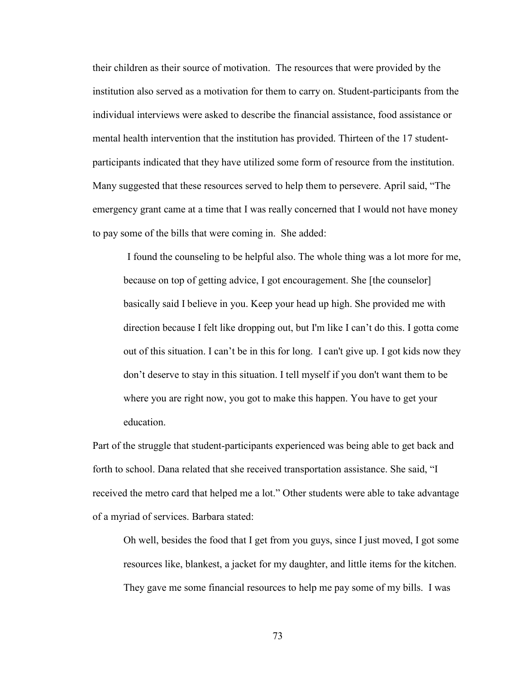their children as their source of motivation. The resources that were provided by the institution also served as a motivation for them to carry on. Student-participants from the individual interviews were asked to describe the financial assistance, food assistance or mental health intervention that the institution has provided. Thirteen of the 17 studentparticipants indicated that they have utilized some form of resource from the institution. Many suggested that these resources served to help them to persevere. April said, "The emergency grant came at a time that I was really concerned that I would not have money to pay some of the bills that were coming in. She added:

I found the counseling to be helpful also. The whole thing was a lot more for me, because on top of getting advice, I got encouragement. She [the counselor] basically said I believe in you. Keep your head up high. She provided me with direction because I felt like dropping out, but I'm like I can't do this. I gotta come out of this situation. I can't be in this for long. I can't give up. I got kids now they don't deserve to stay in this situation. I tell myself if you don't want them to be where you are right now, you got to make this happen. You have to get your education.

Part of the struggle that student-participants experienced was being able to get back and forth to school. Dana related that she received transportation assistance. She said, "I received the metro card that helped me a lot." Other students were able to take advantage of a myriad of services. Barbara stated:

Oh well, besides the food that I get from you guys, since I just moved, I got some resources like, blankest, a jacket for my daughter, and little items for the kitchen. They gave me some financial resources to help me pay some of my bills. I was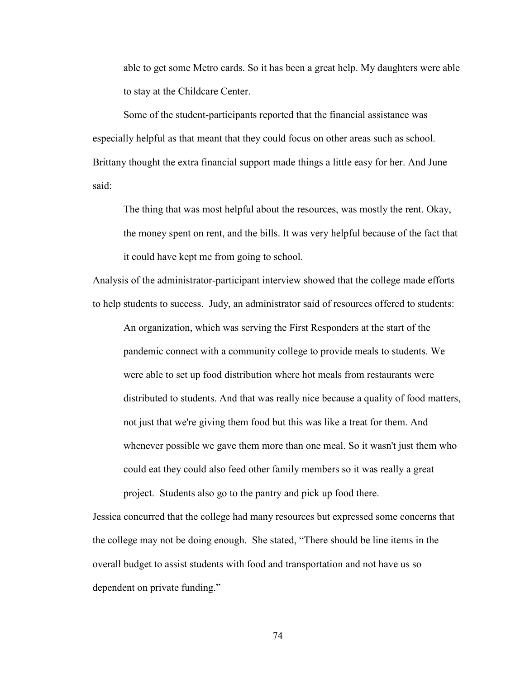able to get some Metro cards. So it has been a great help. My daughters were able to stay at the Childcare Center.

Some of the student-participants reported that the financial assistance was especially helpful as that meant that they could focus on other areas such as school. Brittany thought the extra financial support made things a little easy for her. And June said:

The thing that was most helpful about the resources, was mostly the rent. Okay, the money spent on rent, and the bills. It was very helpful because of the fact that it could have kept me from going to school.

Analysis of the administrator-participant interview showed that the college made efforts to help students to success. Judy, an administrator said of resources offered to students:

An organization, which was serving the First Responders at the start of the pandemic connect with a community college to provide meals to students. We were able to set up food distribution where hot meals from restaurants were distributed to students. And that was really nice because a quality of food matters, not just that we're giving them food but this was like a treat for them. And whenever possible we gave them more than one meal. So it wasn't just them who could eat they could also feed other family members so it was really a great project. Students also go to the pantry and pick up food there.

Jessica concurred that the college had many resources but expressed some concerns that the college may not be doing enough. She stated, "There should be line items in the overall budget to assist students with food and transportation and not have us so dependent on private funding."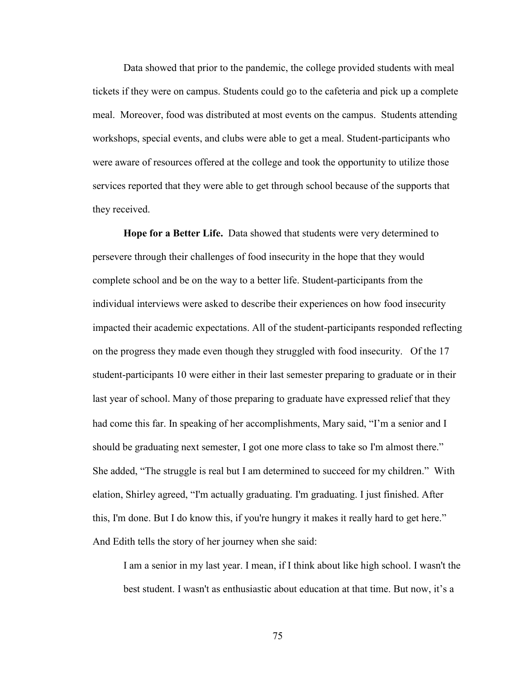Data showed that prior to the pandemic, the college provided students with meal tickets if they were on campus. Students could go to the cafeteria and pick up a complete meal. Moreover, food was distributed at most events on the campus. Students attending workshops, special events, and clubs were able to get a meal. Student-participants who were aware of resources offered at the college and took the opportunity to utilize those services reported that they were able to get through school because of the supports that they received.

**Hope for a Better Life.** Data showed that students were very determined to persevere through their challenges of food insecurity in the hope that they would complete school and be on the way to a better life. Student-participants from the individual interviews were asked to describe their experiences on how food insecurity impacted their academic expectations. All of the student-participants responded reflecting on the progress they made even though they struggled with food insecurity. Of the 17 student-participants 10 were either in their last semester preparing to graduate or in their last year of school. Many of those preparing to graduate have expressed relief that they had come this far. In speaking of her accomplishments, Mary said, "I'm a senior and I should be graduating next semester, I got one more class to take so I'm almost there." She added, "The struggle is real but I am determined to succeed for my children." With elation, Shirley agreed, "I'm actually graduating. I'm graduating. I just finished. After this, I'm done. But I do know this, if you're hungry it makes it really hard to get here." And Edith tells the story of her journey when she said:

I am a senior in my last year. I mean, if I think about like high school. I wasn't the best student. I wasn't as enthusiastic about education at that time. But now, it's a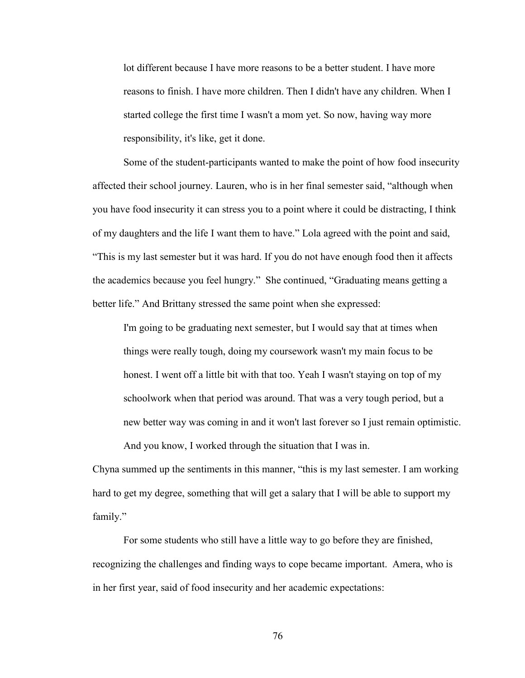lot different because I have more reasons to be a better student. I have more reasons to finish. I have more children. Then I didn't have any children. When I started college the first time I wasn't a mom yet. So now, having way more responsibility, it's like, get it done.

Some of the student-participants wanted to make the point of how food insecurity affected their school journey. Lauren, who is in her final semester said, "although when you have food insecurity it can stress you to a point where it could be distracting, I think of my daughters and the life I want them to have." Lola agreed with the point and said, "This is my last semester but it was hard. If you do not have enough food then it affects the academics because you feel hungry." She continued, "Graduating means getting a better life." And Brittany stressed the same point when she expressed:

I'm going to be graduating next semester, but I would say that at times when things were really tough, doing my coursework wasn't my main focus to be honest. I went off a little bit with that too. Yeah I wasn't staying on top of my schoolwork when that period was around. That was a very tough period, but a new better way was coming in and it won't last forever so I just remain optimistic. And you know, I worked through the situation that I was in.

Chyna summed up the sentiments in this manner, "this is my last semester. I am working hard to get my degree, something that will get a salary that I will be able to support my family."

For some students who still have a little way to go before they are finished, recognizing the challenges and finding ways to cope became important. Amera, who is in her first year, said of food insecurity and her academic expectations: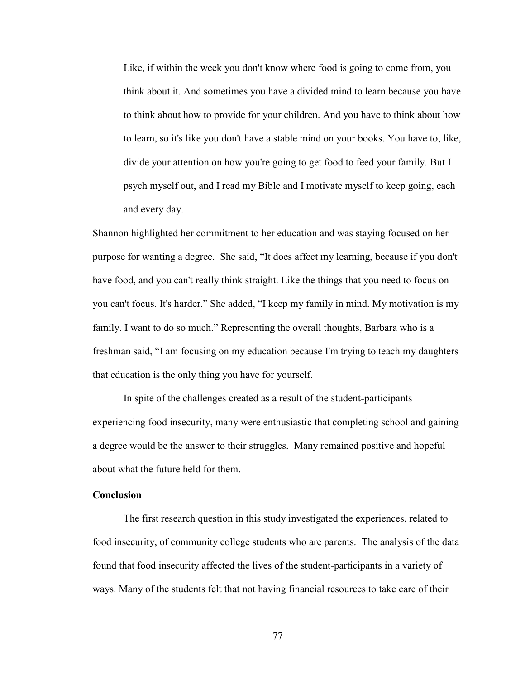Like, if within the week you don't know where food is going to come from, you think about it. And sometimes you have a divided mind to learn because you have to think about how to provide for your children. And you have to think about how to learn, so it's like you don't have a stable mind on your books. You have to, like, divide your attention on how you're going to get food to feed your family. But I psych myself out, and I read my Bible and I motivate myself to keep going, each and every day.

Shannon highlighted her commitment to her education and was staying focused on her purpose for wanting a degree. She said, "It does affect my learning, because if you don't have food, and you can't really think straight. Like the things that you need to focus on you can't focus. It's harder." She added, "I keep my family in mind. My motivation is my family. I want to do so much." Representing the overall thoughts, Barbara who is a freshman said, "I am focusing on my education because I'm trying to teach my daughters that education is the only thing you have for yourself.

In spite of the challenges created as a result of the student-participants experiencing food insecurity, many were enthusiastic that completing school and gaining a degree would be the answer to their struggles. Many remained positive and hopeful about what the future held for them.

## **Conclusion**

The first research question in this study investigated the experiences, related to food insecurity, of community college students who are parents. The analysis of the data found that food insecurity affected the lives of the student-participants in a variety of ways. Many of the students felt that not having financial resources to take care of their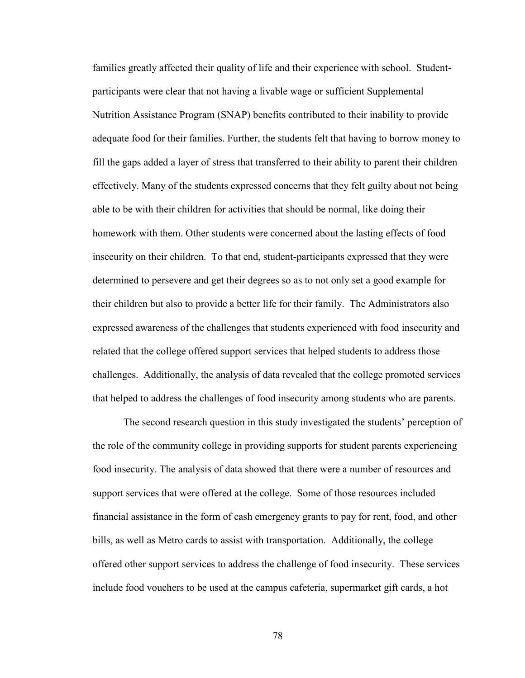families greatly affected their quality of life and their experience with school. Studentparticipants were clear that not having a livable wage or sufficient Supplemental Nutrition Assistance Program (SNAP) benefits contributed to their inability to provide adequate food for their families. Further, the students felt that having to borrow money to fill the gaps added a layer of stress that transferred to their ability to parent their children effectively. Many of the students expressed concerns that they felt guilty about not being able to be with their children for activities that should be normal, like doing their homework with them. Other students were concerned about the lasting effects of food insecurity on their children. To that end, student-participants expressed that they were determined to persevere and get their degrees so as to not only set a good example for their children but also to provide a better life for their family. The Administrators also expressed awareness of the challenges that students experienced with food insecurity and related that the college offered support services that helped students to address those challenges. Additionally, the analysis of data revealed that the college promoted services that helped to address the challenges of food insecurity among students who are parents.

The second research question in this study investigated the students' perception of the role of the community college in providing supports for student parents experiencing food insecurity. The analysis of data showed that there were a number of resources and support services that were offered at the college. Some of those resources included financial assistance in the form of cash emergency grants to pay for rent, food, and other bills, as well as Metro cards to assist with transportation. Additionally, the college offered other support services to address the challenge of food insecurity. These services include food vouchers to be used at the campus cafeteria, supermarket gift cards, a hot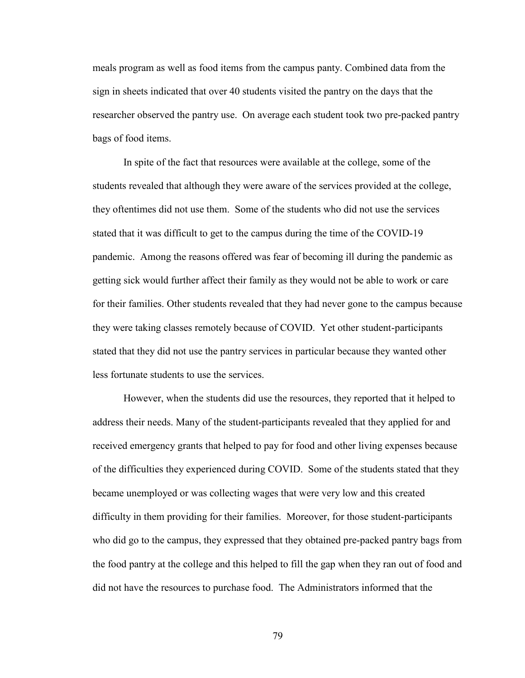meals program as well as food items from the campus panty. Combined data from the sign in sheets indicated that over 40 students visited the pantry on the days that the researcher observed the pantry use. On average each student took two pre-packed pantry bags of food items.

In spite of the fact that resources were available at the college, some of the students revealed that although they were aware of the services provided at the college, they oftentimes did not use them. Some of the students who did not use the services stated that it was difficult to get to the campus during the time of the COVID-19 pandemic. Among the reasons offered was fear of becoming ill during the pandemic as getting sick would further affect their family as they would not be able to work or care for their families. Other students revealed that they had never gone to the campus because they were taking classes remotely because of COVID. Yet other student-participants stated that they did not use the pantry services in particular because they wanted other less fortunate students to use the services.

However, when the students did use the resources, they reported that it helped to address their needs. Many of the student-participants revealed that they applied for and received emergency grants that helped to pay for food and other living expenses because of the difficulties they experienced during COVID. Some of the students stated that they became unemployed or was collecting wages that were very low and this created difficulty in them providing for their families. Moreover, for those student-participants who did go to the campus, they expressed that they obtained pre-packed pantry bags from the food pantry at the college and this helped to fill the gap when they ran out of food and did not have the resources to purchase food. The Administrators informed that the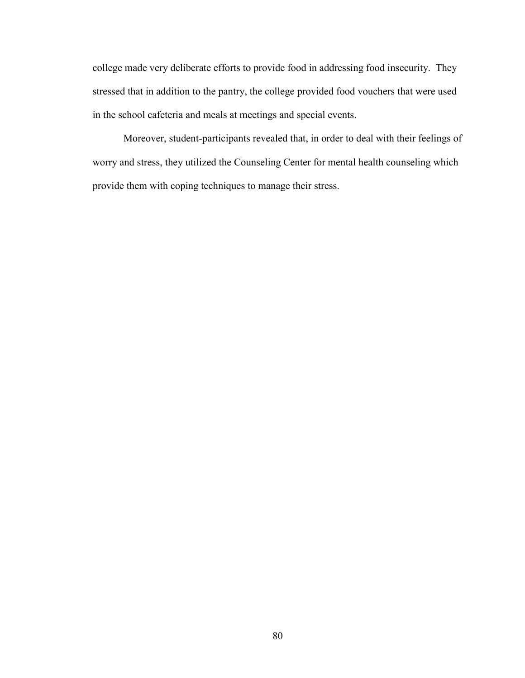college made very deliberate efforts to provide food in addressing food insecurity. They stressed that in addition to the pantry, the college provided food vouchers that were used in the school cafeteria and meals at meetings and special events.

Moreover, student-participants revealed that, in order to deal with their feelings of worry and stress, they utilized the Counseling Center for mental health counseling which provide them with coping techniques to manage their stress.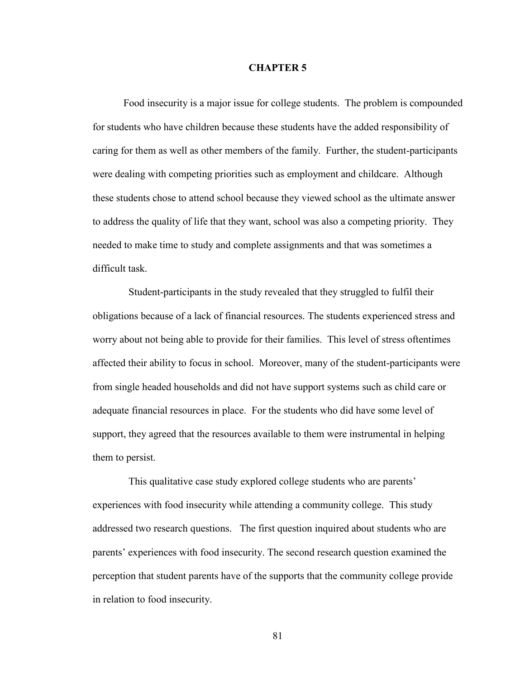## **CHAPTER 5**

Food insecurity is a major issue for college students. The problem is compounded for students who have children because these students have the added responsibility of caring for them as well as other members of the family. Further, the student-participants were dealing with competing priorities such as employment and childcare. Although these students chose to attend school because they viewed school as the ultimate answer to address the quality of life that they want, school was also a competing priority. They needed to make time to study and complete assignments and that was sometimes a difficult task.

 Student-participants in the study revealed that they struggled to fulfil their obligations because of a lack of financial resources. The students experienced stress and worry about not being able to provide for their families. This level of stress oftentimes affected their ability to focus in school. Moreover, many of the student-participants were from single headed households and did not have support systems such as child care or adequate financial resources in place. For the students who did have some level of support, they agreed that the resources available to them were instrumental in helping them to persist.

 This qualitative case study explored college students who are parents' experiences with food insecurity while attending a community college. This study addressed two research questions. The first question inquired about students who are parents' experiences with food insecurity. The second research question examined the perception that student parents have of the supports that the community college provide in relation to food insecurity.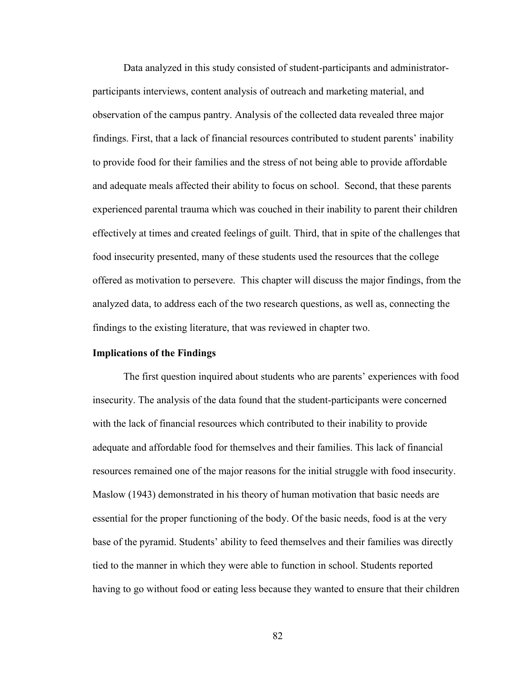Data analyzed in this study consisted of student-participants and administratorparticipants interviews, content analysis of outreach and marketing material, and observation of the campus pantry. Analysis of the collected data revealed three major findings. First, that a lack of financial resources contributed to student parents' inability to provide food for their families and the stress of not being able to provide affordable and adequate meals affected their ability to focus on school. Second, that these parents experienced parental trauma which was couched in their inability to parent their children effectively at times and created feelings of guilt. Third, that in spite of the challenges that food insecurity presented, many of these students used the resources that the college offered as motivation to persevere. This chapter will discuss the major findings, from the analyzed data, to address each of the two research questions, as well as, connecting the findings to the existing literature, that was reviewed in chapter two.

## **Implications of the Findings**

The first question inquired about students who are parents' experiences with food insecurity. The analysis of the data found that the student-participants were concerned with the lack of financial resources which contributed to their inability to provide adequate and affordable food for themselves and their families. This lack of financial resources remained one of the major reasons for the initial struggle with food insecurity. Maslow (1943) demonstrated in his theory of human motivation that basic needs are essential for the proper functioning of the body. Of the basic needs, food is at the very base of the pyramid. Students' ability to feed themselves and their families was directly tied to the manner in which they were able to function in school. Students reported having to go without food or eating less because they wanted to ensure that their children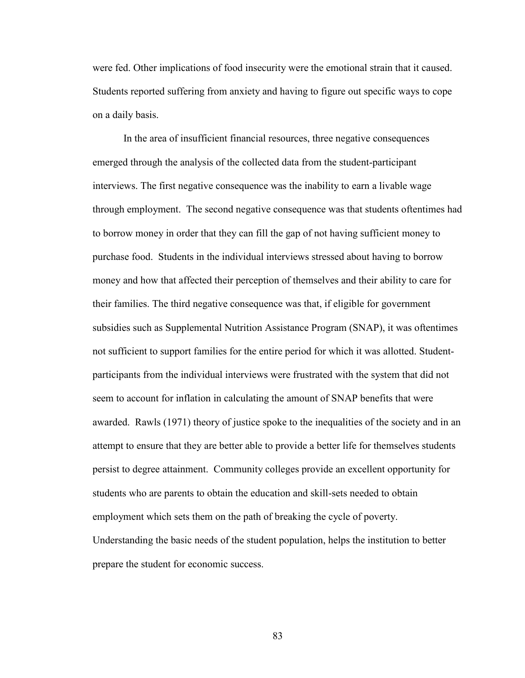were fed. Other implications of food insecurity were the emotional strain that it caused. Students reported suffering from anxiety and having to figure out specific ways to cope on a daily basis.

In the area of insufficient financial resources, three negative consequences emerged through the analysis of the collected data from the student-participant interviews. The first negative consequence was the inability to earn a livable wage through employment. The second negative consequence was that students oftentimes had to borrow money in order that they can fill the gap of not having sufficient money to purchase food. Students in the individual interviews stressed about having to borrow money and how that affected their perception of themselves and their ability to care for their families. The third negative consequence was that, if eligible for government subsidies such as Supplemental Nutrition Assistance Program (SNAP), it was oftentimes not sufficient to support families for the entire period for which it was allotted. Studentparticipants from the individual interviews were frustrated with the system that did not seem to account for inflation in calculating the amount of SNAP benefits that were awarded. Rawls (1971) theory of justice spoke to the inequalities of the society and in an attempt to ensure that they are better able to provide a better life for themselves students persist to degree attainment. Community colleges provide an excellent opportunity for students who are parents to obtain the education and skill-sets needed to obtain employment which sets them on the path of breaking the cycle of poverty. Understanding the basic needs of the student population, helps the institution to better prepare the student for economic success.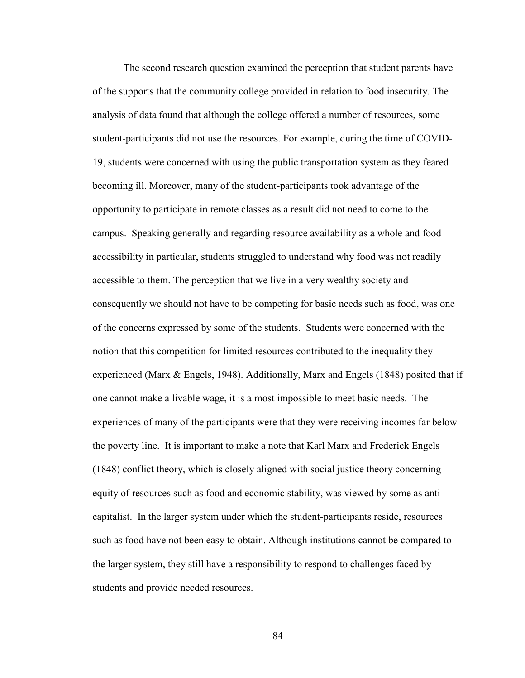The second research question examined the perception that student parents have of the supports that the community college provided in relation to food insecurity. The analysis of data found that although the college offered a number of resources, some student-participants did not use the resources. For example, during the time of COVID-19, students were concerned with using the public transportation system as they feared becoming ill. Moreover, many of the student-participants took advantage of the opportunity to participate in remote classes as a result did not need to come to the campus. Speaking generally and regarding resource availability as a whole and food accessibility in particular, students struggled to understand why food was not readily accessible to them. The perception that we live in a very wealthy society and consequently we should not have to be competing for basic needs such as food, was one of the concerns expressed by some of the students. Students were concerned with the notion that this competition for limited resources contributed to the inequality they experienced (Marx & Engels, 1948). Additionally, Marx and Engels (1848) posited that if one cannot make a livable wage, it is almost impossible to meet basic needs. The experiences of many of the participants were that they were receiving incomes far below the poverty line. It is important to make a note that Karl Marx and Frederick Engels (1848) conflict theory, which is closely aligned with social justice theory concerning equity of resources such as food and economic stability, was viewed by some as anticapitalist. In the larger system under which the student-participants reside, resources such as food have not been easy to obtain. Although institutions cannot be compared to the larger system, they still have a responsibility to respond to challenges faced by students and provide needed resources.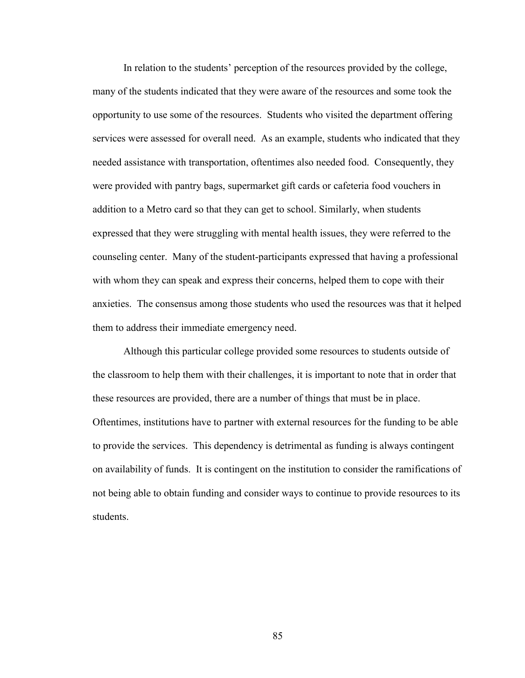In relation to the students' perception of the resources provided by the college, many of the students indicated that they were aware of the resources and some took the opportunity to use some of the resources. Students who visited the department offering services were assessed for overall need. As an example, students who indicated that they needed assistance with transportation, oftentimes also needed food. Consequently, they were provided with pantry bags, supermarket gift cards or cafeteria food vouchers in addition to a Metro card so that they can get to school. Similarly, when students expressed that they were struggling with mental health issues, they were referred to the counseling center. Many of the student-participants expressed that having a professional with whom they can speak and express their concerns, helped them to cope with their anxieties. The consensus among those students who used the resources was that it helped them to address their immediate emergency need.

Although this particular college provided some resources to students outside of the classroom to help them with their challenges, it is important to note that in order that these resources are provided, there are a number of things that must be in place. Oftentimes, institutions have to partner with external resources for the funding to be able to provide the services. This dependency is detrimental as funding is always contingent on availability of funds. It is contingent on the institution to consider the ramifications of not being able to obtain funding and consider ways to continue to provide resources to its students.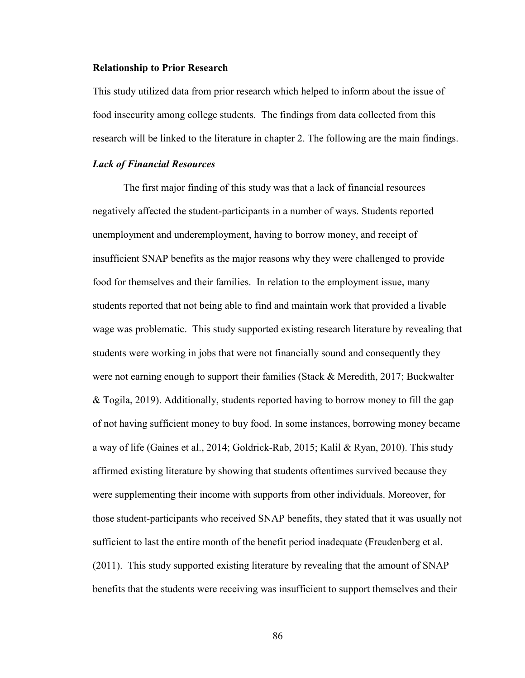#### **Relationship to Prior Research**

This study utilized data from prior research which helped to inform about the issue of food insecurity among college students. The findings from data collected from this research will be linked to the literature in chapter 2. The following are the main findings.

## *Lack of Financial Resources*

The first major finding of this study was that a lack of financial resources negatively affected the student-participants in a number of ways. Students reported unemployment and underemployment, having to borrow money, and receipt of insufficient SNAP benefits as the major reasons why they were challenged to provide food for themselves and their families. In relation to the employment issue, many students reported that not being able to find and maintain work that provided a livable wage was problematic. This study supported existing research literature by revealing that students were working in jobs that were not financially sound and consequently they were not earning enough to support their families (Stack  $\&$  Meredith, 2017; Buckwalter & Togila, 2019). Additionally, students reported having to borrow money to fill the gap of not having sufficient money to buy food. In some instances, borrowing money became a way of life (Gaines et al., 2014; Goldrick-Rab, 2015; Kalil & Ryan, 2010). This study affirmed existing literature by showing that students oftentimes survived because they were supplementing their income with supports from other individuals. Moreover, for those student-participants who received SNAP benefits, they stated that it was usually not sufficient to last the entire month of the benefit period inadequate (Freudenberg et al. (2011). This study supported existing literature by revealing that the amount of SNAP benefits that the students were receiving was insufficient to support themselves and their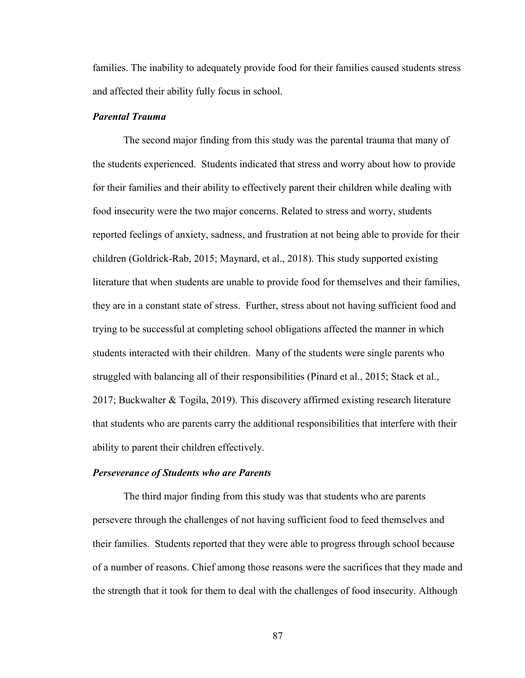families. The inability to adequately provide food for their families caused students stress and affected their ability fully focus in school.

## *Parental Trauma*

The second major finding from this study was the parental trauma that many of the students experienced. Students indicated that stress and worry about how to provide for their families and their ability to effectively parent their children while dealing with food insecurity were the two major concerns. Related to stress and worry, students reported feelings of anxiety, sadness, and frustration at not being able to provide for their children (Goldrick-Rab, 2015; Maynard, et al., 2018). This study supported existing literature that when students are unable to provide food for themselves and their families, they are in a constant state of stress. Further, stress about not having sufficient food and trying to be successful at completing school obligations affected the manner in which students interacted with their children. Many of the students were single parents who struggled with balancing all of their responsibilities (Pinard et al., 2015; Stack et al., 2017; Buckwalter & Togila, 2019). This discovery affirmed existing research literature that students who are parents carry the additional responsibilities that interfere with their ability to parent their children effectively.

#### *Perseverance of Students who are Parents*

The third major finding from this study was that students who are parents persevere through the challenges of not having sufficient food to feed themselves and their families. Students reported that they were able to progress through school because of a number of reasons. Chief among those reasons were the sacrifices that they made and the strength that it took for them to deal with the challenges of food insecurity. Although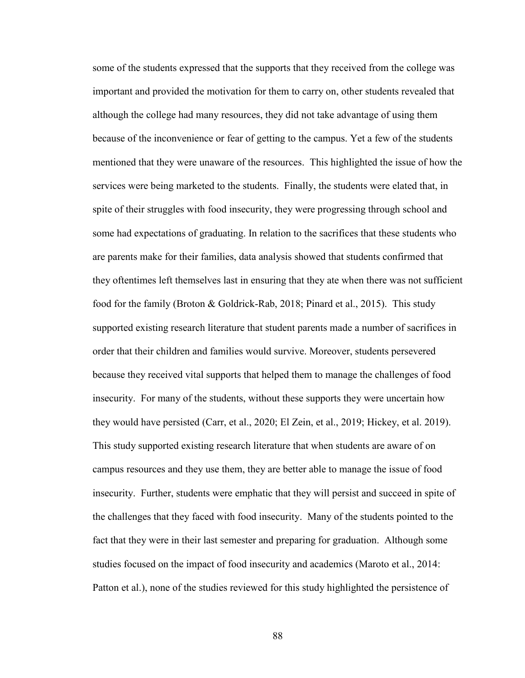some of the students expressed that the supports that they received from the college was important and provided the motivation for them to carry on, other students revealed that although the college had many resources, they did not take advantage of using them because of the inconvenience or fear of getting to the campus. Yet a few of the students mentioned that they were unaware of the resources. This highlighted the issue of how the services were being marketed to the students. Finally, the students were elated that, in spite of their struggles with food insecurity, they were progressing through school and some had expectations of graduating. In relation to the sacrifices that these students who are parents make for their families, data analysis showed that students confirmed that they oftentimes left themselves last in ensuring that they ate when there was not sufficient food for the family (Broton & Goldrick-Rab, 2018; Pinard et al., 2015). This study supported existing research literature that student parents made a number of sacrifices in order that their children and families would survive. Moreover, students persevered because they received vital supports that helped them to manage the challenges of food insecurity. For many of the students, without these supports they were uncertain how they would have persisted (Carr, et al., 2020; El Zein, et al., 2019; Hickey, et al. 2019). This study supported existing research literature that when students are aware of on campus resources and they use them, they are better able to manage the issue of food insecurity. Further, students were emphatic that they will persist and succeed in spite of the challenges that they faced with food insecurity. Many of the students pointed to the fact that they were in their last semester and preparing for graduation. Although some studies focused on the impact of food insecurity and academics (Maroto et al., 2014: Patton et al.), none of the studies reviewed for this study highlighted the persistence of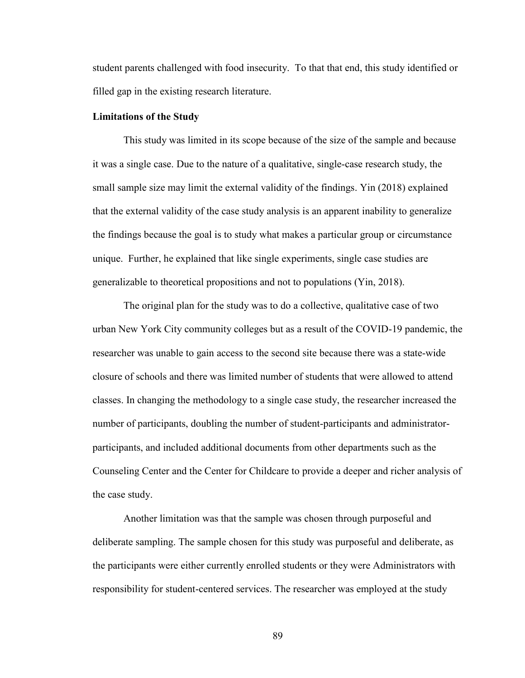student parents challenged with food insecurity. To that that end, this study identified or filled gap in the existing research literature.

#### **Limitations of the Study**

This study was limited in its scope because of the size of the sample and because it was a single case. Due to the nature of a qualitative, single-case research study, the small sample size may limit the external validity of the findings. Yin (2018) explained that the external validity of the case study analysis is an apparent inability to generalize the findings because the goal is to study what makes a particular group or circumstance unique. Further, he explained that like single experiments, single case studies are generalizable to theoretical propositions and not to populations (Yin, 2018).

The original plan for the study was to do a collective, qualitative case of two urban New York City community colleges but as a result of the COVID-19 pandemic, the researcher was unable to gain access to the second site because there was a state-wide closure of schools and there was limited number of students that were allowed to attend classes. In changing the methodology to a single case study, the researcher increased the number of participants, doubling the number of student-participants and administratorparticipants, and included additional documents from other departments such as the Counseling Center and the Center for Childcare to provide a deeper and richer analysis of the case study.

Another limitation was that the sample was chosen through purposeful and deliberate sampling. The sample chosen for this study was purposeful and deliberate, as the participants were either currently enrolled students or they were Administrators with responsibility for student-centered services. The researcher was employed at the study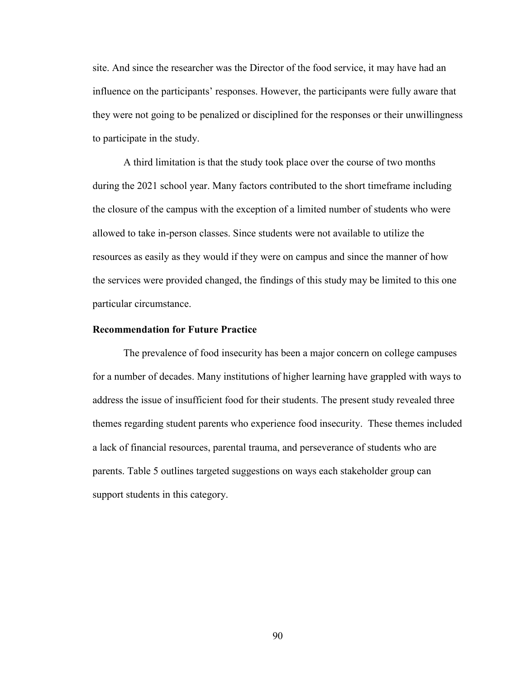site. And since the researcher was the Director of the food service, it may have had an influence on the participants' responses. However, the participants were fully aware that they were not going to be penalized or disciplined for the responses or their unwillingness to participate in the study.

A third limitation is that the study took place over the course of two months during the 2021 school year. Many factors contributed to the short timeframe including the closure of the campus with the exception of a limited number of students who were allowed to take in-person classes. Since students were not available to utilize the resources as easily as they would if they were on campus and since the manner of how the services were provided changed, the findings of this study may be limited to this one particular circumstance.

## **Recommendation for Future Practice**

The prevalence of food insecurity has been a major concern on college campuses for a number of decades. Many institutions of higher learning have grappled with ways to address the issue of insufficient food for their students. The present study revealed three themes regarding student parents who experience food insecurity. These themes included a lack of financial resources, parental trauma, and perseverance of students who are parents. Table 5 outlines targeted suggestions on ways each stakeholder group can support students in this category.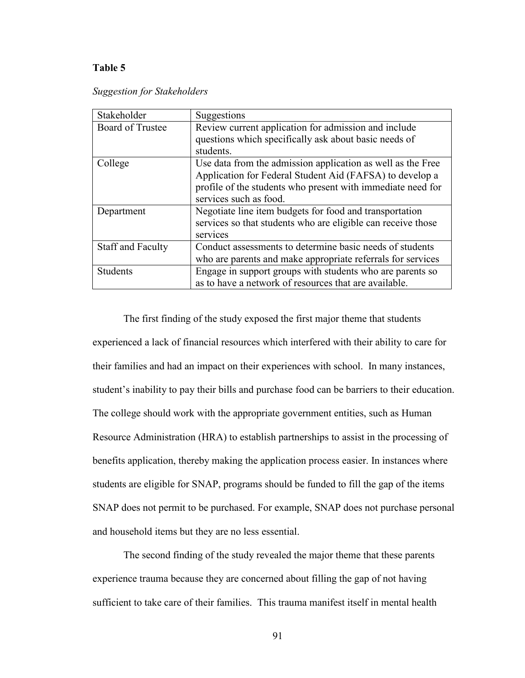## **Table 5**

| <b>Suggestion for Stakeholders</b> |  |  |
|------------------------------------|--|--|
|                                    |  |  |

| Stakeholder              | Suggestions                                                                                                                                                                                                      |
|--------------------------|------------------------------------------------------------------------------------------------------------------------------------------------------------------------------------------------------------------|
| <b>Board of Trustee</b>  | Review current application for admission and include<br>questions which specifically ask about basic needs of<br>students.                                                                                       |
| College                  | Use data from the admission application as well as the Free<br>Application for Federal Student Aid (FAFSA) to develop a<br>profile of the students who present with immediate need for<br>services such as food. |
| Department               | Negotiate line item budgets for food and transportation<br>services so that students who are eligible can receive those<br>services                                                                              |
| <b>Staff and Faculty</b> | Conduct assessments to determine basic needs of students<br>who are parents and make appropriate referrals for services                                                                                          |
| <b>Students</b>          | Engage in support groups with students who are parents so<br>as to have a network of resources that are available.                                                                                               |

The first finding of the study exposed the first major theme that students experienced a lack of financial resources which interfered with their ability to care for their families and had an impact on their experiences with school. In many instances, student's inability to pay their bills and purchase food can be barriers to their education. The college should work with the appropriate government entities, such as Human Resource Administration (HRA) to establish partnerships to assist in the processing of benefits application, thereby making the application process easier. In instances where students are eligible for SNAP, programs should be funded to fill the gap of the items SNAP does not permit to be purchased. For example, SNAP does not purchase personal and household items but they are no less essential.

The second finding of the study revealed the major theme that these parents experience trauma because they are concerned about filling the gap of not having sufficient to take care of their families. This trauma manifest itself in mental health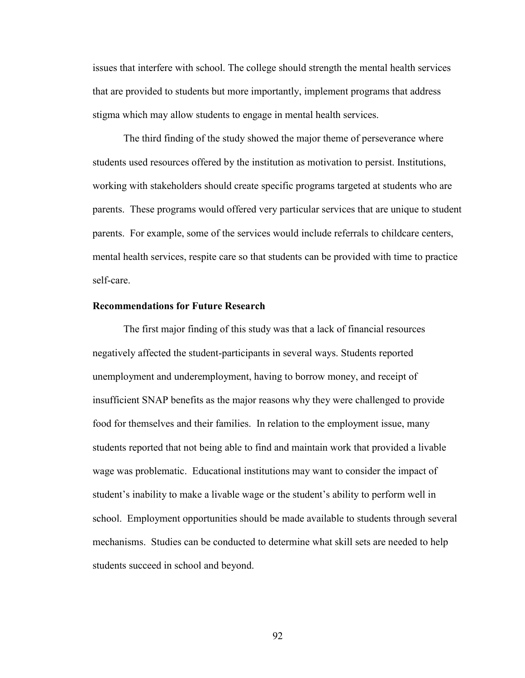issues that interfere with school. The college should strength the mental health services that are provided to students but more importantly, implement programs that address stigma which may allow students to engage in mental health services.

The third finding of the study showed the major theme of perseverance where students used resources offered by the institution as motivation to persist. Institutions, working with stakeholders should create specific programs targeted at students who are parents. These programs would offered very particular services that are unique to student parents. For example, some of the services would include referrals to childcare centers, mental health services, respite care so that students can be provided with time to practice self-care.

## **Recommendations for Future Research**

The first major finding of this study was that a lack of financial resources negatively affected the student-participants in several ways. Students reported unemployment and underemployment, having to borrow money, and receipt of insufficient SNAP benefits as the major reasons why they were challenged to provide food for themselves and their families. In relation to the employment issue, many students reported that not being able to find and maintain work that provided a livable wage was problematic. Educational institutions may want to consider the impact of student's inability to make a livable wage or the student's ability to perform well in school. Employment opportunities should be made available to students through several mechanisms. Studies can be conducted to determine what skill sets are needed to help students succeed in school and beyond.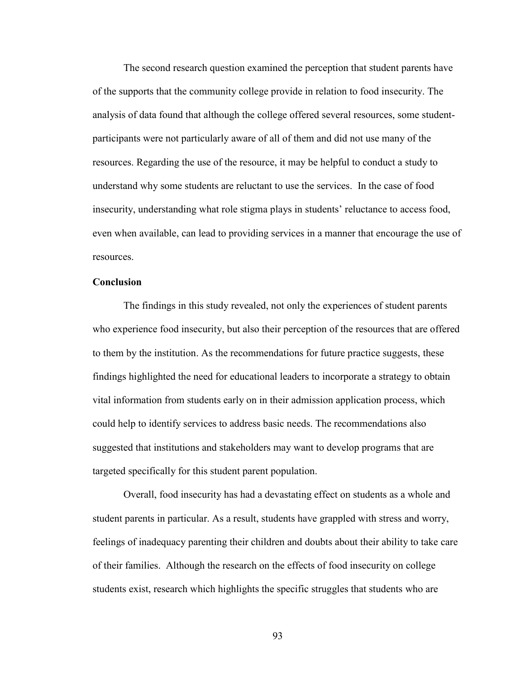The second research question examined the perception that student parents have of the supports that the community college provide in relation to food insecurity. The analysis of data found that although the college offered several resources, some studentparticipants were not particularly aware of all of them and did not use many of the resources. Regarding the use of the resource, it may be helpful to conduct a study to understand why some students are reluctant to use the services. In the case of food insecurity, understanding what role stigma plays in students' reluctance to access food, even when available, can lead to providing services in a manner that encourage the use of resources.

## **Conclusion**

The findings in this study revealed, not only the experiences of student parents who experience food insecurity, but also their perception of the resources that are offered to them by the institution. As the recommendations for future practice suggests, these findings highlighted the need for educational leaders to incorporate a strategy to obtain vital information from students early on in their admission application process, which could help to identify services to address basic needs. The recommendations also suggested that institutions and stakeholders may want to develop programs that are targeted specifically for this student parent population.

Overall, food insecurity has had a devastating effect on students as a whole and student parents in particular. As a result, students have grappled with stress and worry, feelings of inadequacy parenting their children and doubts about their ability to take care of their families. Although the research on the effects of food insecurity on college students exist, research which highlights the specific struggles that students who are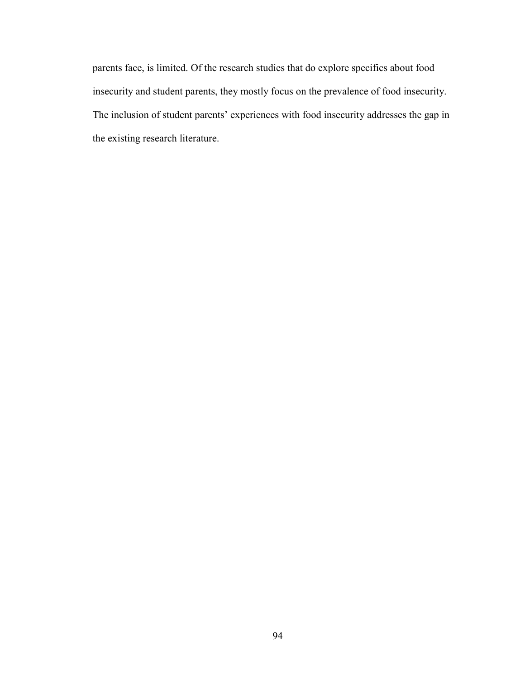parents face, is limited. Of the research studies that do explore specifics about food insecurity and student parents, they mostly focus on the prevalence of food insecurity. The inclusion of student parents' experiences with food insecurity addresses the gap in the existing research literature.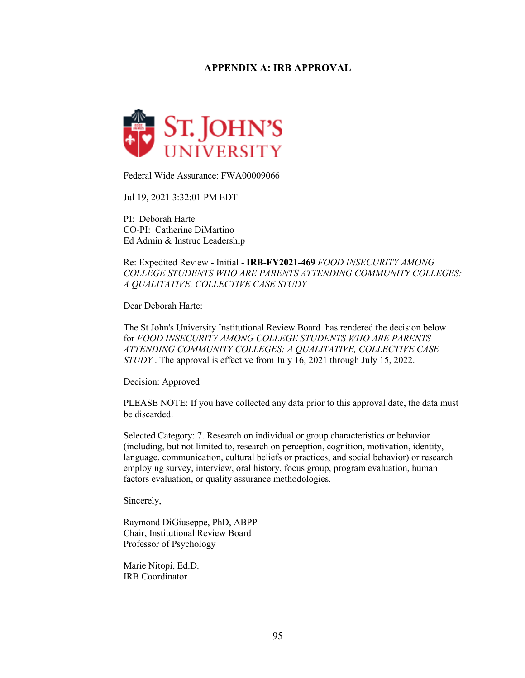## **APPENDIX A: IRB APPROVAL**



Federal Wide Assurance: FWA00009066

Jul 19, 2021 3:32:01 PM EDT

PI: Deborah Harte CO-PI: Catherine DiMartino Ed Admin & Instruc Leadership

Re: Expedited Review - Initial - **IRB-FY2021-469** *FOOD INSECURITY AMONG COLLEGE STUDENTS WHO ARE PARENTS ATTENDING COMMUNITY COLLEGES: A QUALITATIVE, COLLECTIVE CASE STUDY*

Dear Deborah Harte:

The St John's University Institutional Review Board has rendered the decision below for *FOOD INSECURITY AMONG COLLEGE STUDENTS WHO ARE PARENTS ATTENDING COMMUNITY COLLEGES: A QUALITATIVE, COLLECTIVE CASE STUDY* . The approval is effective from July 16, 2021 through July 15, 2022.

Decision: Approved

PLEASE NOTE: If you have collected any data prior to this approval date, the data must be discarded.

Selected Category: 7. Research on individual or group characteristics or behavior (including, but not limited to, research on perception, cognition, motivation, identity, language, communication, cultural beliefs or practices, and social behavior) or research employing survey, interview, oral history, focus group, program evaluation, human factors evaluation, or quality assurance methodologies.

Sincerely,

Raymond DiGiuseppe, PhD, ABPP Chair, Institutional Review Board Professor of Psychology

Marie Nitopi, Ed.D. IRB Coordinator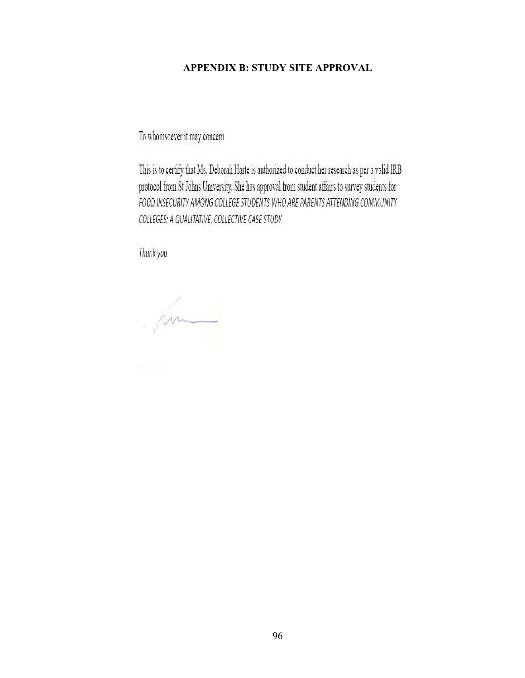# **APPENDIX B: STUDY SITE APPROVAL**

To whomsoever it may concern

This is to certify that Ms. Deborah Harte is authorized to conduct her research as per a valid IRB protocol from St Johns University. She has approval from student affairs to survey students for FOOD INSECURITY AMONG COLLEGE STUDENTS WHO ARE PARENTS ATTENDING COMMUNITY COLLEGES: A QUALITATIVE, COLLECTIVE CASE STUDY

Thank you

m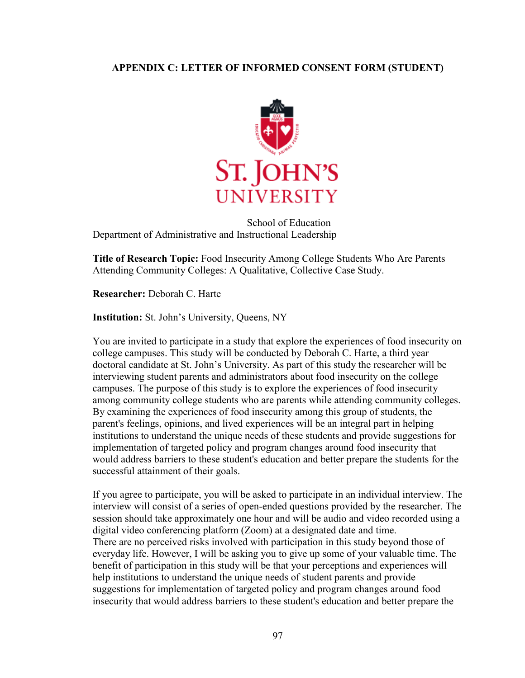## **APPENDIX C: LETTER OF INFORMED CONSENT FORM (STUDENT)**



School of Education Department of Administrative and Instructional Leadership

**Title of Research Topic:** Food Insecurity Among College Students Who Are Parents Attending Community Colleges: A Qualitative, Collective Case Study.

**Researcher:** Deborah C. Harte

**Institution:** St. John's University, Queens, NY

You are invited to participate in a study that explore the experiences of food insecurity on college campuses. This study will be conducted by Deborah C. Harte, a third year doctoral candidate at St. John's University. As part of this study the researcher will be interviewing student parents and administrators about food insecurity on the college campuses. The purpose of this study is to explore the experiences of food insecurity among community college students who are parents while attending community colleges. By examining the experiences of food insecurity among this group of students, the parent's feelings, opinions, and lived experiences will be an integral part in helping institutions to understand the unique needs of these students and provide suggestions for implementation of targeted policy and program changes around food insecurity that would address barriers to these student's education and better prepare the students for the successful attainment of their goals.

If you agree to participate, you will be asked to participate in an individual interview. The interview will consist of a series of open-ended questions provided by the researcher. The session should take approximately one hour and will be audio and video recorded using a digital video conferencing platform (Zoom) at a designated date and time. There are no perceived risks involved with participation in this study beyond those of everyday life. However, I will be asking you to give up some of your valuable time. The benefit of participation in this study will be that your perceptions and experiences will help institutions to understand the unique needs of student parents and provide suggestions for implementation of targeted policy and program changes around food insecurity that would address barriers to these student's education and better prepare the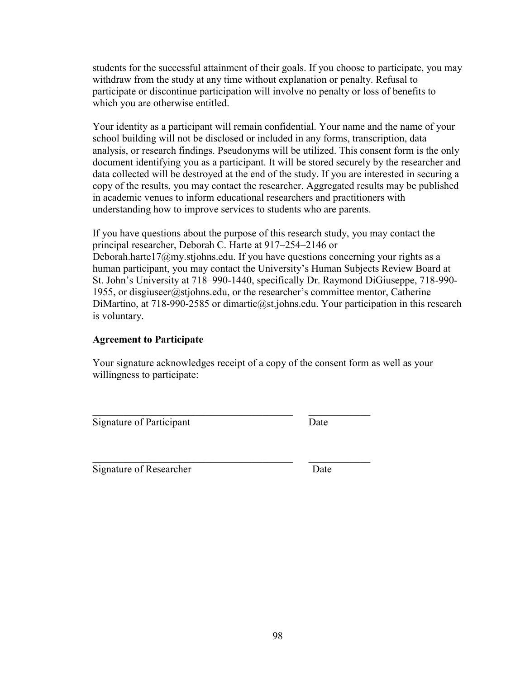students for the successful attainment of their goals. If you choose to participate, you may withdraw from the study at any time without explanation or penalty. Refusal to participate or discontinue participation will involve no penalty or loss of benefits to which you are otherwise entitled.

Your identity as a participant will remain confidential. Your name and the name of your school building will not be disclosed or included in any forms, transcription, data analysis, or research findings. Pseudonyms will be utilized. This consent form is the only document identifying you as a participant. It will be stored securely by the researcher and data collected will be destroyed at the end of the study. If you are interested in securing a copy of the results, you may contact the researcher. Aggregated results may be published in academic venues to inform educational researchers and practitioners with understanding how to improve services to students who are parents.

If you have questions about the purpose of this research study, you may contact the principal researcher, Deborah C. Harte at 917–254–2146 or Deborah.harte17@my.stjohns.edu. If you have questions concerning your rights as a human participant, you may contact the University's Human Subjects Review Board at St. John's University at 718–990-1440, specifically Dr. Raymond DiGiuseppe, 718-990- 1955, or disgiuseer@stjohns.edu, or the researcher's committee mentor, Catherine DiMartino, at 718-990-2585 or dimartic $@$ st.johns.edu. Your participation in this research is voluntary.

#### **Agreement to Participate**

Your signature acknowledges receipt of a copy of the consent form as well as your willingness to participate:

 $\mathcal{L}_\text{max} = \mathcal{L}_\text{max} = \mathcal{L}_\text{max} = \mathcal{L}_\text{max} = \mathcal{L}_\text{max} = \mathcal{L}_\text{max} = \mathcal{L}_\text{max} = \mathcal{L}_\text{max} = \mathcal{L}_\text{max} = \mathcal{L}_\text{max} = \mathcal{L}_\text{max} = \mathcal{L}_\text{max} = \mathcal{L}_\text{max} = \mathcal{L}_\text{max} = \mathcal{L}_\text{max} = \mathcal{L}_\text{max} = \mathcal{L}_\text{max} = \mathcal{L}_\text{max} = \mathcal{$ 

Signature of Participant Date

\_\_\_\_\_\_\_\_\_\_\_\_\_\_\_\_\_\_\_\_\_\_\_\_\_\_\_\_\_\_\_\_\_\_\_\_\_\_\_ \_\_\_\_\_\_\_\_\_\_\_\_ Signature of Researcher Date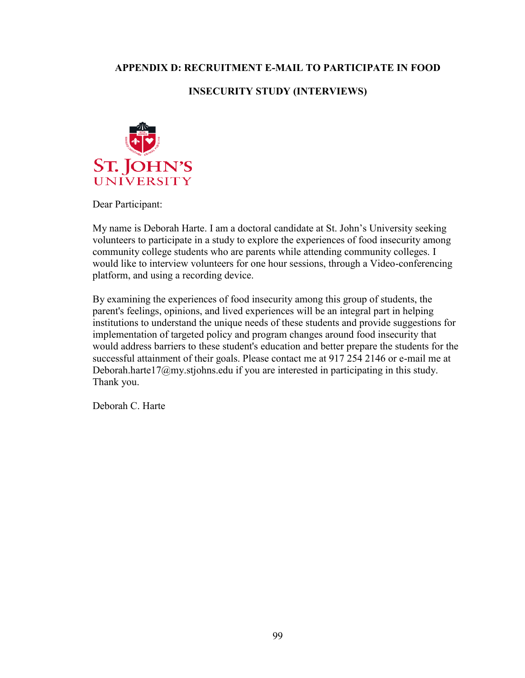# **APPENDIX D: RECRUITMENT E-MAIL TO PARTICIPATE IN FOOD**

# **INSECURITY STUDY (INTERVIEWS)**



Dear Participant:

My name is Deborah Harte. I am a doctoral candidate at St. John's University seeking volunteers to participate in a study to explore the experiences of food insecurity among community college students who are parents while attending community colleges. I would like to interview volunteers for one hour sessions, through a Video-conferencing platform, and using a recording device.

By examining the experiences of food insecurity among this group of students, the parent's feelings, opinions, and lived experiences will be an integral part in helping institutions to understand the unique needs of these students and provide suggestions for implementation of targeted policy and program changes around food insecurity that would address barriers to these student's education and better prepare the students for the successful attainment of their goals. Please contact me at 917 254 2146 or e-mail me at Deborah.harte17@my.stjohns.edu if you are interested in participating in this study. Thank you.

Deborah C. Harte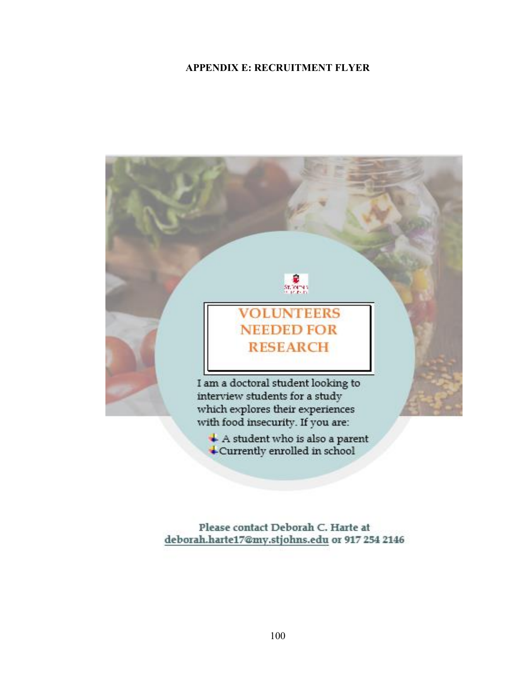# **APPENDIX E: RECRUITMENT FLYER**



Please contact Deborah C. Harte at deborah.harte17@my.stjohns.edu or 917 254 2146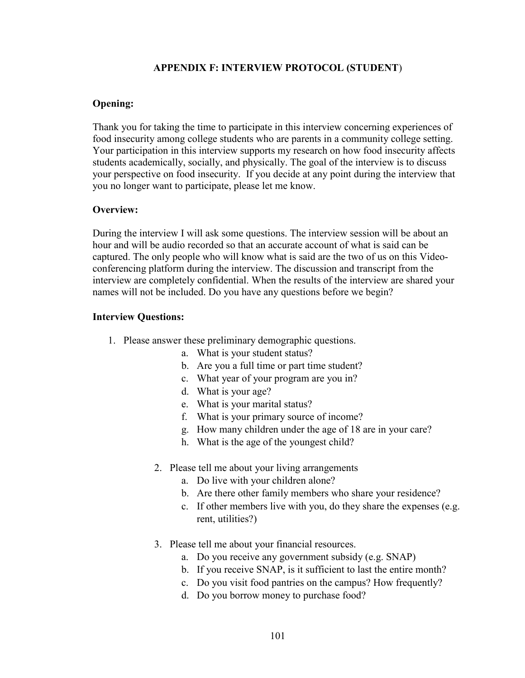## **APPENDIX F: INTERVIEW PROTOCOL (STUDENT**)

### **Opening:**

Thank you for taking the time to participate in this interview concerning experiences of food insecurity among college students who are parents in a community college setting. Your participation in this interview supports my research on how food insecurity affects students academically, socially, and physically. The goal of the interview is to discuss your perspective on food insecurity. If you decide at any point during the interview that you no longer want to participate, please let me know.

## **Overview:**

During the interview I will ask some questions. The interview session will be about an hour and will be audio recorded so that an accurate account of what is said can be captured. The only people who will know what is said are the two of us on this Videoconferencing platform during the interview. The discussion and transcript from the interview are completely confidential. When the results of the interview are shared your names will not be included. Do you have any questions before we begin?

#### **Interview Questions:**

- 1. Please answer these preliminary demographic questions.
	- a. What is your student status?
	- b. Are you a full time or part time student?
	- c. What year of your program are you in?
	- d. What is your age?
	- e. What is your marital status?
	- f. What is your primary source of income?
	- g. How many children under the age of 18 are in your care?
	- h. What is the age of the youngest child?
	- 2. Please tell me about your living arrangements
		- a. Do live with your children alone?
		- b. Are there other family members who share your residence?
		- c. If other members live with you, do they share the expenses (e.g. rent, utilities?)
	- 3. Please tell me about your financial resources.
		- a. Do you receive any government subsidy (e.g. SNAP)
		- b. If you receive SNAP, is it sufficient to last the entire month?
		- c. Do you visit food pantries on the campus? How frequently?
		- d. Do you borrow money to purchase food?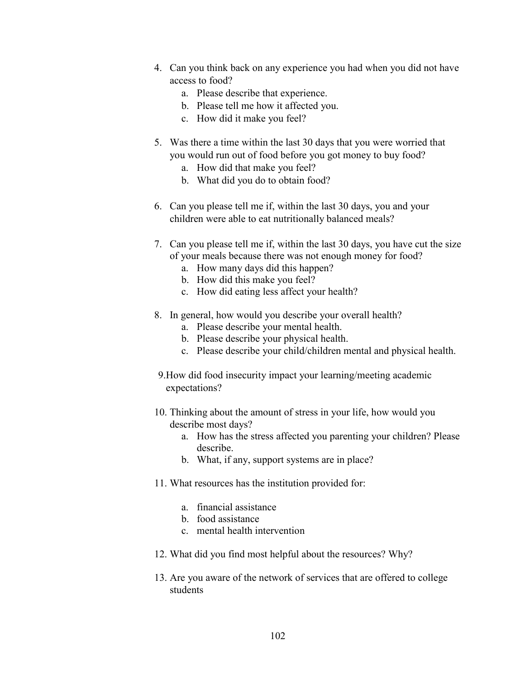- 4. Can you think back on any experience you had when you did not have access to food?
	- a. Please describe that experience.
	- b. Please tell me how it affected you.
	- c. How did it make you feel?
- 5. Was there a time within the last 30 days that you were worried that you would run out of food before you got money to buy food?
	- a. How did that make you feel?
	- b. What did you do to obtain food?
- 6. Can you please tell me if, within the last 30 days, you and your children were able to eat nutritionally balanced meals?
- 7. Can you please tell me if, within the last 30 days, you have cut the size of your meals because there was not enough money for food?
	- a. How many days did this happen?
	- b. How did this make you feel?
	- c. How did eating less affect your health?
- 8. In general, how would you describe your overall health?
	- a. Please describe your mental health.
	- b. Please describe your physical health.
	- c. Please describe your child/children mental and physical health.
- 9.How did food insecurity impact your learning/meeting academic expectations?
- 10. Thinking about the amount of stress in your life, how would you describe most days?
	- a. How has the stress affected you parenting your children? Please describe.
	- b. What, if any, support systems are in place?
- 11. What resources has the institution provided for:
	- a. financial assistance
	- b. food assistance
	- c. mental health intervention
- 12. What did you find most helpful about the resources? Why?
- 13. Are you aware of the network of services that are offered to college students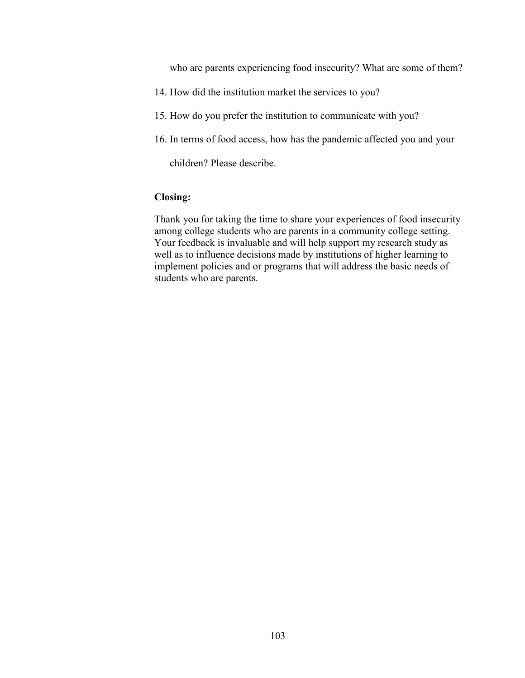who are parents experiencing food insecurity? What are some of them?

- 14. How did the institution market the services to you?
- 15. How do you prefer the institution to communicate with you?
- 16. In terms of food access, how has the pandemic affected you and your

children? Please describe.

#### **Closing:**

Thank you for taking the time to share your experiences of food insecurity among college students who are parents in a community college setting. Your feedback is invaluable and will help support my research study as well as to influence decisions made by institutions of higher learning to implement policies and or programs that will address the basic needs of students who are parents.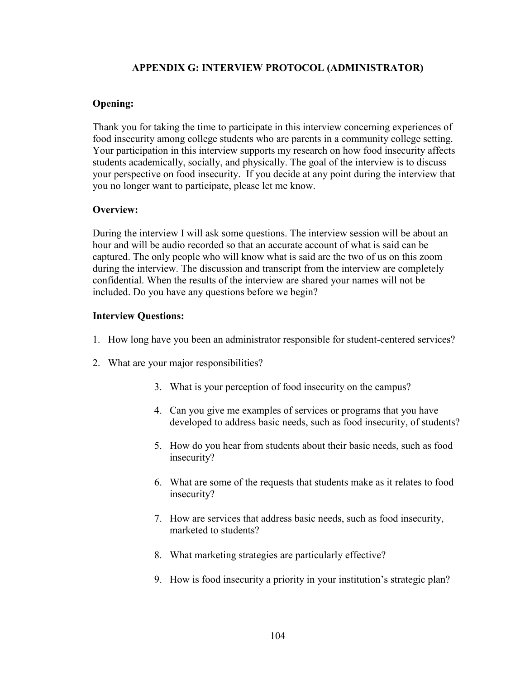# **APPENDIX G: INTERVIEW PROTOCOL (ADMINISTRATOR)**

#### **Opening:**

Thank you for taking the time to participate in this interview concerning experiences of food insecurity among college students who are parents in a community college setting. Your participation in this interview supports my research on how food insecurity affects students academically, socially, and physically. The goal of the interview is to discuss your perspective on food insecurity. If you decide at any point during the interview that you no longer want to participate, please let me know.

## **Overview:**

During the interview I will ask some questions. The interview session will be about an hour and will be audio recorded so that an accurate account of what is said can be captured. The only people who will know what is said are the two of us on this zoom during the interview. The discussion and transcript from the interview are completely confidential. When the results of the interview are shared your names will not be included. Do you have any questions before we begin?

#### **Interview Questions:**

- 1. How long have you been an administrator responsible for student-centered services?
- 2. What are your major responsibilities?
	- 3. What is your perception of food insecurity on the campus?
	- 4. Can you give me examples of services or programs that you have developed to address basic needs, such as food insecurity, of students?
	- 5. How do you hear from students about their basic needs, such as food insecurity?
	- 6. What are some of the requests that students make as it relates to food insecurity?
	- 7. How are services that address basic needs, such as food insecurity, marketed to students?
	- 8. What marketing strategies are particularly effective?
	- 9. How is food insecurity a priority in your institution's strategic plan?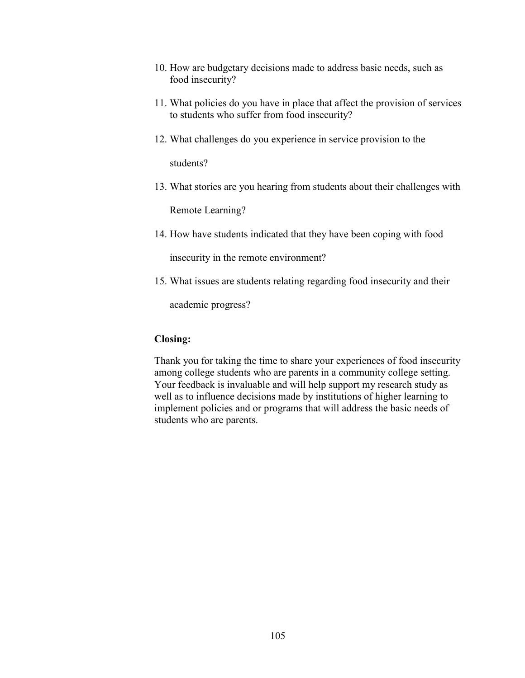- 10. How are budgetary decisions made to address basic needs, such as food insecurity?
- 11. What policies do you have in place that affect the provision of services to students who suffer from food insecurity?
- 12. What challenges do you experience in service provision to the

students?

13. What stories are you hearing from students about their challenges with

Remote Learning?

14. How have students indicated that they have been coping with food

insecurity in the remote environment?

15. What issues are students relating regarding food insecurity and their

academic progress?

#### **Closing:**

Thank you for taking the time to share your experiences of food insecurity among college students who are parents in a community college setting. Your feedback is invaluable and will help support my research study as well as to influence decisions made by institutions of higher learning to implement policies and or programs that will address the basic needs of students who are parents.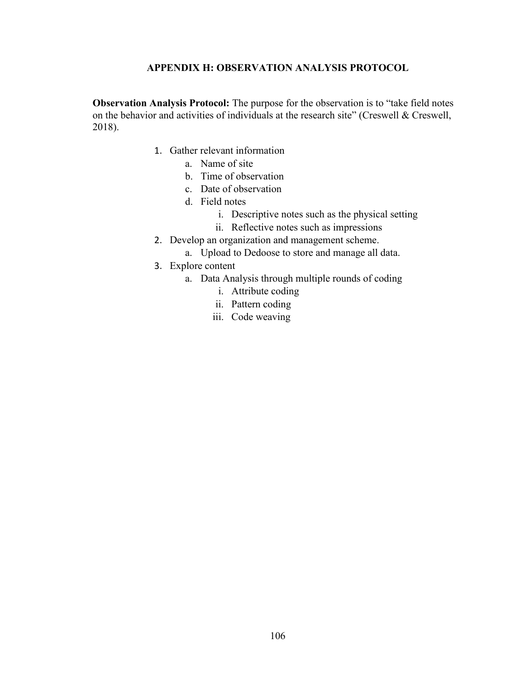#### **APPENDIX H: OBSERVATION ANALYSIS PROTOCOL**

**Observation Analysis Protocol:** The purpose for the observation is to "take field notes on the behavior and activities of individuals at the research site" (Creswell & Creswell, 2018).

- 1. Gather relevant information
	- a. Name of site
	- b. Time of observation
	- c. Date of observation
	- d. Field notes
		- i. Descriptive notes such as the physical setting
		- ii. Reflective notes such as impressions
- 2. Develop an organization and management scheme.
	- a. Upload to Dedoose to store and manage all data.
- 3. Explore content
	- a. Data Analysis through multiple rounds of coding
		- i. Attribute coding
		- ii. Pattern coding
		- iii. Code weaving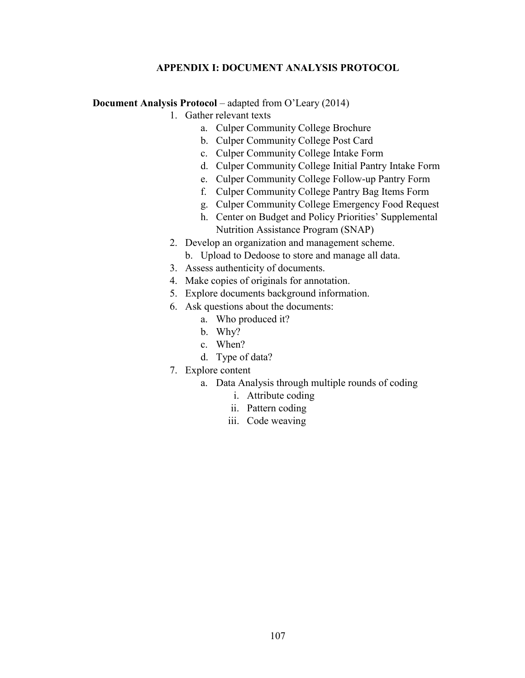# **APPENDIX I: DOCUMENT ANALYSIS PROTOCOL**

**Document Analysis Protocol** – adapted from O'Leary (2014)

- 1. Gather relevant texts
	- a. Culper Community College Brochure
	- b. Culper Community College Post Card
	- c. Culper Community College Intake Form
	- d. Culper Community College Initial Pantry Intake Form
	- e. Culper Community College Follow-up Pantry Form
	- f. Culper Community College Pantry Bag Items Form
	- g. Culper Community College Emergency Food Request
	- h. Center on Budget and Policy Priorities' Supplemental Nutrition Assistance Program (SNAP)
- 2. Develop an organization and management scheme.
	- b. Upload to Dedoose to store and manage all data.
- 3. Assess authenticity of documents.
- 4. Make copies of originals for annotation.
- 5. Explore documents background information.
- 6. Ask questions about the documents:
	- a. Who produced it?
	- b. Why?
	- c. When?
	- d. Type of data?
- 7. Explore content
	- a. Data Analysis through multiple rounds of coding
		- i. Attribute coding
		- ii. Pattern coding
		- iii. Code weaving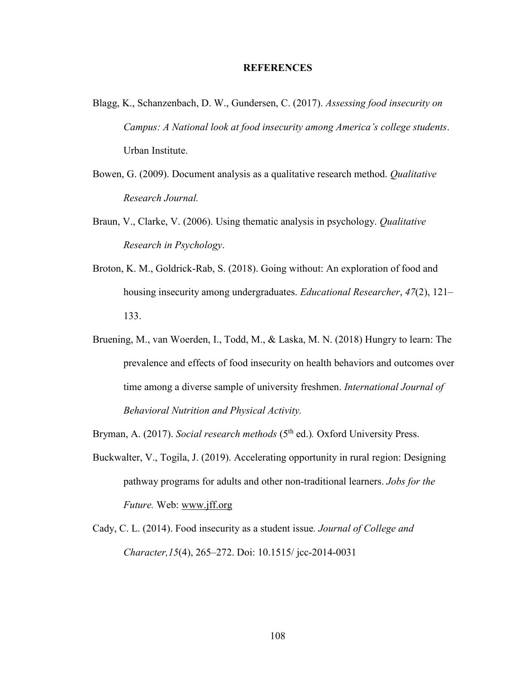#### **REFERENCES**

- Blagg, K., Schanzenbach, D. W., Gundersen, C. (2017). *Assessing food insecurity on Campus: A National look at food insecurity among America's college students*. Urban Institute.
- Bowen, G. (2009). Document analysis as a qualitative research method. *Qualitative Research Journal.*
- Braun, V., Clarke, V. (2006). Using thematic analysis in psychology. *Qualitative Research in Psychology*.
- Broton, K. M., Goldrick-Rab, S. (2018). Going without: An exploration of food and housing insecurity among undergraduates. *Educational Researcher*, *47*(2), 121– 133.
- Bruening, M., van Woerden, I., Todd, M., & Laska, M. N. (2018) Hungry to learn: The prevalence and effects of food insecurity on health behaviors and outcomes over time among a diverse sample of university freshmen. *International Journal of Behavioral Nutrition and Physical Activity.*

Bryman, A. (2017). *Social research methods* (5<sup>th</sup> ed.). Oxford University Press.

- Buckwalter, V., Togila, J. (2019). Accelerating opportunity in rural region: Designing pathway programs for adults and other non-traditional learners. *Jobs for the Future.* Web: [www.jff.org](http://www.jff.org/)
- Cady, C. L. (2014). Food insecurity as a student issue*. Journal of College and Character,15*(4), 265–272. Doi: 10.1515/ jcc-2014-0031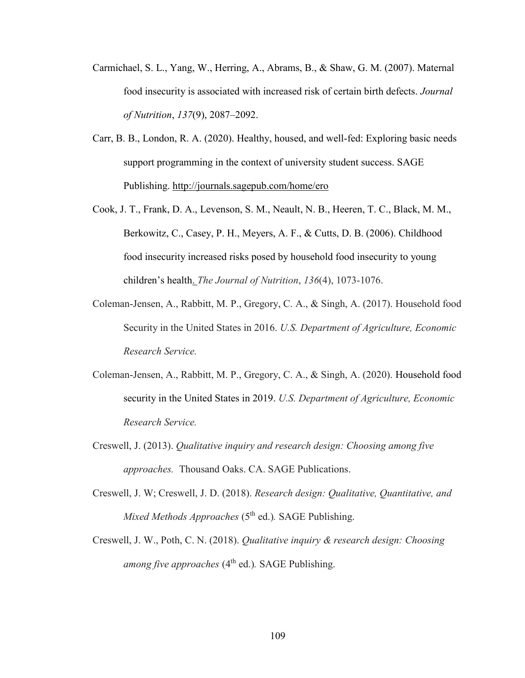- Carmichael, S. L., Yang, W., Herring, A., Abrams, B., & Shaw, G. M. (2007). Maternal food insecurity is associated with increased risk of certain birth defects. *Journal of Nutrition*, *137*(9), 2087–2092.
- Carr, B. B., London, R. A. (2020). Healthy, housed, and well-fed: Exploring basic needs support programming in the context of university student success. SAGE Publishing.<http://journals.sagepub.com/home/ero>
- Cook, J. T., Frank, D. A., Levenson, S. M., Neault, N. B., Heeren, T. C., Black, M. M., Berkowitz, C., Casey, P. H., Meyers, A. F., & Cutts, D. B. (2006). Childhood food insecurity increased risks posed by household food insecurity to young children's health. *The Journal of Nutrition*, *136*(4), 1073-1076.
- Coleman-Jensen, A., Rabbitt, M. P., Gregory, C. A., & Singh, A. (2017). Household food Security in the United States in 2016. *U.S. Department of Agriculture, Economic Research Service.*
- Coleman-Jensen, A., Rabbitt, M. P., Gregory, C. A., & Singh, A. (2020). Household food security in the United States in 2019. *U.S. Department of Agriculture, Economic Research Service.*
- Creswell, J. (2013). *Qualitative inquiry and research design: Choosing among five approaches.* Thousand Oaks. CA. SAGE Publications.
- Creswell, J. W; Creswell, J. D. (2018). *Research design: Qualitative, Quantitative, and Mixed Methods Approaches* (5<sup>th</sup> ed.). **SAGE Publishing.**
- Creswell, J. W., Poth, C. N. (2018). *Qualitative inquiry & research design: Choosing among five approaches* (4<sup>th</sup> ed.). SAGE Publishing.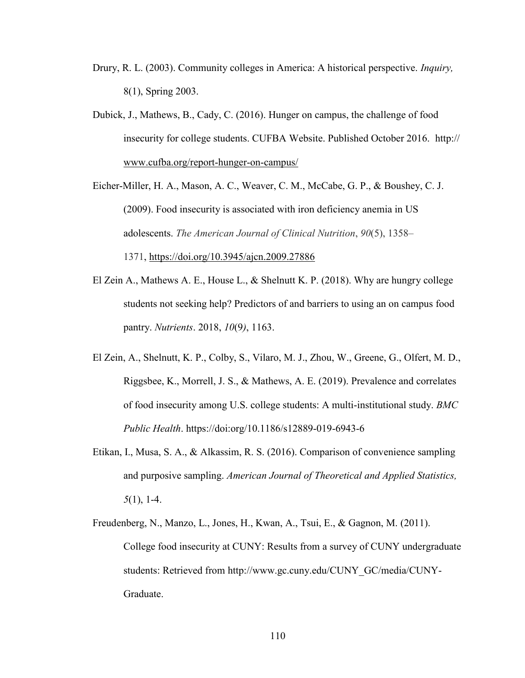- Drury, R. L. (2003). Community colleges in America: A historical perspective. *Inquiry,* 8(1), Spring 2003.
- Dubick, J., Mathews, B., Cady, C. (2016). Hunger on campus, the challenge of food insecurity for college students. CUFBA Website. Published October 2016. http:// [www.cufba.org/report-hunger-on-campus/](http://www.cufba.org/report-hunger-on-campus/)
- Eicher-Miller, H. A., Mason, A. C., Weaver, C. M., McCabe, G. P., & Boushey, C. J. (2009). Food insecurity is associated with iron deficiency anemia in US adolescents. *The American Journal of Clinical Nutrition*, *90*(5), 1358– 1371, <https://doi.org/10.3945/ajcn.2009.27886>
- El Zein A., Mathews A. E., House L., & Shelnutt K. P. (2018). Why are hungry college students not seeking help? Predictors of and barriers to using an on campus food pantry. *Nutrients*. 2018, *10*(9*)*, 1163.
- El Zein, A., Shelnutt, K. P., Colby, S., Vilaro, M. J., Zhou, W., Greene, G., Olfert, M. D., Riggsbee, K., Morrell, J. S., & Mathews, A. E. (2019). Prevalence and correlates of food insecurity among U.S. college students: A multi-institutional study. *BMC Public Health*. https://doi:org/10.1186/s12889-019-6943-6
- Etikan, I., Musa, S. A., & Alkassim, R. S. (2016). Comparison of convenience sampling and purposive sampling. *American Journal of Theoretical and Applied Statistics, 5*(1), 1-4.
- Freudenberg, N., Manzo, L., Jones, H., Kwan, A., Tsui, E., & Gagnon, M. (2011). College food insecurity at CUNY: Results from a survey of CUNY undergraduate students: Retrieved from [http://w](http://www.gc.cuny.edu/CUNY_GC/media/CUNY-Graduate-)ww.gc.cuny.edu/CUNY\_GC/media/CUNY-Graduate.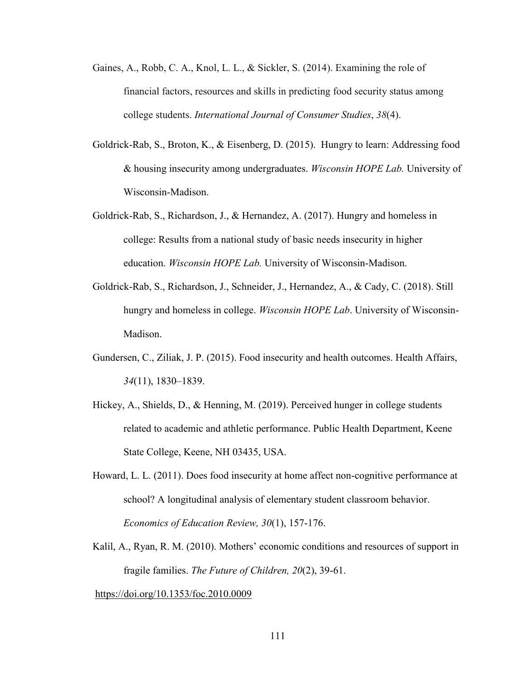- Gaines, A., Robb, C. A., Knol, L. L., & Sickler, S. (2014). Examining the role of financial factors, resources and skills in predicting food security status among college students. *International Journal of Consumer Studies*, *38*(4).
- Goldrick-Rab, S., Broton, K., & Eisenberg, D. (2015). Hungry to learn: Addressing food & housing insecurity among undergraduates. *Wisconsin HOPE Lab.* University of Wisconsin-Madison.
- Goldrick-Rab, S., Richardson, J., & Hernandez, A. (2017). Hungry and homeless in college: Results from a national study of basic needs insecurity in higher education. *Wisconsin HOPE Lab.* University of Wisconsin-Madison.
- Goldrick-Rab, S., Richardson, J., Schneider, J., Hernandez, A., & Cady, C. (2018). Still hungry and homeless in college. *Wisconsin HOPE Lab*. University of Wisconsin-Madison.
- Gundersen, C., Ziliak, J. P. (2015). Food insecurity and health outcomes. Health Affairs, *34*(11), 1830–1839.
- Hickey, A., Shields, D., & Henning, M. (2019). Perceived hunger in college students related to academic and athletic performance. Public Health Department, Keene State College, Keene, NH 03435, USA.
- Howard, L. L. (2011). Does food insecurity at home affect non-cognitive performance at school? A longitudinal analysis of elementary student classroom behavior. *Economics of Education Review, 30*(1), 157-176.
- Kalil, A., Ryan, R. M. (2010). Mothers' economic conditions and resources of support in fragile families. *The Future of Children, 20*(2), 39-61.

[https://doi.org/10.1353/foc.2010.0009](https://psycnet.apa.org/doi/10.1353/foc.2010.0009)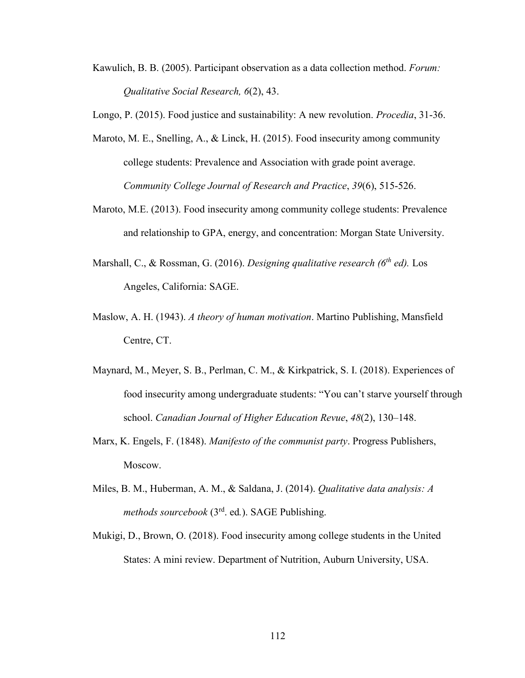Kawulich, B. B. (2005). Participant observation as a data collection method. *Forum: Qualitative Social Research, 6*(2), 43.

Longo, P. (2015). Food justice and sustainability: A new revolution. *Procedia*, 31-36.

- Maroto, M. E., Snelling, A., & Linck, H. (2015). Food insecurity among community college students: Prevalence and Association with grade point average. *Community College Journal of Research and Practice*, *39*(6), 515-526.
- Maroto, M.E. (2013). Food insecurity among community college students: Prevalence and relationship to GPA, energy, and concentration: Morgan State University.
- Marshall, C., & Rossman, G. (2016). *Designing qualitative research (6th ed).* Los Angeles, California: SAGE.
- Maslow, A. H. (1943). *A theory of human motivation*. Martino Publishing, Mansfield Centre, CT.
- Maynard, M., Meyer, S. B., Perlman, C. M., & Kirkpatrick, S. I. (2018). Experiences of food insecurity among undergraduate students: "You can't starve yourself through school. *Canadian Journal of Higher Education Revue*, *48*(2), 130–148.
- Marx, K. Engels, F. (1848). *Manifesto of the communist party*. Progress Publishers, Moscow.
- Miles, B. M., Huberman, A. M., & Saldana, J. (2014). *Qualitative data analysis: A methods sourcebook* (3rd. ed*.*). SAGE Publishing.
- Mukigi, D., Brown, O. (2018). Food insecurity among college students in the United States: A mini review. Department of Nutrition, Auburn University, USA.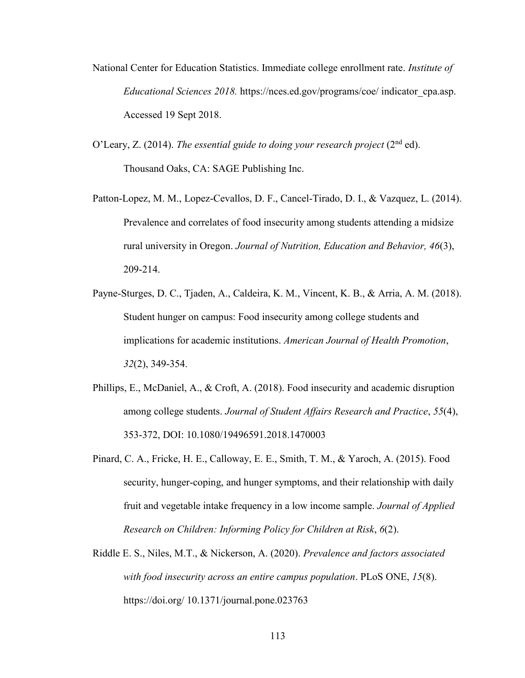- National Center for Education Statistics. Immediate college enrollment rate. *Institute of Educational Sciences 2018.* https://nces.ed.gov/programs/coe/ indicator\_cpa.asp. Accessed 19 Sept 2018.
- O'Leary, Z. (2014). *The essential guide to doing your research project* (2nd ed). Thousand Oaks, CA: SAGE Publishing Inc.
- Patton-Lopez, M. M., Lopez-Cevallos, D. F., Cancel-Tirado, D. I., & Vazquez, L. (2014). Prevalence and correlates of food insecurity among students attending a midsize rural university in Oregon. *Journal of Nutrition, Education and Behavior, 46*(3), 209-214.
- Payne-Sturges, D. C., Tjaden, A., Caldeira, K. M., Vincent, K. B., & Arria, A. M. (2018). Student hunger on campus: Food insecurity among college students and implications for academic institutions. *American Journal of Health Promotion*, *32*(2), 349-354.
- Phillips, E., McDaniel, A., & Croft, A. (2018). Food insecurity and academic disruption among college students. *Journal of Student Affairs Research and Practice*, *55*(4), 353-372, DOI: 10.1080/19496591.2018.1470003
- Pinard, C. A., Fricke, H. E., Calloway, E. E., Smith, T. M., & Yaroch, A. (2015). Food security, hunger-coping, and hunger symptoms, and their relationship with daily fruit and vegetable intake frequency in a low income sample. *Journal of Applied Research on Children: Informing Policy for Children at Risk*, *6*(2).
- Riddle E. S., Niles, M.T., & Nickerson, A. (2020). *Prevalence and factors associated with food insecurity across an entire campus population*. PLoS ONE, *15*(8). https://doi.org/ 10.1371/journal.pone.023763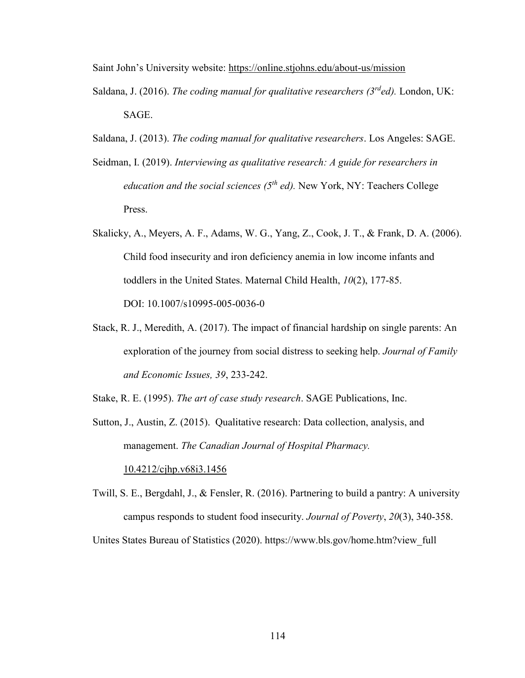Saint John's University website:<https://online.stjohns.edu/about-us/mission>

- Saldana, J. (2016). *The coding manual for qualitative researchers (3rded).* London, UK: SAGE.
- Saldana, J. (2013). *The coding manual for qualitative researchers*. Los Angeles: SAGE.
- Seidman, I. (2019). *Interviewing as qualitative research: A guide for researchers in education and the social sciences (5th ed).* New York, NY: Teachers College Press.
- Skalicky, A., Meyers, A. F., Adams, W. G., Yang, Z., Cook, J. T., & Frank, D. A. (2006). Child food insecurity and iron deficiency anemia in low income infants and toddlers in the United States. Maternal Child Health, *10*(2), 177-85. DOI: 10.1007/s10995-005-0036-0
- Stack, R. J., Meredith, A. (2017). The impact of financial hardship on single parents: An exploration of the journey from social distress to seeking help. *Journal of Family and Economic Issues, 39*, 233-242.
- Stake, R. E. (1995). *The art of case study research*. SAGE Publications, Inc.
- Sutton, J., Austin, Z. (2015). Qualitative research: Data collection, analysis, and management. *The Canadian Journal of Hospital Pharmacy.*

[10.4212/cjhp.v68i3.1456](https://dx.doi.org/10.4212%2Fcjhp.v68i3.1456)

Twill, S. E., Bergdahl, J., & Fensler, R. (2016). Partnering to build a pantry: A university campus responds to student food insecurity. *Journal of Poverty*, *20*(3), 340-358.

Unites States Bureau of Statistics (2020). https://www.bls.gov/home.htm?view\_full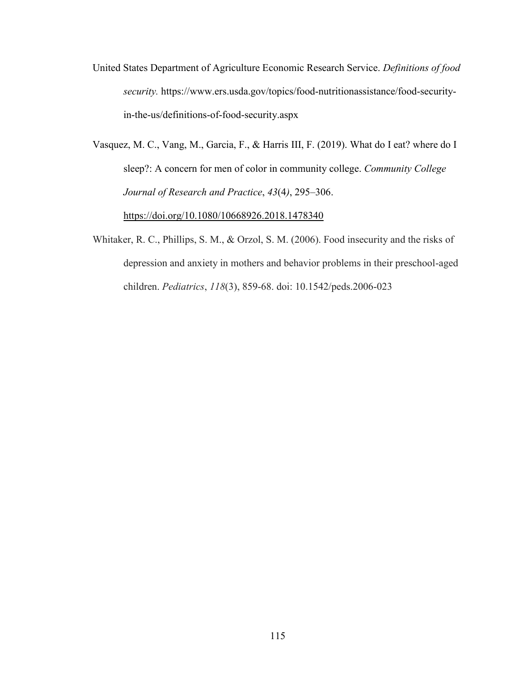United States Department of Agriculture Economic Research Service. *Definitions of food security.* https://www.ers.usda.gov/topics/food-nutritionassistance/food-securityin-the-us/definitions-of-food-security.aspx

Vasquez, M. C., Vang, M., Garcia, F., & Harris III, F. (2019). What do I eat? where do I sleep?: A concern for men of color in community college. *Community College Journal of Research and Practice*, *43*(4*)*, 295–306. <https://doi.org/10.1080/10668926.2018.1478340>

Whitaker, R. C., Phillips, S. M., & Orzol, S. M. (2006). Food insecurity and the risks of depression and anxiety in mothers and behavior problems in their preschool-aged children. *Pediatrics*, *118*(3), 859-68. doi: 10.1542/peds.2006-023